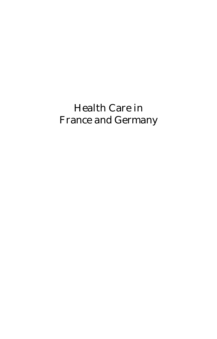# Health Care in France and Germany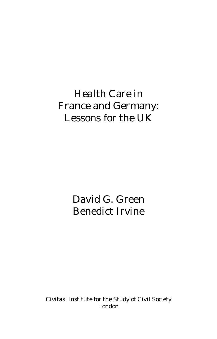# Health Care in France and Germany: Lessons for the UK

David G. Green Benedict Irvine

Civitas: Institute for the Study of Civil Society London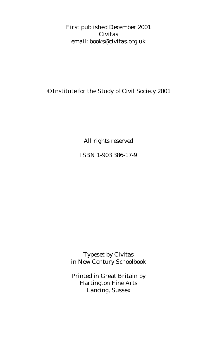First published December 2001 Civitas email: books@civitas.org.uk

© Institute for the Study of Civil Society 2001

*All rights reserved*

ISBN 1-903 386-17-9

Typeset by Civitas in New Century Schoolbook

Printed in Great Britain by Hartington Fine Arts Lancing, Sussex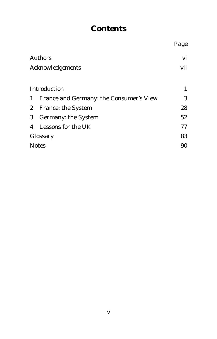# *Contents*

|                                            | Page |
|--------------------------------------------|------|
| Authors                                    | vi   |
| Acknowledgements                           | vii  |
|                                            |      |
| Introduction                               | 1    |
| 1. France and Germany: the Consumer's View | 3    |
| 2. France: the System                      | 28   |
| 3. Germany: the System                     | 52   |
| 4. Lessons for the UK                      | 77   |
| Glossary                                   | 83   |
| Notes                                      | 90   |
|                                            |      |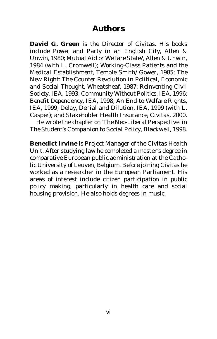# *Authors*

**David G. Green** is the Director of Civitas. His books include *Power and Party in an English City*, Allen & Unwin, 1980; *Mutual Aid or Welfare State?*, Allen & Unwin, 1984 (with L. Cromwell); *Working-Class Patients and the Medical Establishment*, Temple Smith/ Gower, 1985; *The New Right: The Counter Revolution in Political, Economic and Social Thought*, Wheatsheaf, 1987; *Reinventing Civil Society*, IEA, 1993; *Community Without Politics*, IEA, 1996; *Benefit Dependency*, IEA, 1998; *An End to Welfare Rights*, IEA, 1999; *Delay, Denial and Dilution*, IEA, 1999 (with L. Casper); and *Stakeholder Health Insurance*, Civitas, 2000.

He wrote the chapter on 'The Neo-Liberal Perspective' in *The Student's Companion to Social Policy*, Blackwell, 1998.

**Benedict Irvine** is Project Manager of the Civitas Health Unit. After studying law he completed a master's degree in comparative European public administration at the Catholic University of Leuven, Belgium. Before joining Civitas he worked as a researcher in the European Parliament. His areas of interest include citizen participation in public policy making, particularly in health care and social housing provision. He also holds degrees in music.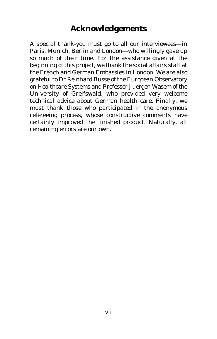# *Acknowledgements*

A special thank-you must go to all our interviewees—in Paris, Munich, Berlin and London—who willingly gave up so much of their time. For the assistance given at the beginning of this project, we thank the social affairs staff at the French and German Embassies in London. We are also grateful to Dr Reinhard Busse of the European Observatory on Healthcare Systems and Professor Juergen Wasem of the University of Greifswald, who provided very welcome technical advice about German health care. Finally, we must thank those who participated in the anonymous refereeing process, whose constructive comments have certainly improved the finished product. Naturally, all remaining errors are our own.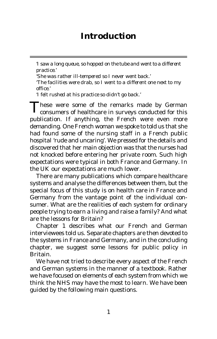# **Introduction**

*'I saw a long queue, so hopped on the tube and went to a different practice.'*

*'She was rather ill-tempered so I never went back.' 'The facilities were drab, so I went to a different one next to my office.'*

*'I felt rushed at his practice so didn't go back.'*

These were some of the remarks made by German<br>consumers of healthcare in surveys conducted for this publication. If anything, the French were even more demanding. One French woman we spoke to told us that she had found some of the nursing staff in a French public hospital 'rude and uncaring'. We pressed for the details and discovered that her main objection was that the nurses had not knocked before entering her private room. Such high expectations were typical in both France and Germany. In the UK our expectations are much lower.

There are many publications which compare healthcare systems and analyse the differences between them, but the special focus of this study is on health care in France and Germany from the vantage point of the individual consumer. What are the realities of each system for ordinary people trying to earn a living and raise a family? And what are the lessons for Britain?

Chapter 1 describes what our French and German interviewees told us. Separate chapters are then devoted to the systems in France and Germany, and in the concluding chapter, we suggest some lessons for public policy in Britain.

We have not tried to describe every aspect of the French and German systems in the manner of a textbook. Rather we have focused on elements of each system from which we think the NHS may have the most to learn. We have been guided by the following main questions.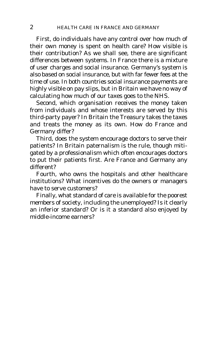First, do individuals have any control over how much of their own money is spent on health care? How visible is their contribution? As we shall see, there are significant differences between systems. In France there is a mixture of user charges and social insurance. Germany's system is also based on social insurance, but with far fewer fees at the time of use. In both countries social insurance payments are highly visible on pay slips, but in Britain we have no way of calculating how much of our taxes goes to the NHS.

Second, which organisation receives the money taken from individuals and whose interests are served by this third-party payer? In Britain the Treasury takes the taxes and treats the money as its own. How do France and Germany differ?

Third, does the system encourage doctors to serve their patients? In Britain paternalism is the rule, though mitigated by a professionalism which often encourages doctors to put their patients first. Are France and Germany any different?

Fourth, who owns the hospitals and other healthcare institutions? What incentives do the owners or managers have to serve customers?

Finally, what standard of care is available for the poorest members of society, including the unemployed? Is it clearly an inferior standard? Or is it a standard also enjoyed by middle-income earners?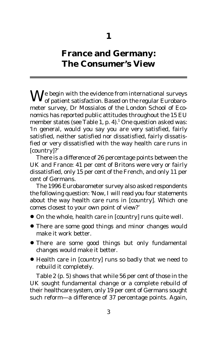# **France and Germany: The Consumer's View**

 $\blacksquare\blacktriangle{N}$ e begin with the evidence from international surveys of patient satisfaction. Based on the regular Eurobarometer survey, Dr Mossialos of the London School of Economics has reported public attitudes throughout the 15 EU member states (see Table 1, p. 4). $^1$  One question asked was: 'In general, would you say you are very satisfied, fairly satisfied, neither satisfied nor dissatisfied, fairly dissatisfied or very dissatisfied with the way health care runs in [country]?'

There is a difference of 26 percentage points between the UK and France: 41 per cent of Britons were very or fairly dissatisfied, only 15 per cent of the French, and only 11 per cent of Germans.

The 1996 Eurobarometer survey also asked respondents the following question: 'Now, I will read you four statements about the way health care runs in [country]. Which one comes closest to your own point of view?'

- On the whole, health care in [country] runs quite well.
- There are some good things and minor changes would make it work better.
- **There are some good things but only fundamental** changes would make it better.
- ! Health care in [country] runs so badly that we need to rebuild it completely.

Table 2 (p. 5) shows that while 56 per cent of those in the UK sought fundamental change or a complete rebuild of their healthcare system, only 19 per cent of Germans sought such reform—a difference of 37 percentage points. Again,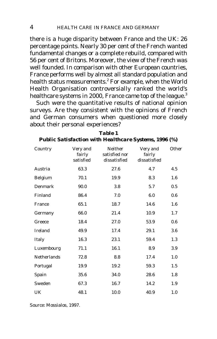there is a huge disparity between France and the UK: 26 percentage points. Nearly 30 per cent of the French wanted fundamental changes or a complete rebuild, compared with 56 per cent of Britons. Moreover, the view of the French was well founded. In comparison with other European countries, France performs well by almost all standard population and health status measurements.<sup>2</sup> For example, when the World Health Organisation controversially ranked the world's healthcare systems in 2000, France came top of the league.<sup>3</sup>

Such were the quantitative results of national opinion surveys. Are they consistent with the opinions of French and German consumers when questioned more closely about their personal experiences?

| <b>Table 1</b>                                        |  |
|-------------------------------------------------------|--|
| Public Satisfaction with Healthcare Systems, 1996 (%) |  |

| Country     | Very and<br>fairly<br>satisfied | Neither<br>satisfied nor<br>dissatisfied | Very and<br>fairly<br>dissatisfied | Other |
|-------------|---------------------------------|------------------------------------------|------------------------------------|-------|
| Austria     | 63.3                            | 27.6                                     | 4.7                                | 4.5   |
| Belgium     | 70.1                            | 19.9                                     | 8.3                                | 1.6   |
| Denmark     | 90.0                            | 3.8                                      | 5.7                                | 0.5   |
| Finland     | 86.4                            | 7.0                                      | 6.0                                | 0.6   |
| France      | 65.1                            | 18.7                                     | 14.6                               | 1.6   |
| Germany     | 66.0                            | 21.4                                     | 10.9                               | 1.7   |
| Greece      | 18.4                            | 27.0                                     | 53.9                               | 0.6   |
| Ireland     | 49.9                            | 17.4                                     | 29.1                               | 3.6   |
| Italy       | 16.3                            | 23.1                                     | 59.4                               | 1.3   |
| Luxembourg  | 71.1                            | 16.1                                     | 8.9                                | 3.9   |
| Netherlands | 72.8                            | 8.8                                      | 17.4                               | 1.0   |
| Portugal    | 19.9                            | 19.2                                     | 59.3                               | 1.5   |
| Spain       | 35.6                            | 34.0                                     | 28.6                               | 1.8   |
| Sweden      | 67.3                            | 16.7                                     | 14.2                               | 1.9   |
| UK          | 48.1                            | 10.0                                     | 40.9                               | 1.0   |

Source: Mossialos, 1997.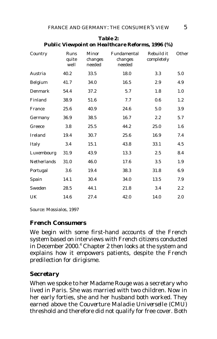| Country            | Runs<br>quite<br>well | Minor<br>changes<br>needed | Fundamental<br>changes<br>needed | Rebuild it<br>completely | Other   |
|--------------------|-----------------------|----------------------------|----------------------------------|--------------------------|---------|
| Austria            | 40.2                  | 33.5                       | 18.0                             | 3.3                      | 5.0     |
| Belgium            | 41.7                  | 34.0                       | 16.5                             | 2.9                      | 4.9     |
| Denmark            | 54.4                  | 37.2                       | 5.7                              | 1.8                      | 1.0     |
| Finland            | 38.9                  | 51.6                       | 7.7                              | 0.6                      | $1.2\,$ |
| France             | 25.6                  | 40.9                       | 24.6                             | 5.0                      | 3.9     |
| Germany            | 36.9                  | 38.5                       | 16.7                             | 2.2                      | 5.7     |
| Greece             | 3.8                   | 25.5                       | 44.2                             | 25.0                     | $1.6\,$ |
| Ireland            | 19.4                  | 30.7                       | 25.6                             | 16.9                     | 7.4     |
| Italy              | 3.4                   | 15.1                       | 43.8                             | 33.1                     | 4.5     |
| Luxembourg         | 31.9                  | 43.9                       | 13.3                             | 2.5                      | 8.4     |
| <b>Netherlands</b> | 31.0                  | 46.0                       | 17.6                             | 3.5                      | 1.9     |
| Portugal           | 3.6                   | 19.4                       | 38.3                             | 31.8                     | 6.9     |
| Spain              | 14.1                  | 30.4                       | 34.0                             | 13.5                     | 7.9     |
| Sweden             | 28.5                  | 44.1                       | 21.8                             | 3.4                      | 2.2     |
| UK                 | 14.6                  | 27.4                       | 42.0                             | 14.0                     | 2.0     |

#### *Table 2: Public Viewpoint on Healthcare Reforms, 1996 (%)*

Source: Mossialos, 1997

# *French Consumers*

We begin with some first-hand accounts of the French system based on interviews with French citizens conducted in December 2000.<sup>4</sup> Chapter 2 then looks at the system and explains how it empowers patients, despite the French predilection for dirigisme.

# *Secretary*

When we spoke to her Madame Rouge was a secretary who lived in Paris. She was married with two children. Now in her early forties, she and her husband both worked. They earned above the *Couverture Maladie Universelle* (CMU) threshold and therefore did not qualify for free cover. Both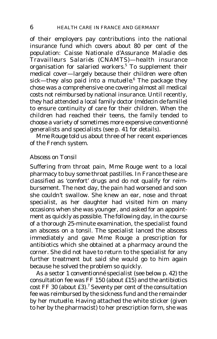of their employers pay contributions into the national insurance fund which covers about 80 per cent of the population: *Caisse Nationale d'Assurance Maladie des Travailleurs Salariés* (CNAMTS)—health insurance organisation for salaried workers.<sup>5</sup> To supplement their medical cover—largely because their children were often sick—they also paid into a *mutuelle.6* The package they chose was a comprehensive one covering almost all medical costs not reimbursed by national insurance. Until recently, they had attended a local family doctor (*médecin de famille*) to ensure continuity of care for their children. When the children had reached their teens, the family tended to choose a variety of sometimes more expensive *conventionné* generalists and specialists (see p. 41 for details).

Mme Rouge told us about three of her recent experiences of the French system.

#### *Abscess on Tonsil*

Suffering from throat pain, Mme Rouge went to a local pharmacy to buy some throat pastilles. In France these are classified as 'comfort' drugs and do not qualify for reimbursement. The next day, the pain had worsened and soon she couldn't swallow. She knew an ear, nose and throat specialist, as her daughter had visited him on many occasions when she was younger, and asked for an appointment as quickly as possible. The following day, in the course of a thorough 25-minute examination, the specialist found an abscess on a tonsil. The specialist lanced the abscess immediately and gave Mme Rouge a prescription for antibiotics which she obtained at a pharmacy around the corner. She did not have to return to the specialist for any further treatment but said she would go to him again because he solved the problem so quickly.

As a sector 1 *conventionné* specialist (see below p. 42) the consultation fee was FF 150 (about £15) and the antibiotics cost FF 30 (about £3).<sup>7</sup> Seventy per cent of the consultation fee was reimbursed by the sickness fund and the remainder by her *mutuelle.* Having attached the white sticker (given to her by the pharmacist) to her prescription form, she was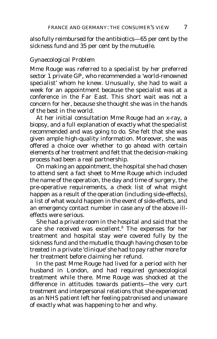also fully reimbursed for the antibiotics—65 per cent by the sickness fund and 35 per cent by the *mutuelle.*

#### *Gynaecological Problem*

Mme Rouge was referred to a specialist by her preferred sector 1 private GP, who recommended a 'world-renowned specialist' whom he knew. Unusually, she had to wait a week for an appointment because the specialist was at a conference in the Far East. This short wait was not a concern for her, because she thought she was in the hands of the best in the world.

At her initial consultation Mme Rouge had an x-ray, a biopsy, and a full explanation of exactly what the specialist recommended and was going to do. She felt that she was given ample high-quality information. Moreover, she was offered a choice over whether to go ahead with certain elements of her treatment and felt that the decision-making process had been a real partnership.

On making an appointment, the hospital she had chosen to attend sent a fact sheet to Mme Rouge which included the name of the operation, the day and time of surgery, the pre-operative requirements, a check list of what might happen as a result of the operation (including side-effects), a list of what would happen in the event of side-effects, and an emergency contact number in case any of the above illeffects were serious.

She had a private room in the hospital and said that the care she received was excellent.<sup>8</sup> The expenses for her treatment and hospital stay were covered fully by the sickness fund and the *mutuelle*, though having chosen to be treated in a private '*clinique*' she had to pay rather more for her treatment before claiming her refund.

In the past Mme Rouge had lived for a period with her husband in London, and had required gynaecological treatment while there. Mme Rouge was shocked at the difference in attitudes towards patients—the very curt treatment and interpersonal relations that she experienced as an NHS patient left her feeling patronised and unaware of exactly what was happening to her and why.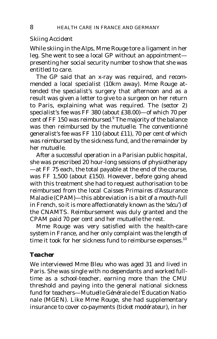#### *Skiing Accident*

While skiing in the Alps, Mme Rouge tore a ligament in her leg. She went to see a local GP without an appointment presenting her social security number to show that she was entitled to care.

The GP said that an x-ray was required, and recommended a local specialist (10km away). Mme Rouge attended the specialist's surgery that afternoon and as a result was given a letter to give to a surgeon on her return to Paris, explaining what was required. The (*sector 2*) specialist's fee was FF 380 (about £38.00)—of which 70 per cent of FF 150 was reimbursed.<sup>9</sup> The majority of the balance was then reimbursed by the *mutuelle.* The *conventionné* generalist's fee was FF 110 (about £11), 70 per cent of which was reimbursed by the sickness fund, and the remainder by her *mutuelle.*

After a successful operation in a Parisian public hospital, she was prescribed 20 hour-long sessions of physiotherapy —at FF 75 each, the total payable at the end of the course, was FF 1,500 (about £150). However, before going ahead with this treatment she had to request authorisation to be reimbursed from the local *Caisses Primaires d'Assurance Maladie* (CPAM)—this abbreviation is a bit of a mouth-full in French, so it is more affectionately known as the '*sécu*') of the CNAMTS. Reimbursement was duly granted and the CPAM paid 70 per cent and her *mutuelle* the rest.

Mme Rouge was very satisfied with the health-care system in France, and her only complaint was the length of time it took for her sickness fund to reimburse expenses.<sup>10</sup>

#### *Teacher*

We interviewed Mme Bleu who was aged 31 and lived in Paris. She was single with no dependants and worked fulltime as a school-teacher, earning more than the CMU threshold and paying into the general national sickness fund for teachers—*Mutuelle Générale de l'Éducation Nationale* (MGEN). Like Mme Rouge, she had supplementary insurance to cover co-payments *(ticket modérateur),* in her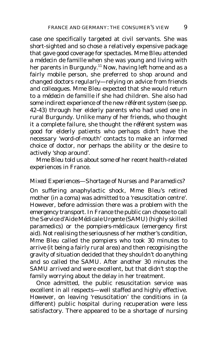case one specifically targeted at civil servants. She was short-sighted and so chose a relatively expensive package that gave good coverage for spectacles. Mme Bleu attended a *médecin de famille* when she was young and living with her parents in Burgundy.<sup>11</sup> Now, having left home and as a fairly mobile person, she preferred to shop around and changed doctors regularly—relying on advice from friends and colleagues. Mme Bleu expected that she would return to a *médecin de famille* if she had children. She also had some indirect experience of the new *référent* system (see pp. 42-43) through her elderly parents who had used one in rural Burgundy. Unlike many of her friends, who thought it a complete failure, she thought the *référent* system was good for elderly patients who perhaps didn't have the necessary 'word-of-mouth' contacts to make an informed choice of doctor, nor perhaps the ability or the desire to actively 'shop around'.

Mme Bleu told us about some of her recent health-related experiences in France.

#### *Mixed Experiences—Shortage of Nurses and Paramedics?*

On suffering anaphylactic shock, Mme Bleu's retired mother (in a coma) was admitted to a 'resuscitation centre'. However, before admission there was a problem with the emergency transport. In France the public can choose to call the *Service d'Aide Médicale Urgente* (SAMU) (highly skilled paramedics) or the *pompiers-médicaux* (emergency first aid). Not realising the seriousness of her mother's condition, Mme Bleu called the *pompiers* who took 30 minutes to arrive (it being a fairly rural area) and then recognising the gravity of situation decided that they shouldn't do anything and so called the SAMU. After another 30 minutes the SAMU arrived and were excellent, but that didn't stop the family worrying about the delay in her treatment.

Once admitted, the public resuscitation service was excellent in all respects—well staffed and highly effective. However, on leaving 'resuscitation' the conditions in (a different) public hospital during recuperation were less satisfactory. There appeared to be a shortage of nursing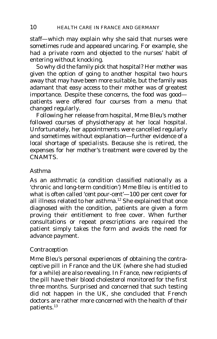staff—which may explain why she said that nurses were sometimes rude and appeared uncaring. For example, she had a private room and objected to the nurses' habit of entering without knocking.

So why did the family pick that hospital? Her mother was given the option of going to another hospital two hours away that may have been more suitable, but the family was adamant that easy access to their mother was of greatest importance. Despite these concerns, the food was good patients were offered four courses from a menu that changed regularly.

Following her release from hospital, Mme Bleu's mother followed courses of physiotherapy at her local hospital. Unfortunately, her appointments were cancelled regularly and sometimes without explanation—further evidence of a local shortage of specialists. Because she is retired, the expenses for her mother's treatment were covered by the CNAMTS.

# *Asthma*

As an asthmatic (a condition classified nationally as a 'chronic and long-term condition') Mme Bleu is entitled to what is often called '*cent pour-cent*'—100 per cent cover for all illness related to her asthma.<sup>12</sup> She explained that once diagnosed with the condition, patients are given a form proving their entitlement to free cover. When further consultations or repeat prescriptions are required the patient simply takes the form and avoids the need for advance payment.

# *Contraception*

Mme Bleu's personal experiences of obtaining the contraceptive pill in France and the UK (where she had studied for a while) are also revealing. In France, new recipients of the pill have their blood cholesterol monitored for the first three months. Surprised and concerned that such testing did not happen in the UK, she concluded that French doctors are rather more concerned with the health of their patients.13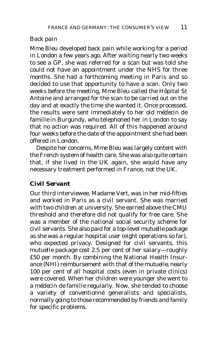#### *Back pain*

Mme Bleu developed back pain while working for a period in London a few years ago. After waiting nearly two weeks to see a GP, she was referred for a scan but was told she could not have an appointment under the NHS for three months. She had a forthcoming meeting in Paris and so decided to use that opportunity to have a scan. Only two weeks before the meeting, Mme Bleu called the Hôpital St Antoine and arranged for the scan to be carried out on the day and at exactly the time she wanted it. Once processed, the results were sent immediately to her old *médecin de famille* in Burgundy, who telephoned her in London to say that no action was required. All of this happened around four weeks before the date of the appointment she had been offered in London.

Despite her concerns, Mme Bleu was largely content with the French system of health care. She was also quite certain that, if she lived in the UK again, she would have any necessary treatment performed in France, not the UK.

#### *Civil Servant*

Our third interviewee, Madame Vert, was in her mid-fifties and worked in Paris as a civil servant. She was married with two children at university. She earned above the CMU threshold and therefore did not qualify for free care. She was a member of the national social security scheme for civil servants. She also paid for a top-level *mutuelle* package as she was a regular hospital user (eight operations so far), who expected privacy. Designed for civil servants, this *mutuelle* package cost 2.5 per cent of her salary—roughly £50 per month. By combining the National Health Insurance (NHI) reimbursement with that of the *mutuelle*, nearly 100 per cent of all hospital costs (even in private clinics) were covered. When her children were younger she went to a *médecin de famille* regularly. Now, she tended to choose a variety of *conventionné* generalists and specialists, normally going to those recommended by friends and family for specific problems.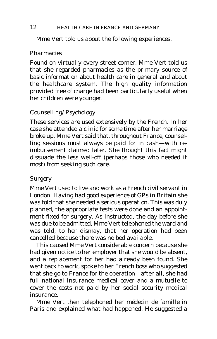#### 12 **HEALTH CARE IN FRANCE AND GERMANY**

Mme Vert told us about the following experiences.

# *Pharmacies*

Found on virtually every street corner, Mme Vert told us that she regarded pharmacies as the primary source of basic information about health care in general and about the healthcare system. The high quality information provided free of charge had been particularly useful when her children were younger.

# *Counselling/Psychology*

These services are used extensively by the French. In her case she attended a clinic for some time after her marriage broke up. Mme Vert said that, throughout France, counselling sessions must always be paid for in cash—with reimbursement claimed later. She thought this fact might dissuade the less well-off (perhaps those who needed it most) from seeking such care.

# *Surgery*

Mme Vert used to live and work as a French civil servant in London. Having had good experience of GPs in Britain she was told that she needed a serious operation. This was duly planned, the appropriate tests were done and an appointment fixed for surgery. As instructed, the day before she was due to be admitted, Mme Vert telephoned the ward and was told, to her dismay, that her operation had been cancelled because there was no bed available.

This caused Mme Vert considerable concern because she had given notice to her employer that she would be absent, and a replacement for her had already been found. She went back to work, spoke to her French boss who suggested that she go to France for the operation—after all, she had full national insurance medical cover and a *mutuelle* to cover the costs not paid by her social security medical insurance.

Mme Vert then telephoned her *médecin de famille* in Paris and explained what had happened. He suggested a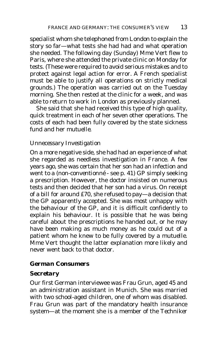specialist whom she telephoned from London to explain the story so far—what tests she had had and what operation she needed. The following day (Sunday) Mme Vert flew to Paris, where she attended the private clinic on Monday for tests. (These were required to avoid serious mistakes and to protect against legal action for error. A French specialist must be able to justify all operations on strictly medical grounds.) The operation was carried out on the Tuesday morning. She then rested at the clinic for a week, and was able to return to work in London as previously planned.

She said that she had received this type of high quality, quick treatment in each of her seven other operations. The costs of each had been fully covered by the state sickness fund and her *mutuelle*.

#### *Unnecessary Investigation*

On a more negative side, she had had an experience of what she regarded as needless investigation in France. A few years ago, she was certain that her son had an infection and went to a (*non-conventionné* - see p. 41) GP simply seeking a prescription. However, the doctor insisted on numerous tests and then decided that her son had a virus. On receipt of a bill for around £70, she refused to pay—a decision that the GP apparently accepted. She was most unhappy with the behaviour of the GP, and it is difficult confidently to explain his behaviour. It is possible that he was being careful about the prescriptions he handed out, or he may have been making as much money as he could out of a patient whom he knew to be fully covered by a *mutuelle*. Mme Vert thought the latter explanation more likely and never went back to that doctor.

#### *German Consumers*

#### *Secretary*

Our first German interviewee was Frau Grun, aged 45 and an administration assistant in Munich. She was married with two school-aged children, one of whom was disabled. Frau Grun was part of the mandatory health insurance system—at the moment she is a member of the *Techniker*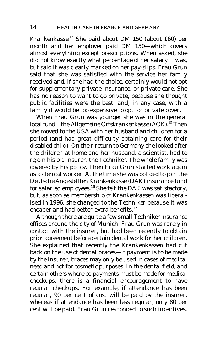*Krankenkasse*. 14 She paid about DM 150 (about £60) per month and her employer paid DM 150—which covers almost everything except prescriptions. When asked, she did not know exactly what percentage of her salary it was, but said it was clearly marked on her pay-slips. Frau Grun said that she was satisfied with the service her family received and, if she had the choice, certainly would not opt for supplementary private insurance, or private care. She has no reason to want to go private, because she thought public facilities were the best, and, in any case, with a family it would be too expensive to opt for private cover.

When Frau Grun was younger she was in the general local fund—the *Allgemeine Ortskrankenkasse* (AOK).15 Then she moved to the USA with her husband and children for a period (and had great difficulty obtaining care for their disabled child). On their return to Germany she looked after the children at home and her husband, a scientist, had to rejoin his old insurer, the *Techniker*. The whole family was covered by his policy. Then Frau Grun started work again as a clerical worker. At the time she was obliged to join the *Deutsche Angestellten Krankenkasse* (DAK) insurance fund for salaried employees.<sup>16</sup> She felt the DAK was satisfactory, but, as soon as membership of *Krankenkassen* was liberalised in 1996, she changed to the *Techniker* because it was cheaper and had better extra benefits.<sup>17</sup>

Although there are quite a few small *Techniker* insurance offices around the city of Munich, Frau Grun was rarely in contact with the insurer, but had been recently to obtain prior agreement before certain dental work for her children. She explained that recently the *Krankenkassen* had cut back on the use of dental braces—if payment is to be made by the insurer, braces may only be used in cases of medical need and not for cosmetic purposes. In the dental field, and certain others where co-payments must be made for medical checkups, there is a financial encouragement to have regular checkups. For example, if attendance has been regular, 90 per cent of cost will be paid by the insurer, whereas if attendance has been less regular, only 80 per cent will be paid. Frau Grun responded to such incentives.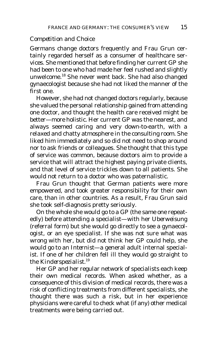#### *Competition and Choice*

Germans change doctors frequently and Frau Grun certainly regarded herself as a consumer of healthcare services. She mentioned that before finding her current GP she had been to one who had made her feel rushed and slightly unwelcome.18 She never went back. She had also changed gynaecologist because she had not liked the manner of the first one.

However, she had not changed doctors regularly, because she valued the personal relationship gained from attending one doctor, and thought the health care received might be better—more holistic. Her current GP was the nearest, and always seemed caring and very down-to-earth, with a relaxed and chatty atmosphere in the consulting room. She liked him immediately and so did not need to shop around nor to ask friends or colleagues. She thought that this type of service was common, because doctors aim to provide a service that will attract the highest paying private clients, and that level of service trickles down to all patients. She would not return to a doctor who was paternalistic.

Frau Grun thought that German patients were more empowered, and took greater responsibility for their own care, than in other countries. As a result, Frau Grun said she took self-diagnosis pretty seriously.

On the whole she would go to a GP (the same one repeatedly) before attending a specialist—with her *Uberweisung* (referral form) but she would go directly to see a gynaecologist, or an eye specialist. If she was not sure what was wrong with her, but did not think her GP could help, she would go to an *Internist*—a general adult internal specialist. If one of her children fell ill they would go straight to the *Kinderspezialist*. 19

Her GP and her regular network of specialists each keep their own medical records. When asked whether, as a consequence of this division of medical records, there was a risk of conflicting treatments from different specialists, she thought there was such a risk, but in her experience physicians were careful to check what (if any) other medical treatments were being carried out.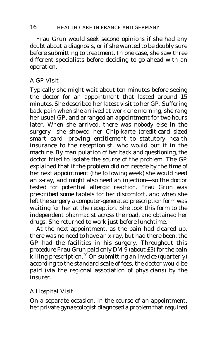#### 16 HEALTH CARE IN FRANCE AND GERMANY

Frau Grun would seek second opinions if she had any doubt about a diagnosis, or if she wanted to be doubly sure before submitting to treatment. In one case, she saw three different specialists before deciding to go ahead with an operation.

#### *A GP Visit*

Typically she might wait about ten minutes before seeing the doctor for an appointment that lasted around 15 minutes. She described her latest visit to her GP. Suffering back pain when she arrived at work one morning, she rang her usual GP, and arranged an appointment for two hours later. When she arrived, there was nobody else in the surgery—she showed her *Chip-karte* (credit-card sized smart card—proving entitlement to statutory health insurance to the receptionist, who would put it in the machine. By manipulation of her back and questioning, the doctor tried to isolate the source of the problem. The GP explained that if the problem did not recede by the time of her next appointment (the following week) she would need an x-ray, and might also need an injection—so the doctor tested for potential allergic reaction. Frau Grun was prescribed some tablets for her discomfort, and when she left the surgery a computer-generated prescription form was waiting for her at the reception. She took this form to the independent pharmacist across the road, and obtained her drugs. She returned to work just before lunchtime.

At the next appointment, as the pain had cleared up, there was no need to have an x-ray, but had there been, the GP had the facilities in his surgery. Throughout this procedure Frau Grun paid only DM 9 (about £3) for the pain killing prescription.20 On submitting an invoice (quarterly) according to the standard scale of fees, the doctor would be paid (via the regional association of physicians) by the insurer.

#### *A Hospital Visit*

On a separate occasion, in the course of an appointment, her private gynaecologist diagnosed a problem that required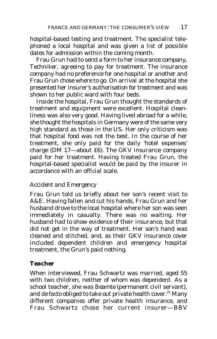hospital-based testing and treatment. The specialist telephoned a local hospital and was given a list of possible dates for admission within the coming month.

Frau Grun had to send a form to her insurance company, *Techniker*, agreeing to pay for treatment. The insurance company had no preference for one hospital or another and Frau Grun chose where to go. On arrival at the hospital she presented her insurer's authorisation for treatment and was shown to her public ward with four beds.

Inside the hospital, Frau Grun thought the standards of treatment and equipment were excellent. Hospital cleanliness was also very good. Having lived abroad for a while, she thought the hospitals in Germany were of the same very high standard as those in the US. Her only criticism was that hospital food was not the best. In the course of her treatment, she only paid for the daily 'hotel expenses' charge (DM 17—about £6). The GKV insurance company paid for her treatment. Having treated Frau Grun, the hospital-based specialist would be paid by the insurer in accordance with an official scale.

# *Accident and Emergency*

Frau Grun told us briefly about her son's recent visit to A&E. Having fallen and cut his hands, Frau Grun and her husband drove to the local hospital where her son was seen immediately in casualty. There was no waiting. Her husband had to show evidence of their insurance, but that did not get in the way of treatment. Her son's hand was cleaned and stitched, and, as their GKV insurance cover included dependent children and emergency hospital treatment, the Grun's paid nothing.

# *Teacher*

When interviewed, Frau Schwartz was married, aged 55 with two children, neither of whom was dependent. As a school teacher, she was *Beamte* (permanent civil servant), and *de facto* obliged to take out private health cover.<sup>21</sup> Many different companies offer private health insurance, and Frau Schwartz chose her current insurer—*BBV*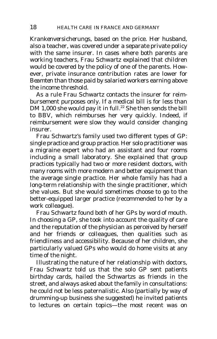*Krankenversicherungs*, based on the price. Her husband, also a teacher, was covered under a separate private policy with the same insurer. In cases where both parents are working teachers, Frau Schwartz explained that children would be covered by the policy of one of the parents. However, private insurance contribution rates are lower for *Beamten* than those paid by salaried workers earning above the income threshold.

As a rule Frau Schwartz contacts the insurer for reimbursement purposes only. If a medical bill is for less than DM 1,000 she would pay it in full.<sup>22</sup> She then sends the bill to BBV, which reimburses her very quickly. Indeed, if reimbursement were slow they would consider changing insurer.

Frau Schwartz's family used two different types of GP: single practice and group practice. Her solo practitioner was a migraine expert who had an assistant and four rooms including a small laboratory. She explained that group practices typically had two or more resident doctors, with many rooms with more modern and better equipment than the average single practice. Her whole family has had a long-term relationship with the single practitioner, which she values. But she would sometimes choose to go to the better-equipped larger practice (recommended to her by a work colleague).

Frau Schwartz found both of her GPs by word of mouth. In choosing a GP, she took into account the quality of care and the reputation of the physician as perceived by herself and her friends or colleagues, then qualities such as friendliness and accessibility. Because of her children, she particularly valued GPs who would do home visits at any time of the night.

Illustrating the nature of her relationship with doctors, Frau Schwartz told us that the solo GP sent patients birthday cards, hailed the Schwartzs as friends in the street, and always asked about the family in consultations: he could not be less paternalistic. Also (partially by way of drumming-up business she suggested) he invited patients to lectures on certain topics—the most recent was on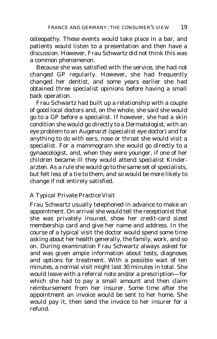osteopathy. These events would take place in a bar, and patients would listen to a presentation and then have a discussion. However, Frau Schwartz did not think this was a common phenomenon.

Because she was satisfied with the service, she had not changed GP regularly. However, she had frequently changed her dentist, and some years earlier she had obtained three specialist opinions before having a small back operation.

Frau Schwartz had built up a relationship with a couple of good local doctors and, on the whole, she said she would go to a GP before a specialist. If however, she had a skin condition she would go directly to a *Dermatologist*, with an eye problem to an *Augenarzt* (specialist eye doctor) and for anything to do with ears, nose or throat she would visit a specialist. For a mammogram she would go directly to a gynaecologist, and, when they were younger, if one of her children became ill they would attend specialist *Kinderarzten*. As a rule she would go to the same set of specialists, but felt less of a tie to them, and so would be more likely to change if not entirely satisfied.

### *A Typical Private Practice Visit*

Frau Schwartz usually telephoned in advance to make an appointment. On arrival she would tell the receptionist that she was privately insured, show her credit-card sized membership card and give her name and address. In the course of a typical visit the doctor would spend some time asking about her health generally, the family, work, and so on. During examination Frau Schwartz always asked for and was given ample information about tests, diagnoses and options for treatment. With a possible wait of ten minutes, a normal visit might last 30 minutes in total. She would leave with a referral note and/or a prescription—for which she had to pay a small amount and then claim reimbursement from her insurer. Some time after the appointment an invoice would be sent to her home. She would pay it, then send the invoice to her insurer for a refund.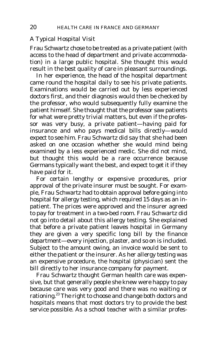#### *A Typical Hospital Visit*

Frau Schwartz chose to be treated as a private patient (with access to the head of department and private accommodation) in a large public hospital. She thought this would result in the best quality of care in pleasant surroundings.

In her experience, the head of the hospital department came round the hospital daily to see his private patients. Examinations would be carried out by less experienced doctors first, and their diagnosis would then be checked by the professor, who would subsequently fully examine the patient himself. She thought that the professor saw patients for what were pretty trivial matters, but even if the professor was very busy, a private patient—having paid for insurance and who pays medical bills directly—would expect to see him. Frau Schwartz did say that she had been asked on one occasion whether she would mind being examined by a less experienced medic. She did not mind, but thought this would be a rare occurrence because Germans typically want the best, and expect to get it if they have paid for it.

For certain lengthy or expensive procedures, prior approval of the private insurer must be sought. For example, Frau Schwartz had to obtain approval before going into hospital for allergy testing, which required 15 days as an inpatient. The prices were approved and the insurer agreed to pay for treatment in a two-bed room. Frau Schwartz did not go into detail about this allergy testing. She explained that before a private patient leaves hospital in Germany they are given a very specific long bill by the finance department—every injection, plaster, and so on is included. Subject to the amount owing, an invoice would be sent to either the patient or the insurer. As her allergy testing was an expensive procedure, the hospital (physician) sent the bill directly to her insurance company for payment.

Frau Schwartz thought German health care was expensive, but that generally people she knew were happy to pay because care was very good and there was no waiting or rationing.<sup>23</sup> The right to choose and change both doctors and hospitals means that most doctors try to provide the best service possible. As a school teacher with a similar profes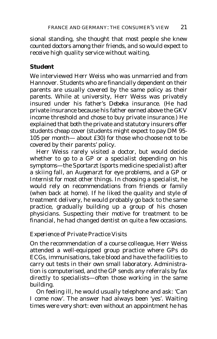sional standing, she thought that most people she knew counted doctors among their friends, and so would expect to receive high quality service without waiting.

# *Student*

We interviewed Herr Weiss who was unmarried and from Hannover. Students who are financially dependent on their parents are usually covered by the same policy as their parents. While at university, Herr Weiss was privately insured under his father's *Debeka* insurance. (He had private insurance because his father earned above the GKV income threshold and chose to buy private insurance.) He explained that both the private and statutory insurers offer students cheap cover (students might expect to pay DM 95- 105 per month— about £30) for those who choose not to be covered by their parents' policy.

Herr Weiss rarely visited a doctor, but would decide whether to go to a GP or a specialist depending on his symptoms—the *Sportarzt* (sports medicine specialist) after a skiing fall, an *Augenarzt* for eye problems, and a GP or *Internist* for most other things. In choosing a specialist, he would rely on recommendations from friends or family (when back at home). If he liked the quality and style of treatment delivery, he would probably go back to the same practice, gradually building up a group of his chosen physicians. Suspecting their motive for treatment to be financial, he had changed dentist on quite a few occasions.

#### *Experience of Private Practice Visits*

On the recommendation of a course colleague, Herr Weiss attended a well-equipped group practice where GPs do ECGs, immunisations, take blood and have the facilities to carry out tests in their own small laboratory. Administration is computerised, and the GP sends any referrals by fax directly to specialists—often those working in the same building.

On feeling ill, he would usually telephone and ask: 'Can I come now'. The answer had always been 'yes'. Waiting times were very short: even without an appointment he has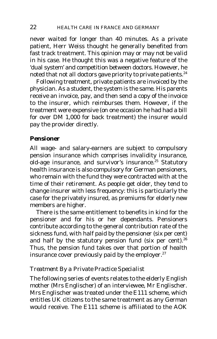never waited for longer than 40 minutes. As a private patient, Herr Weiss thought he generally benefited from fast track treatment. This opinion may or may not be valid in his case. He thought this was a negative feature of the 'dual system' and competition between doctors. However, he noted that not all doctors gave priority to private patients.<sup>24</sup>

Following treatment, private patients are invoiced by the physician. As a student, the system is the same. His parents receive an invoice, pay, and then send a copy of the invoice to the insurer, which reimburses them. However, if the treatment were expensive (on one occasion he had had a bill for over DM 1,000 for back treatment) the insurer would pay the provider directly.

#### *Pensioner*

All wage- and salary-earners are subject to compulsory pension insurance which comprises invalidity insurance, old-age insurance, and survivor's insurance.<sup>25</sup> Statutory health insurance is also compulsory for German pensioners, who remain with the fund they were contracted with at the time of their retirement. As people get older, they tend to change insurer with less frequency: this is particularly the case for the privately insured, as premiums for elderly new members are higher.

There is the same entitlement to benefits in kind for the pensioner and for his or her dependants. Pensioners contribute according to the general contribution rate of the sickness fund, with half paid by the pensioner (six per cent) and half by the statutory pension fund (six per cent). $26$ Thus, the pension fund takes over that portion of health insurance cover previously paid by the employer. $27$ 

#### *Treatment By a Private Practice Specialist*

The following series of events relates to the elderly English mother (Mrs Englischer) of an interviewee, Mr Englischer. Mrs Englischer was treated under the E111 scheme, which entitles UK citizens to the same treatment as any German would receive. The E111 scheme is affiliated to the AOK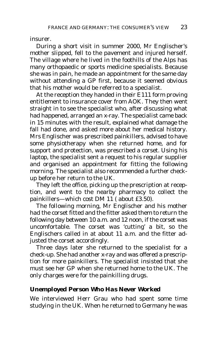insurer.

During a short visit in summer 2000, Mr Englischer's mother slipped, fell to the pavement and injured herself. The village where he lived in the foothills of the Alps has many orthopaedic or sports medicine specialists. Because she was in pain, he made an appointment for the same day without attending a GP first, because it seemed obvious that his mother would be referred to a specialist.

At the reception they handed in their E111 form proving entitlement to insurance cover from AOK. They then went straight in to see the specialist who, after discussing what had happened, arranged an x-ray. The specialist came back in 15 minutes with the result, explained what damage the fall had done, and asked more about her medical history. Mrs Englischer was prescribed painkillers, advised to have some physiotherapy when she returned home, and for support and protection, was prescribed a corset. Using his laptop, the specialist sent a request to his regular supplier and organised an appointment for fitting the following morning. The specialist also recommended a further checkup before her return to the UK.

They left the office, picking up the prescription at reception, and went to the nearby pharmacy to collect the painkillers—which cost DM 11 ( about £3.50).

The following morning, Mr Englischer and his mother had the corset fitted and the fitter asked them to return the following day between 10 a.m. and 12 noon, if the corset was uncomfortable. The corset was 'cutting' a bit, so the Englischers called in at about 11 a.m. and the fitter adjusted the corset accordingly.

Three days later she returned to the specialist for a check-up. She had another x-ray and was offered a prescription for more painkillers. The specialist insisted that she must see her GP when she returned home to the UK. The only charges were for the painkilling drugs.

#### *Unemployed Person Who Has Never Worked*

We interviewed Herr Grau who had spent some time studying in the UK. When he returned to Germany he was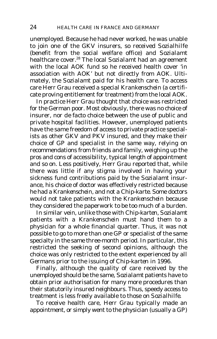unemployed. Because he had never worked, he was unable to join one of the GKV insurers, so received *Sozialhilfe* (benefit from the social welfare office) and *Sozialamt* healthcare cover.28 The local *Sozialamt* had an agreement with the local AOK fund so he received health cover 'in association with AOK' but not directly from AOK. Ultimately, the *Sozialamt* paid for his health care. To access care Herr Grau received a special *Krankenschein* (a certificate proving entitlement for treatment) from the local AOK.

In practice Herr Grau thought that choice was restricted for the German poor. Most obviously, there was no choice of insurer, nor *de facto* choice between the use of public and private hospital facilities. However, unemployed patients have the same freedom of access to private practice specialists as other GKV and PKV insured, and they make their choice of GP and specialist in the same way, relying on recommendations from friends and family, weighing up the pros and cons of accessibility, typical length of appointment and so on. Less positively, Herr Grau reported that, while there was little if any stigma involved in having your sickness fund contributions paid by the *Sozialamt* insurance, his choice of doctor was effectively restricted because he had a *Krankenschein*, and not a *Chip-karte*. Some doctors would not take patients with the *Krankenschein* because they considered the paperwork to be too much of a burden.

In similar vein, unlike those with *Chip-karten*, *Sozialamt* patients with a *Krankenschein* must hand them to a physician for a whole financial quarter. Thus, it was not possible to go to more than one GP or specialist of the same specialty in the same three-month period. In particular, this restricted the seeking of second opinions, although the choice was only restricted to the extent experienced by all Germans prior to the issuing of *Chip-karten* in 1996.

Finally, although the quality of care received by the unemployed should be the same, *Sozialamt* patients have to obtain prior authorisation for many more procedures than their statutorily insured neighbours. Thus, speedy access to treatment is less freely available to those on *Sozialhilfe*.

To receive health care, Herr Grau typically made an appointment, or simply went to the physician (usually a GP)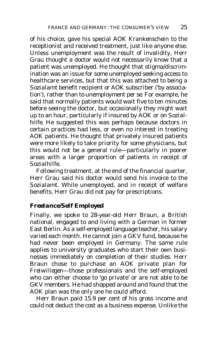of his choice, gave his special AOK *Krankenschein* to the receptionist and received treatment, just like anyone else. Unless unemployment was the result of invalidity, Herr Grau thought a doctor would not necessarily know that a patient was unemployed. He thought that stigma/discrimination was an issue for some unemployed seeking access to healthcare services, but that this was attached to being a *Sozialamt* benefit recipient or AOK subscriber ('by association'), rather than to unemployment *per se*. For example, he said that normally patients would wait five to ten minutes before seeing the doctor, but occasionally they might wait up to an hour, particularly if insured by AOK or on *Sozialhilfe*. He suggested this was perhaps because doctors in certain practices had less, or even no interest in treating AOK patients. He thought that privately insured patients were more likely to take priority for some physicians, but this would not be a general rule—particularly in poorer areas with a larger proportion of patients in receipt of *Sozialhilfe*.

Following treatment, at the end of the financial quarter, Herr Grau said his doctor would send his invoice to the *Sozialamt*. While unemployed, and in receipt of welfare benefits, Herr Grau did not pay for prescriptions.

# *Freelance/Self Employed*

Finally, we spoke to 28-year-old Herr Braun, a British national, engaged to and living with a German in former East Berlin. As a self-employed language teacher, his salary varied each month. He cannot join a GKV fund, because he had never been employed in Germany. The same rule applies to university graduates who start their own businesses immediately on completion of their studies. Herr Braun chose to purchase an AOK private plan for *Freiwillegen*—those professionals and the self-employed who can either choose to 'go private' or are not able to be GKV members. He had shopped around and found that the AOK plan was the only one he could afford.

Herr Braun paid 15.9 per cent of his gross income and could not deduct the cost as a business expense. Unlike the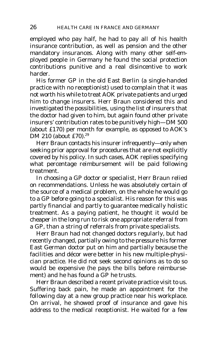employed who pay half, he had to pay all of his health insurance contribution, as well as pension and the other mandatory insurances. Along with many other self-employed people in Germany he found the social protection contributions punitive and a real disincentive to work harder.

His former GP in the old East Berlin (a single-handed practice with no receptionist) used to complain that it was not worth his while to treat AOK private patients and urged him to change insurers. Herr Braun considered this and investigated the possibilities, using the list of insurers that the doctor had given to him, but again found other private insurers' contribution rates to be punitively high—DM 500 (about £170) per month for example, as opposed to AOK's DM 210 (about £70).<sup>29</sup>

Herr Braun contacts his insurer infrequently—only when seeking prior approval for procedures that are not explicitly covered by his policy. In such cases, AOK replies specifying what percentage reimbursement will be paid following treatment.

In choosing a GP doctor or specialist, Herr Braun relied on recommendations. Unless he was absolutely certain of the source of a medical problem, on the whole he would go to a GP before going to a specialist. His reason for this was partly financial and partly to guarantee medically holistic treatment. As a paying patient, he thought it would be cheaper in the long run to risk one appropriate referral from a GP, than a string of referrals from private specialists.

Herr Braun had not changed doctors regularly, but had recently changed, partially owing to the pressure his former East German doctor put on him and partially because the facilities and décor were better in his new multiple-physician practice. He did not seek second opinions as to do so would be expensive (he pays the bills before reimbursement) and he has found a GP he trusts.

Herr Braun described a recent private practice visit to us. Suffering back pain, he made an appointment for the following day at a new group practice near his workplace. On arrival, he showed proof of insurance and gave his address to the medical receptionist. He waited for a few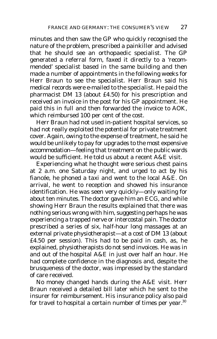minutes and then saw the GP who quickly recognised the nature of the problem, prescribed a painkiller and advised that he should see an orthopaedic specialist. The GP generated a referral form, faxed it directly to a 'recommended' specialist based in the same building and then made a number of appointments in the following weeks for Herr Braun to see the specialist. Herr Braun said his medical records were e-mailed to the specialist. He paid the pharmacist DM 13 (about £4.50) for his prescription and received an invoice in the post for his GP appointment. He paid this in full and then forwarded the invoice to AOK, which reimbursed 100 per cent of the cost.

Herr Braun had not used in-patient hospital services, so had not really exploited the potential for private treatment cover. Again, owing to the expense of treatment, he said he would be unlikely to pay for upgrades to the most expensive accommodation—feeling that treatment on the public wards would be sufficient. He told us about a recent A&E visit.

Experiencing what he thought were serious chest pains at 2 a.m. one Saturday night, and urged to act by his fiancée, he phoned a taxi and went to the local A&E. On arrival, he went to reception and showed his insurance identification. He was seen very quickly—only waiting for about ten minutes. The doctor gave him an ECG, and while showing Herr Braun the results explained that there was nothing serious wrong with him, suggesting perhaps he was experiencing a trapped nerve or intercostal pain. The doctor prescribed a series of six, half-hour long massages at an external private physiotherapist—at a cost of DM 13 (about £4.50 per session). This had to be paid in cash, as, he explained, physiotherapists do not send invoices. He was in and out of the hospital A&E in just over half an hour. He had complete confidence in the diagnosis and, despite the brusqueness of the doctor, was impressed by the standard of care received.

No money changed hands during the A&E visit. Herr Braun received a detailed bill later which he sent to the insurer for reimbursement. His insurance policy also paid for travel to hospital a certain number of times per year.30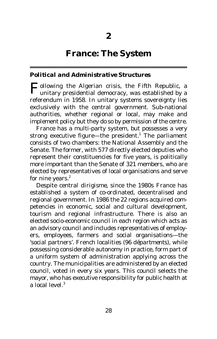# **France: The System**

#### *Political and Administrative Structures*

Following the Algerian crisis, the Fifth Republic, a unitary presidential democracy, was established by a referendum in 1958. In unitary systems sovereignty lies exclusively with the central government. Sub-national authorities, whether regional or local, may make and implement policy but they do so by permission of the centre.

France has a multi-party system, but possesses a very strong executive figure—the president.<sup>1</sup> The parliament consists of two chambers: the National Assembly and the Senate. The former, with 577 directly elected deputies who represent their constituencies for five years, is politically more important than the Senate of 321 members, who are elected by representatives of local organisations and serve for nine years.<sup>2</sup>

Despite central *dirigisme*, since the 1980s France has established a system of co-ordinated, decentralised and regional government. In 1986 the 22 regions acquired competencies in economic, social and cultural development, tourism and regional infrastructure. There is also an elected socio-economic council in each region which acts as an advisory council and includes representatives of employers, employees, farmers and social organisations—the 'social partners'. French localities (96 *départments*), while possessing considerable autonomy in practice, form part of a uniform system of administration applying across the country. The municipalities are administered by an elected council, voted in every six years. This council selects the mayor, who has executive responsibility for public health at a local level.<sup>3</sup>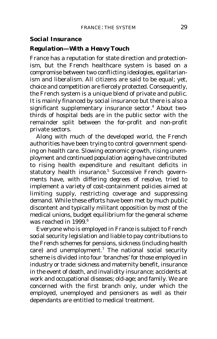#### *Social Insurance*

#### *Regulation—With a Heavy Touch*

France has a reputation for state direction and protectionism, but the French healthcare system is based on a compromise between two conflicting ideologies, egalitarianism and liberalism. All citizens are said to be equal; yet, choice and competition are fiercely protected. Consequently, the French system is a unique blend of private and public. It is mainly financed by social insurance but there is also a significant supplementary insurance sector.<sup>4</sup> About twothirds of hospital beds are in the public sector with the remainder split between the for-profit and non-profit private sectors.

Along with much of the developed world, the French authorities have been trying to control government spending on health care. Slowing economic growth, rising unemployment and continued population ageing have contributed to rising health expenditure and resultant deficits in statutory health insurance.<sup>5</sup> Successive French governments have, with differing degrees of resolve, tried to implement a variety of cost-containment policies aimed at limiting supply, restricting coverage and suppressing demand. While these efforts have been met by much public discontent and typically militant opposition by most of the medical unions, budget equilibrium for the general scheme was reached in 1999.<sup>6</sup>

Everyone who is employed in France is subject to French social security legislation and liable to pay contributions to the French schemes for pensions, sickness (including health care) and unemployment.<sup>7</sup> The national social security scheme is divided into four 'branches' for those employed in industry or trade: sickness and maternity benefit, insurance in the event of death, and invalidity insurance; accidents at work and occupational diseases; old-age; and family. We are concerned with the first branch only, under which the employed, unemployed and pensioners as well as their dependants are entitled to medical treatment.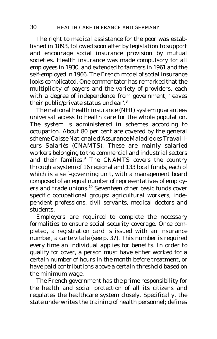The right to medical assistance for the poor was established in 1893, followed soon after by legislation to support and encourage social insurance provision by mutual societies. Health insurance was made compulsory for all employees in 1930, and extended to farmers in 1961 and the self-employed in 1966. The French model of social insurance looks complicated. One commentator has remarked that the multiplicity of payers and the variety of providers, each with a degree of independence from government, 'leaves their public/private status unclear'.8

The national health insurance (NHI) system guarantees universal access to health care for the whole population. The system is administered in schemes according to occupation. About 80 per cent are covered by the general scheme *Caisse Nationale d'Assurance Maladie des Travailleurs Salariés* (CNAMTS). These are mainly salaried workers belonging to the commercial and industrial sectors and their families.<sup>9</sup> The CNAMTS covers the country through a system of 16 regional and 133 local funds, each of which is a self-governing unit, with a management board composed of an equal number of representatives of employers and trade unions.10 Seventeen other basic funds cover specific occupational groups: agricultural workers, independent professions, civil servants, medical doctors and students.<sup>11</sup>

Employers are required to complete the necessary formalities to ensure social security coverage. Once completed, a registration card is issued with an insurance number, a *carte vital*e (see p. 37). This number is required every time an individual applies for benefits. In order to qualify for cover, a person must have either worked for a certain number of hours in the month before treatment, or have paid contributions above a certain threshold based on the minimum wage.

The French government has the prime responsibility for the health and social protection of all its citizens and regulates the healthcare system closely. Specifically, the state underwrites the training of health personnel; defines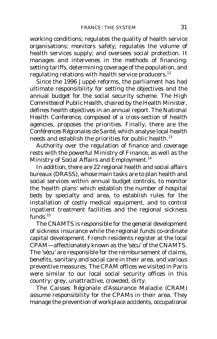working conditions; regulates the quality of health service organisations; monitors safety; regulates the volume of health services supply; and oversees social protection. It manages and intervenes in the methods of financing: setting tariffs, determining coverage of the population, and regulating relations with health service producers.<sup>12</sup>

Since the 1996 Juppé reforms, the *parliament* has had ultimate responsibility for setting the objectives and the annual budget for the social security scheme. The *High Committee of Public Health*, chaired by the Health Minister, defines health objectives in an annual report. The *National Health Conference*, composed of a cross-section of health agencies, proposes the priorities. Finally, there are the *Conférences Régionales de Santé,* which analyse local health needs and establish the priorities for public health.<sup>13</sup>

Authority over the regulation of finance and coverage rests with the powerful Ministry of Finance, as well as the Ministry of Social Affairs and Employment.<sup>14</sup>

In addition, there are 22 regional health and social affairs bureaux (DRASS), whose main tasks are to plan health and social services within annual budget controls, to monitor the 'health plans' which establish the number of hospital beds by specialty and area, to establish rules for the installation of costly medical equipment, and to control inpatient treatment facilities and the regional sickness funds $15$ 

The CNAMTS is responsible for the general development of sickness insurance while the regional funds co-ordinate capital development. French residents register at the local CPAM—affectionately known as the '*sécu*' of the CNAMTS. The '*sécu*' are responsible for the reimbursement of claims, benefits, sanitary and social care in their area, and various preventive measures. The CPAM offices we visited in Paris were similar to our local social security offices in this country: grey, unattractive, crowded, dirty.

The *Caisses Régionale d'Assurance Maladie* (*CRAM*) assume responsibility for the CPAMs in their area. They manage the prevention of workplace accidents, occupational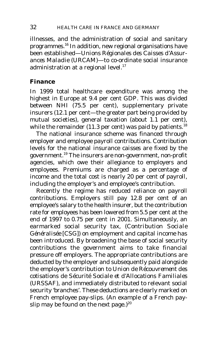illnesses, and the administration of social and sanitary programmes.16 In addition, new regional organisations have been established—*Unions Régionales des Caisses d'Assurances Maladie* (URCAM)—to co-ordinate social insurance administration at a regional level. $17$ 

### *Finance*

In 1999 total healthcare expenditure was among the highest in Europe at 9.4 per cent GDP. This was divided between NHI (75.5 per cent), supplementary private insurers (12.1 per cent—the greater part being provided by mutual societies), general taxation (about 1.1 per cent), while the remainder (11.3 per cent) was paid by patients.<sup>18</sup>

The national insurance scheme was financed through employer and employee payroll contributions. Contribution levels for the national insurance *caisses* are fixed by the government.19 The insurers are non-government, non-profit agencies, which owe their allegiance to employers and employees. Premiums are charged as a percentage of income and the total cost is nearly 20 per cent of payroll, including the employer's and employee's contribution.

Recently the regime has reduced reliance on payroll contributions. Employers still pay 12.8 per cent of an employee's salary to the health insurer, but the contribution rate for employees has been lowered from 5.5 per cent at the end of 1997 to 0.75 per cent in 2001. Simultaneously, an earmarked social security tax, (*Contribution Sociale Généralisée* [CSG]) on employment and capital income has been introduced. By broadening the base of social security contributions the government aims to take financial pressure off employers. The appropriate contributions are deducted by the employer and subsequently paid alongside the employer's contribution to *Union de Récouvrement des cotisations de Sécurité Sociale et d'Allocations Familiales* (URSSAF), and immediately distributed to relevant social security 'branches'. These deductions are clearly marked on French employee pay-slips. (An example of a French payslip may be found on the next page.) $20$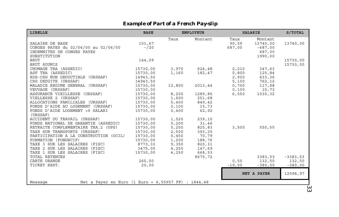### *Example of Part of a French Pay-slip*

| LIBELLE                                                                                               | <b>BASE</b>          | <b>EMPLOYEUR</b> |         | <b>SALARIE</b>          |                                                       | S/TOTAL    |  |
|-------------------------------------------------------------------------------------------------------|----------------------|------------------|---------|-------------------------|-------------------------------------------------------|------------|--|
| SALAIRE DE BASE<br>CONGES PAYES du 02/06/00 au 02/06/00<br>INDEMNITES DE CONGES PAYES<br>SUBSTITUTION | 151,67<br>$- / 20$   | Taux             | Montant | Taux<br>90,59<br>687,00 | Montant<br>13740,00<br>$-687,00$<br>687,00<br>1990,00 | 13740,00   |  |
| <b>BRUT</b>                                                                                           | 144,09               |                  |         |                         |                                                       | 15730,00   |  |
| BRUT SOUMIS                                                                                           |                      |                  |         |                         |                                                       | 15730,00   |  |
| CHOMAGE TRA (ASSEDIC)                                                                                 | 15730,00             | 3,970            | 624,48  | 2,210                   | 347,63                                                |            |  |
| ASF TRA (ASSEDIC)                                                                                     | 15730,00             | 1,160            | 182,47  | 0,800                   | 125,84                                                |            |  |
| RDS-CSG NON DEDUCTIBLE (URSSAF)                                                                       | 14943,50             |                  |         | 2,900                   | 433,36                                                |            |  |
| CSG DEDUITE (URSSAF)                                                                                  | 14943,50             |                  |         | 5,100                   | 762,12                                                |            |  |
| MALADIE REGIME GENERAL (URSSAF)<br>VEUVAGE (URSSAF)                                                   | 15730,00<br>15730,00 | 12,800           | 2013,44 | 0,750<br>0,100          | 117,98<br>15,73                                       |            |  |
| ASSURANCE VIEILLESSE (URSSAF)                                                                         | 15730,00             | 8,200            | 1289,86 | 6,550                   | 1030,32                                               |            |  |
| VIELLESSE 2 (URSSAF)                                                                                  | 15730,00             | 1,600            | 251,68  |                         |                                                       |            |  |
| ALLOCATIONS FAMILIALES (URSSAF)                                                                       | 15730,00             | 5,400            | 849,42  |                         |                                                       |            |  |
| FONDS D'AIDE AU LOGEMENT (URSSAF)                                                                     | 15730,00             | 0,100            | 15,73   |                         |                                                       |            |  |
| FONDS D'AIDE LOGEMENT >9 SALARI<br>(URSSAF)                                                           | 15730,00             | 0,400            | 62,92   |                         |                                                       |            |  |
| ACCIDENT DU TRAVAIL (URSSAF)                                                                          | 15730,00             | 1,520            | 239,10  |                         |                                                       |            |  |
| FONDS NATIONAL DE GARANTIE (ASSEDIC)                                                                  | 15730,00             | 0,200            | 31,46   |                         |                                                       |            |  |
| RETRAITE COMPLEMENTAIRE TRA.2 (UPS)                                                                   | 15730,00             | 5,250            | 825,83  | 3,500                   | 550,55                                                |            |  |
| TAXE SUR TRANSPORTS (URSSAF)                                                                          | 15730,00             | 2,500            | 393,25  |                         |                                                       |            |  |
| PARTICIPATION A LA CONSTRUCTION (OCIL)                                                                | 15730,00             | 0,450            | 70,79   |                         |                                                       |            |  |
| FORMATION (FONGECIF)                                                                                  | 15730,00             | 1,200            | 188,76  |                         |                                                       |            |  |
| TAXE 3 SUR LES SALAIRES (FISC)                                                                        | 8773,33              | 9,350            | 820,31  |                         |                                                       |            |  |
| TAXE 2 SUR LES SALAIRES (FISC)                                                                        | 3475,00              | 4,250            | 147.69  |                         |                                                       |            |  |
| TAXE 1 SUR LES SALAIRES (FISC)                                                                        | 15730,00             | 4,250            | 668,53  |                         |                                                       |            |  |
| TOTAL RETENUES                                                                                        |                      |                  | 8675,72 |                         | 3383,53                                               | $-3383,53$ |  |
| CARTE ORANGE                                                                                          | 265,00               |                  |         | 0,50                    | 132,50                                                | 132,50     |  |
| TICKET REST.                                                                                          | 20.00                |                  |         | $-19,00$                | $-380,00$                                             | $-380,00$  |  |
|                                                                                                       |                      |                  |         | NET A PAYER             | 12098,97                                              |            |  |
| Net a Payer en Euro (1 Euro = 6,55957 FF) : 1844,48<br>Message                                        |                      |                  |         |                         |                                                       |            |  |
|                                                                                                       |                      |                  |         |                         |                                                       |            |  |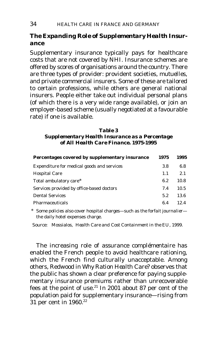### *The Expanding Role of Supplementary Health Insurance*

Supplementary insurance typically pays for healthcare costs that are not covered by NHI. Insurance schemes are offered by scores of organisations around the country. There are three types of provider: provident societies, *mutuelles*, and private commercial insurers. Some of these are tailored to certain professions, while others are general national insurers. People either take out individual personal plans (of which there is a very wide range available), or join an employer-based scheme (usually negotiated at a favourable rate) if one is available.

#### *Table 3 Supplementary Health Insurance as a Percentage of All Health Care Finance. 1975-1995*

| Percentages covered by supplementary insurance |     | 1995 |
|------------------------------------------------|-----|------|
| Expenditure for medical goods and services     |     | 6.8  |
| <b>Hospital Care</b>                           | 1.1 | 2.1  |
| Total ambulatory care*                         | 6.2 | 10.8 |
| Services provided by office-based doctors      | 7.4 | 10.5 |
| <b>Dental Services</b>                         | 5.2 | 13.6 |
| <b>Pharmaceuticals</b>                         | 6.4 | 12.4 |
|                                                |     |      |

 \* Some policies also cover hospital charges—such as the *forfait journalier* the daily hotel expenses charge.

Source: Mossialos, *Health Care and Cost Containment in the EU*, 1999.

The increasing role of *assurance complémentaire* has enabled the French people to avoid healthcare rationing, which the French find culturally unacceptable. Among others, Redwood in *Why Ration Health Care?* observes that the public has shown a clear preference for paying supplementary insurance premiums rather than unrecoverable fees at the point of use.<sup>21</sup> In 2001 about 87 per cent of the population paid for supplementary insurance—rising from 31 per cent in 1960.22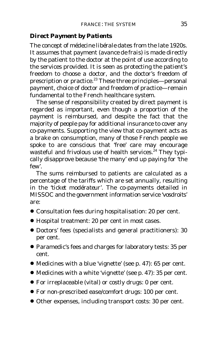### *Direct Payment by Patients*

The concept of *médecine libérale* dates from the late 1920s. It assumes that payment (*avance de frais)* is made directly by the patient to the doctor at the point of use according to the services provided. It is seen as protecting the patient's freedom to choose a doctor, and the doctor's freedom of prescription or practice.<sup>23</sup> These three principles—personal payment, choice of doctor and freedom of practice—remain fundamental to the French healthcare system.

The sense of responsibility created by direct payment is regarded as important, even though a proportion of the payment is reimbursed, and despite the fact that the majority of people pay for additional insurance to cover any co-payments. Supporting the view that co-payment acts as a brake on consumption, many of those French people we spoke to are conscious that 'free' care may encourage wasteful and frivolous use of health services.<sup>24</sup> They typically disapprove because 'the many' end up paying for 'the few'.

The sums reimbursed to patients are calculated as a percentage of the tariffs which are set annually, resulting in the '*ticket modérateur*'. The co-payments detailed in MISSOC and the government information service '*vosdroits*' are:

- ! Consultation fees during hospitalisation: 20 per cent.
- ! Hospital treatment: 20 per cent in most cases.
- ! Doctors' fees (specialists and general practitioners): 30 per cent.
- ! Paramedic's fees and charges for laboratory tests: 35 per cent.
- ! Medicines with a blue 'vignette' (see p. 47): 65 per cent.
- ! Medicines with a white 'vignette' (see p. 47): 35 per cent.
- ! For irreplaceable (vital) or costly drugs: 0 per cent.
- ! For non-prescribed ease/comfort drugs: 100 per cent.
- ! Other expenses, including transport costs: 30 per cent.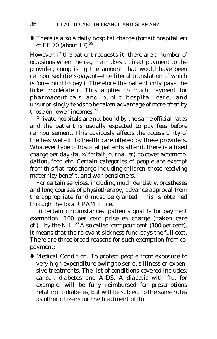! There is also a daily hospital charge (*forfait hospitalier*) of FF 70 (about  $£7$ ).<sup>25</sup>

However, if the patient requests it, there are a number of occasions when the regime makes a direct payment to the provider, comprising the amount that would have been reimbursed (*tiers-payant*—the literal translation of which is 'one-third to pay'). Therefore the patient only pays the *ticket modérateur*. This applies to much payment for pharmaceuticals and public hospital care, and unsurprisingly tends to be taken advantage of more often by those on lower incomes.<sup>26</sup>

Private hospitals are not bound by the same official rates and the patient is usually expected to pay fees before reimbursement. This obviously affects the accessibility of the less well-off to health care offered by these providers. Whatever type of hospital patients attend, there is a fixed charge per day (*taux/forfait journalier*), to cover accommodation, food etc. Certain categories of people are exempt from this flat-rate charge including children, those receiving maternity benefit, and war pensioners.

For certain services, including much dentistry, prostheses and long courses of physiotherapy, advance approval from the appropriate fund must be granted. This is obtained through the local CPAM office.

In certain circumstances, patients qualify for payment exemption—100 per cent *prise en charge* ('taken care of')—by the NHI.27 Also called '*cent pour-cent*' (100 per cent), it means that the relevant sickness fund pays the full cost. There are three broad reasons for such exemption from copayment:

! *Medical Condition*. To protect people from exposure to very high expenditure owing to serious illness or expensive treatments. The list of conditions covered includes: cancer, diabetes and AIDS. A diabetic with flu, for example, will be fully reimbursed for prescriptions relating to diabetes, but will be subject to the same rules as other citizens for the treatment of flu.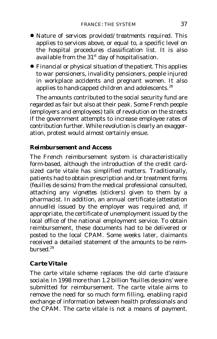- ! *Nature of services provided/treatments required*. This applies to services above, or equal to, a specific level on the hospital procedures classification list. It is also available from the 31<sup>st</sup> day of hospitalisation.
- ! *Financial or physical situation of the patient*. This applies to war pensioners, invalidity pensioners, people injured in workplace accidents and pregnant women. It also applies to handicapped children and adolescents.<sup>28</sup>

The amounts contributed to the social security fund are regarded as fair but also at their peak. Some French people (employers and employees) talk of revolution on the streets if the government attempts to increase employee rates of contribution further. While revolution is clearly an exaggeration, protest would almost certainly ensue.

### *Reimbursement and Access*

The French reimbursement system is characteristically form-based, although the introduction of the credit cardsized *carte vitale* has simplified matters. Traditionally, patients had to obtain prescription and /or treatment forms (*feuilles de soins*) from the medical professional consulted, attaching any *vignettes* (stickers) given to them by a pharmacist. In addition, an annual certificate (*attestation annuelle*) issued by the employer was required and, if appropriate, the certificate of unemployment issued by the local office of the national employment service. To obtain reimbursement, these documents had to be delivered or posted to the local CPAM. Some weeks later, claimants received a detailed statement of the amounts to be reimbursed.29

### *Carte Vitale*

The *carte vitale* scheme replaces the old *carte d'assure sociale.* In 1998 more than 1.2 billion '*feuilles de soins'* were submitted for reimbursement. The *carte vitale* aims to remove the need for so much form filling, enabling rapid exchange of information between health professionals and the CPAM. The *carte vitale* is not a means of payment.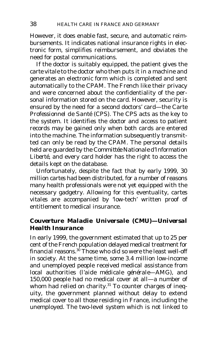However, it does enable fast, secure, and automatic reimbursements. It indicates national insurance rights in electronic form, simplifies reimbursement, and obviates the need for postal communications.

If the doctor is suitably equipped, the patient gives the *carte vitale* to the doctor who then puts it in a machine and generates an electronic form which is completed and sent automatically to the CPAM. The French like their privacy and were concerned about the confidentiality of the personal information stored on the card. However, security is ensured by the need for a second doctors' card—the *Carte Professionnel de Santé* (CPS). The CPS acts as the key to the system. It identifies the doctor and access to patient records may be gained only when both cards are entered into the machine. The information subsequently transmitted can only be read by the CPAM. The personal details held are guarded by the *Committée Nationale d'Information Liberté*, and every card holder has the right to access the details kept on the database.

Unfortunately, despite the fact that by early 1999, 30 million *cartes* had been distributed, for a number of reasons many health professionals were not yet equipped with the necessary gadgetry. Allowing for this eventuality, *cartes vitales* are accompanied by 'low-tech' written proof of entitlement to medical insurance.

### *Couverture Maladie Universale (CMU)—Universal Health Insurance*

In early 1999, the government estimated that up to 25 per cent of the French population delayed medical treatment for financial reasons.  $30$  Those who did so were the least well-off in society. At the same time, some 3.4 million low-income and unemployed people received medical assistance from local authorities (*l'aide médicale générale*—AMG), and 150,000 people had no medical cover at all—a number of whom had relied on charity.<sup>31</sup> To counter charges of inequity, the government planned without delay to extend medical cover to all those residing in France, including the unemployed. The two-level system which is not linked to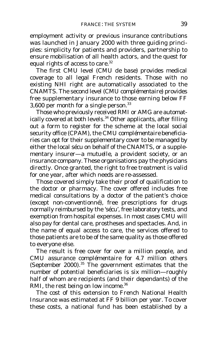employment activity or previous insurance contributions was launched in January 2000 with three guiding principles: simplicity for patients and providers, partnership to ensure mobilisation of all health actors, and the quest for equal rights of access to care.<sup>32</sup>

The first CMU level (CMU *de base*) provides medical coverage to all legal French residents. Those with no existing NHI right are automatically associated to the CNAMTS. The second level (CMU *complémentaire*) provides free supplementary insurance to those earning below FF 3,600 per month for a single person. $33$ 

Those who previously received RMI or AMG are automatically covered at both levels.<sup>34</sup> Other applicants, after filling out a form to register for the scheme at the local social security office (CPAM), the CMU *complémentaire* beneficiaries can opt for their supplementary cover to be managed by either the local *sécu* on behalf of the CNAMTS, or a supplementary insurer—a *mutuelle*, a provident society, or an insurance company. These organisations pay the physicians directly. Once granted, the right to free treatment is valid for one year, after which needs are re-assessed.

Those covered simply take their proof of qualification to the doctor or pharmacy. The cover offered includes free medical consultations by a doctor of the patient's choice (except *non-conventionné*), free prescriptions for drugs normally reimbursed by the '*sécu*', free laboratory tests, and exemption from hospital expenses. In most cases CMU will also pay for dental care, prostheses and spectacles. And, in the name of equal access to care, the services offered to those patients are to be of the same quality as those offered to everyone else.

The result is free cover for over a million people, and CMU *assurance complémentaire* for 4.7 million others (September 2000).<sup>35</sup> The government estimates that the number of potential beneficiaries is six million—roughly half of whom are recipients (and their dependants) of the RMI, the rest being on low income.<sup>36</sup>

The cost of this extension to French National Health Insurance was estimated at FF 9 billion per year. To cover these costs, a national fund has been established by a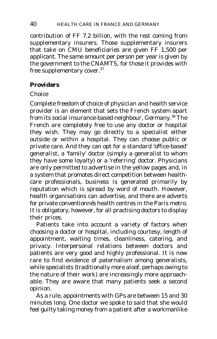contribution of FF 7.2 billion, with the rest coming from supplementary insurers. Those supplementary insurers that take on CMU beneficiaries are given FF 1,500 per applicant. The same amount per person per year is given by the government to the CNAMTS, for those it provides with free supplementary cover.<sup>37</sup>

### *Providers*

### *Choice*

Complete freedom of choice of physician and health service provider is an element that sets the French system apart from its social insurance-based neighbour, Germany.38 The French are completely free to use any doctor or hospital they wish. They may go directly to a specialist either outside or within a hospital. They can choose public or private care. And they can opt for a standard 'office-based' generalist, a 'family' doctor (simply a generalist to whom they have some loyalty) or a 'referring' doctor. Physicians are only permitted to advertise in the yellow pages and, in a system that promotes direct competition between healthcare professionals, business is generated primarily by reputation which is spread by word of mouth. However, health organisations can advertise, and there are adverts for private *conventionnés* health centres in the Paris metro. It is obligatory, however, for all practising doctors to display their prices.

Patients take into account a variety of factors when choosing a doctor or hospital, including courtesy, length of appointment, waiting times, cleanliness, catering, and privacy. Interpersonal relations between doctors and patients are very good and highly professional. It is now rare to find evidence of paternalism among generalists, while specialists (traditionally more aloof, perhaps owing to the nature of their work) are increasingly more approachable. They are aware that many patients seek a second opinion.

As a rule, appointments with GPs are between 15 and 30 minutes long. One doctor we spoke to said that she would feel guilty taking money from a patient after a workmanlike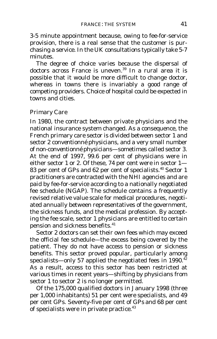3-5 minute appointment because, owing to fee-for-service provision, there is a real sense that the customer is purchasing a service. In the UK consultations typically take 5-7 minutes.

The degree of choice varies because the dispersal of doctors across France is uneven.<sup>39</sup> In a rural area it is possible that it would be more difficult to change doctor, whereas in towns there is invariably a good range of competing providers. Choice of hospital could be expected in towns and cities.

#### *Primary Care*

In 1980, the contract between private physicians and the national insurance system changed. As a consequence, the French primary care sector is divided between sector 1 and sector 2 *conventionné* physicians, and a very small number of *non-conventionné* physicians—sometimes called sector 3. At the end of 1997, 99.6 per cent of physicians were in either sector 1 or 2. Of these, 74 per cent were in sector 1— 83 per cent of GPs and 62 per cent of specialists.<sup>40</sup> Sector 1 practitioners are contracted with the NHI agencies and are paid by fee-for-service according to a nationally negotiated fee schedule (NGAP). The schedule contains a frequently revised relative value scale for medical procedures, negotiated annually between representatives of the government, the sickness funds, and the medical profession. By accepting the fee scale, sector 1 physicians are entitled to certain pension and sickness benefits.<sup>41</sup>

Sector 2 doctors can set their own fees which may exceed the official fee schedule—the excess being covered by the patient. They do not have access to pension or sickness benefits. This sector proved popular, particularly among specialists—only 57 applied the negotiated fees in 1990. $^{42}$ As a result, access to this sector has been restricted at various times in recent years—shifting by physicians from sector 1 to sector 2 is no longer permitted.

Of the 175,000 qualified doctors in January 1998 (three per 1,000 inhabitants) 51 per cent were specialists, and 49 per cent GPs. Seventy-five per cent of GPs and 68 per cent of specialists were in private practice. $43$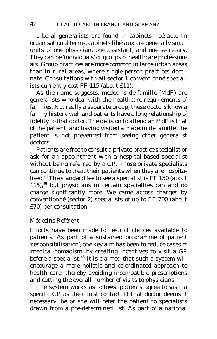Liberal generalists are found in *cabinets libéraux*. In organisational terms, *cabinets libéraux* are generally small units of one physician, one assistant, and one secretary. They can be 'individuals' or groups of healthcare professionals. Group practices are more common in large urban areas than in rural areas, where single-person practices dominate. Consultations with all sector 1 *conventionné* specialists currently cost FF 115 (about £11).

As the name suggests, *médecins de famille* (MdF) are generalists who deal with the healthcare requirements of families. Not really a separate group, these doctors know a family history well and patients have a long relationship of fidelity to that doctor. The decision to attend an MdF is that of the patient, and having visited a *médecin de famille*, the patient is not prevented from seeing other generalist doctors.

Patients are free to consult a private practice specialist or ask for an appointment with a hospital-based specialist without being referred by a GP. Those private specialists can continue to treat their patients when they are hospitalised.44 The standard fee to see a specialist is FF 150 (about £15), $45$  but physicians in certain specialties can and do charge significantly more. We came across charges by *conventionné* (sector 2) specialists of up to FF 700 (about £70) per consultation.

#### *Médecins Référent*

Efforts have been made to restrict choices available to patients. As part of a sustained programme of patient 'responsibilisation', one key aim has been to reduce cases of 'medical-nomadism' by creating incentives to visit a GP before a specialist.<sup>46</sup> It is claimed that such a system will encourage a more holistic and co-ordinated approach to health care, thereby avoiding incompatible prescriptions and cutting the overall number of visits to physicians.

The system works as follows: patients agree to visit a specific GP as their first contact. If that doctor deems it necessary, he or she will refer the patient to specialists drawn from a pre-determined list. As part of a national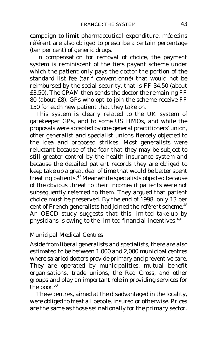campaign to limit pharmaceutical expenditure, *médecins référent* are also obliged to prescribe a certain percentage (ten per cent) of generic drugs.

In compensation for removal of choice, the payment system is reminiscent of the *tiers payant* scheme under which the patient only pays the doctor the portion of the standard list fee (*tarif conventionné*) that would not be reimbursed by the social security, that is FF 34.50 (about £3.50). The CPAM then sends the doctor the remaining FF 80 (about £8). GPs who opt to join the scheme receive FF 150 for each new patient that they take on.

This system is clearly related to the UK system of gatekeeper GPs, and to some US HMOs, and while the proposals were accepted by one general practitioners' union, other generalist and specialist unions fiercely objected to the idea and proposed strikes. Most generalists were reluctant because of the fear that they may be subject to still greater control by the health insurance system and because the detailed patient records they are obliged to keep take up a great deal of time that would be better spent treating patients.47 Meanwhile specialists objected because of the obvious threat to their incomes if patients were not subsequently referred to them. They argued that patient choice must be preserved. By the end of 1998, only 13 per cent of French generalists had joined the *référent* scheme.<sup>48</sup> An OECD study suggests that this limited take-up by physicians is owing to the limited financial incentives.49

### *Municipal Medical Centres*

Aside from liberal generalists and specialists, there are also estimated to be between 1,000 and 2,000 municipal centres where salaried doctors provide primary and preventive care. They are operated by municipalities, mutual benefit organisations, trade unions, the Red Cross, and other groups and play an important role in providing services for the poor. $50$ 

These centres, aimed at the disadvantaged in the locality, were obliged to treat all people, insured or otherwise. Prices are the same as those set nationally for the primary sector.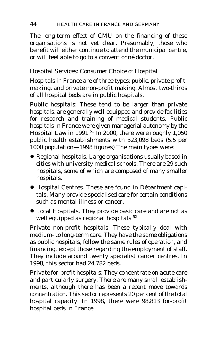The long-term effect of CMU on the financing of these organisations is not yet clear. Presumably, those who benefit will either continue to attend the municipal centre, or will feel able to go to a *conventionné* doctor.

# *Hospital Services: Consumer Choice of Hospital*

Hospitals in France are of three types: public, private profitmaking, and private non-profit making. Almost two-thirds of all hospital beds are in public hospitals.

*Public hospitals*: These tend to be larger than private hospitals, are generally well-equipped and provide facilities for research and training of medical students. Public hospitals in France were given managerial autonomy by the Hospital Law in 1991.<sup>51</sup> In 2000, there were roughly 1,050 public health establishments with 323,098 beds (5.5 per 1000 population—1998 figures) The main types were:

- ! Regional hospitals. Large organisations usually based in cities with university medical schools. There are 29 such hospitals, some of which are composed of many smaller hospitals.
- ! Hospital Centres. These are found in *Départment* capitals. Many provide specialised care for certain conditions such as mental illness or cancer.
- ! Local Hospitals. They provide basic care and are not as well equipped as regional hospitals.<sup>52</sup>

*Private non-profit hospitals*: These typically deal with medium- to long-term care. They have the same obligations as public hospitals, follow the same rules of operation, and financing, except those regarding the employment of staff. They include around twenty specialist cancer centres. In 1998, this sector had 24,782 beds.

*Private for-profit hospitals*: They concentrate on acute care and particularly surgery. There are many small establishments, although there has been a recent move towards concentration. This sector represents 20 per cent of the total hospital capacity. In 1998, there were 98,813 for-profit hospital beds in France.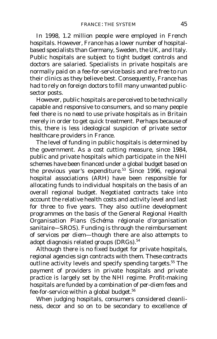In 1998, 1.2 million people were employed in French hospitals. However, France has a lower number of hospitalbased specialists than Germany, Sweden, the UK, and Italy. Public hospitals are subject to tight budget controls and doctors are salaried. Specialists in private hospitals are normally paid on a fee-for-service basis and are free to run their clinics as they believe best. Consequently, France has had to rely on foreign doctors to fill many unwanted publicsector posts.

However, public hospitals are perceived to be technically capable and responsive to consumers, and so many people feel there is no *need* to use private hospitals as in Britain merely in order to get quick treatment. Perhaps because of this, there is less ideological suspicion of private sector healthcare providers in France.

The level of funding in public hospitals is determined by the government. As a cost cutting measure, since 1984, public and private hospitals which participate in the NHI schemes have been financed under a global budget based on the previous year's expenditure.<sup>53</sup> Since 1996, regional hospital associations (ARH) have been responsible for allocating funds to individual hospitals on the basis of an overall regional budget. Negotiated contracts take into account the relative health costs and activity level and last for three to five years. They also outline development programmes on the basis of the General Regional Health Organisation Plans (*Schéma régionale d'organisation sanitaire*—SROS). Funding is through the reimbursement of services *per diem*—though there are also attempts to adopt diagnosis related groups (DRGs).<sup>54</sup>

Although there is no fixed budget for private hospitals, regional agencies sign contracts with them. These contracts outline activity levels and specify spending targets.<sup>55</sup> The payment of providers in private hospitals and private practice is largely set by the NHI regime. Profit-making hospitals are funded by a combination of *per-diem* fees and fee-for-service within a global budget.<sup>56</sup>

When judging hospitals, consumers considered cleanliness, decor and so on to be secondary to excellence of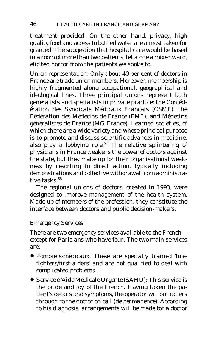treatment provided. On the other hand, privacy, high quality food and access to bottled water are almost taken for granted. The suggestion that hospital care would be based in a room of more than two patients, let alone a mixed ward, elicited horror from the patients we spoke to.

*Union representation*: Only about 40 per cent of doctors in France are trade union members. Moreover, membership is highly fragmented along occupational, geographical and ideological lines. Three principal unions represent both generalists and specialists in private practice: the *Confédération des Syndicats Médicaux Français* (CSMF), the *Fédération des Médecins de France* (FMF), and *Médecins généralistes de France* (MG France). Learned societies, of which there are a wide variety and whose principal purpose is to promote and discuss scientific advances in medicine, also play a lobbying role.<sup>57</sup> The relative splintering of physicians in France weakens the power of doctors against the state, but they make up for their organisational weakness by resorting to direct action, typically including demonstrations and collective withdrawal from administrative tasks.<sup>58</sup>

The regional unions of doctors, created in 1993, were designed to improve management of the health system. Made up of members of the profession, they constitute the interface between doctors and public decision-makers.

### *Emergency Services*

There are two emergency services available to the French except for Parisians who have four. The two main services are:

- ! *Pompiers-médicaux:* These are specially trained 'firefighters/first-aiders' and are not qualified to deal with complicated problems
- ! *Service d'Aide Médicale Urgente* (SAMU): This service is the pride and joy of the French. Having taken the patient's details and symptoms, the operator will put callers through to the doctor on call (*de permanence*). According to his diagnosis, arrangements will be made for a doctor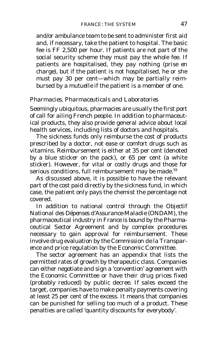and/or ambulance team to be sent to administer first aid and, if necessary, take the patient to hospital. The basic fee is FF 2,500 per hour. If patients are not part of the social security scheme they must pay the whole fee. If patients are hospitalised, they pay nothing (*prise en charge*), but if the patient is not hospitalised, he or she must pay 30 per cent—which may be partially reimbursed by a *mutuelle* if the patient is a member of one.

### *Pharmacies, Pharmaceuticals and Laboratories*

Seemingly ubiquitous, pharmacies are usually the first port of call for ailing French people. In addition to pharmaceutical products, they also provide general advice about local health services, including lists of doctors and hospitals.

The sickness funds only reimburse the cost of products prescribed by a doctor, not ease or comfort drugs such as vitamins. Reimbursement is either at 35 per cent (denoted by a blue sticker on the pack), or 65 per cent (a white sticker). However, for vital or costly drugs and those for serious conditions, full reimbursement may be made.<sup>59</sup>

As discussed above, it is possible to have the relevant part of the cost paid directly by the sickness fund, in which case, the patient only pays the chemist the percentage not covered.

In addition to national control through the *Objectif National des Dépenses d'Assurance-Maladie* (ONDAM), the pharmaceutical industry in France is bound by the Pharmaceutical Sector Agreement and by complex procedures necessary to gain approval for reimbursement. These involve drug evaluation by the *Commission de la Transparence* and price regulation by the Economic Committee.

The sector agreement has an appendix that lists the permitted rates of growth by therapeutic class. Companies can either negotiate and sign a 'convention' agreement with the Economic Committee or have their drug prices fixed (probably reduced) by public decree. If sales exceed the target, companies have to make penalty payments covering at least 25 per cent of the excess. It means that companies can be punished for selling too much of a product. These penalties are called 'quantity discounts for everybody'.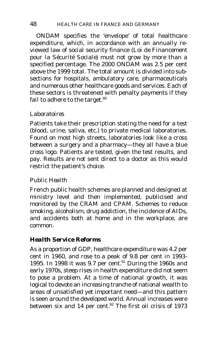ONDAM specifies the 'envelope' of total healthcare expenditure, which, in accordance with an annually reviewed law of social security finance (*Loi de Financement pour la Sécurité Sociale*) must not grow by more than a specified percentage. The 2000 ONDAM was 2.5 per cent above the 1999 total. The total amount is divided into subsections for hospitals, ambulatory care, pharmaceuticals and numerous other healthcare goods and services. Each of these sectors is threatened with penalty payments if they fail to adhere to the target. $60$ 

### *Laboratoires*

Patients take their prescription stating the need for a test (blood, urine, saliva, etc.) to private medical laboratories. Found on most high streets, laboratories look like a cross between a surgery and a pharmacy—they all have a blue cross logo. Patients are tested, given the test results, and pay. Results are not sent direct to a doctor as this would restrict the patient's choice.

### *Public Health*

French public health schemes are planned and designed at ministry level and then implemented, publicised and monitored by the CRAM and CPAM. Schemes to reduce smoking, alcoholism, drug addiction, the incidence of AIDs, and accidents both at home and in the workplace, are common.

## *Health Service Reforms*

As a proportion of GDP, healthcare expenditure was 4.2 per cent in 1960, and rose to a peak of 9.8 per cent in 1993- 1995. In 1998 it was 9.7 per cent. $61$  During the 1960s and early 1970s, steep rises in health expenditure did not seem to pose a problem. At a time of national growth, it was logical to devote an increasing tranche of national wealth to areas of unsatisfied yet important need—and this pattern is seen around the developed world. Annual increases were between six and 14 per cent.<sup>62</sup> The first oil crisis of 1973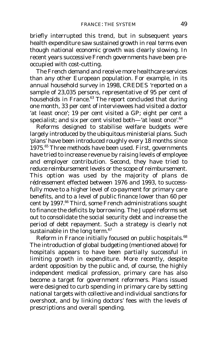briefly interrupted this trend, but in subsequent years health expenditure saw sustained growth in real terms even though national economic growth was clearly slowing. In recent years successive French governments have been preoccupied with cost-cutting.

The French demand and receive more healthcare services than any other European population. For example, in its annual household survey in 1998, *CREDES* 'reported on a sample of 23,035 persons, representative of 95 per cent of households in France. $^{63}$  The report concluded that during one month, 33 per cent of interviewees had visited a doctor 'at least once'; 19 per cent visited a GP; eight per cent a specialist; and six per cent visited both—'at least once'.<sup>64</sup>

Reforms designed to stabilise welfare budgets were largely introduced by the ubiquitous ministerial plans. Such 'plans' have been introduced roughly every 18 months since 1975.65 Three methods have been used. First, governments have tried to increase revenue by raising levels of employee and employer contribution. Second, they have tried to reduce reimbursement levels or the scope of reimbursement. This option was used by the majority of *plans de rédressement* effected between 1976 and 1993, to successfully move to a higher level of co-payment for primary care benefits, and to a level of public finance lower than 60 per cent by 1997.<sup>66</sup> Third, some French administrations sought to finance the deficits by borrowing. The Juppé reforms set out to consolidate the social security debt and increase the period of debt repayment. Such a strategy is clearly not sustainable in the long term. $67$ 

Reform in France initially focused on public hospitals.<sup>68</sup> The introduction of global budgeting (mentioned above) for hospitals appears to have been partially successful in limiting growth in expenditure. More recently, despite ardent opposition by the public and, of course, the highly independent medical profession, primary care has also become a target for government reformers. Plans issued were designed to curb spending in primary care by setting national targets with collective and individual sanctions for overshoot, and by linking doctors' fees with the levels of prescriptions and overall spending.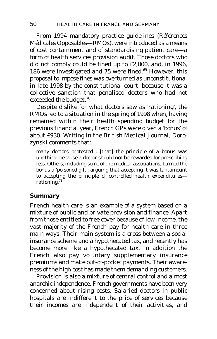From 1994 mandatory practice guidelines (*Références Médicales Opposables*—RMOs), were introduced as a means of cost containment and of standardising patient care—a form of health services provision audit. Those doctors who did not comply could be fined up to £2,000, and, in 1996, 186 were investigated and 75 were fined. $69$  However, this proposal to impose fines was overturned as unconstitutional in late 1998 by the constitutional court, because it was a collective sanction that penalised doctors who had not exceeded the budget.<sup>70</sup>

Despite dislike for what doctors saw as 'rationing', the RMOs led to a situation in the spring of 1998 when, having remained within their health spending budget for the previous financial year, French GPs were given a 'bonus' of about £930. Writing in the *British Medical Journal*, Dorozynski comments that:

many doctors protested ...[that] the principle of a bonus was unethical because a doctor should not be rewarded for prescribing less. Others, including some of the medical associations, termed the bonus a 'poisoned gift', arguing that accepting it was tantamount to accepting the principle of controlled health expenditures rationing.<sup>71</sup>

#### *Summary*

French health care is an example of a system based on a mixture of public and private provision and finance. Apart from those entitled to free cover because of low income, the vast majority of the French pay for health care in three main ways. Their main system is a cross between a social insurance scheme and a hypothecated tax, and recently has become more like a hypothecated tax. In addition the French also pay voluntary supplementary insurance premiums and make out-of-pocket payments. Their awareness of the high cost has made them demanding customers.

Provision is also a mixture of central control and almost anarchic independence. French governments have been very concerned about rising costs. Salaried doctors in public hospitals are indifferent to the price of services because their incomes are independent of their activities, and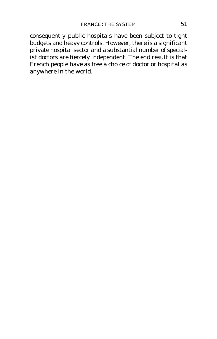consequently public hospitals have been subject to tight budgets and heavy controls. However, there is a significant private hospital sector and a substantial number of specialist doctors are fiercely independent. The end result is that French people have as free a choice of doctor or hospital as anywhere in the world.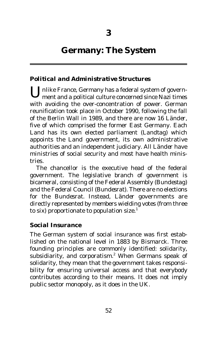# **Germany: The System**

### *Political and Administrative Structures*

Unlike France, Germany has a federal system of government and a political culture concerned since Nazi times with avoiding the over-concentration of power. German reunification took place in October 1990, following the fall of the Berlin Wall in 1989, and there are now 16 *Länder*, five of which comprised the former East Germany. Each *Land* has its own elected parliament (*Landtag*) which appoints the *Land* government, its own administrative authorities and an independent judiciary. All *Länder* have ministries of social security and most have health ministries.

The chancellor is the executive head of the federal government. The legislative branch of government is bicameral, consisting of the Federal Assembly (*Bundestag*) and the Federal Council (*Bundesrat*). There are no elections for the *Bundesrat*. Instead, *Länder* governments are directly represented by members wielding votes (from three to six) proportionate to population size.<sup>1</sup>

#### *Social Insurance*

The German system of social insurance was first established on the national level in 1883 by Bismarck. Three founding principles are commonly identified: solidarity, subsidiarity, and corporatism.<sup>2</sup> When Germans speak of solidarity, they mean that the government takes responsibility for ensuring universal access and that everybody contributes according to their means. It does not imply public sector monopoly, as it does in the UK.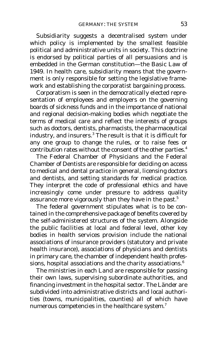Subsidiarity suggests a decentralised system under which policy is implemented by the smallest feasible political and administrative units in society. This doctrine is endorsed by political parties of all persuasions and is embedded in the German constitution—the Basic Law of 1949. In health care, subsidiarity means that the government is only responsible for setting the legislative framework and establishing the corporatist bargaining process.

Corporatism is seen in the democratically elected representation of employees and employers on the governing boards of sickness funds and in the importance of national and regional decision-making bodies which negotiate the terms of medical care and reflect the interests of groups such as doctors, dentists, pharmacists, the pharmaceutical industry, and insurers. $^3$  The result is that it is difficult for any one group to change the rules, or to raise fees or contribution rates without the consent of the other parties.<sup>4</sup>

The Federal Chamber of Physicians and the Federal Chamber of Dentists are responsible for deciding on access to medical and dental practice in general, licensing doctors and dentists, and setting standards for medical practice. They interpret the code of professional ethics and have increasingly come under pressure to address quality assurance more vigorously than they have in the past.<sup>5</sup>

The federal government stipulates what is to be contained in the comprehensive package of benefits covered by the self-administered structures of the system. Alongside the public facilities at local and federal level, other key bodies in health services provision include the national associations of insurance providers (statutory and private health insurance), associations of physicians and dentists in primary care, the chamber of independent health professions, hospital associations and the charity associations.<sup>6</sup>

The ministries in each *Land* are responsible for passing their own laws, supervising subordinate authorities, and financing investment in the hospital sector. The *Länder* are subdivided into administrative districts and local authorities (towns, municipalities, counties) all of which have numerous competencies in the healthcare system.<sup>7</sup>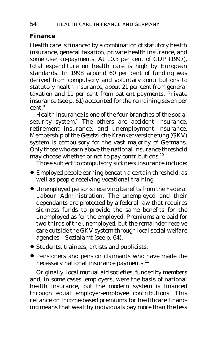## *Finance*

Health care is financed by a combination of statutory health insurance, general taxation, private health insurance, and some user co-payments. At 10.3 per cent of GDP (1997), total expenditure on health care is high by European standards. In 1998 around 60 per cent of funding was derived from compulsory and voluntary contributions to statutory health insurance, about 21 per cent from general taxation and 11 per cent from patient payments. Private insurance (see p. 61) accounted for the remaining seven per cent.<sup>8</sup>

Health insurance is one of the four branches of the social security system.<sup>9</sup> The others are accident insurance, retirement insurance, and unemployment insurance. Membership of the *Gesetzliche Krankenversicherung* (GKV) system is compulsory for the vast majority of Germans. Only those who earn above the national insurance threshold may choose whether or not to pay contributions.<sup>10</sup>

Those subject to compulsory sickness insurance include:

- ! Employed people earning beneath a certain threshold, as well as people receiving vocational training.
- ! Unemployed persons receiving benefits from the Federal Labour Administration. The unemployed and their dependants are protected by a federal law that requires sickness funds to provide the same benefits for the unemployed as for the employed. Premiums are paid for two-thirds of the unemployed, but the remainder receive care outside the GKV system through local social welfare agencies—*Sozialamt* (see p. 64).
- ! Students, trainees, artists and publicists.
- ! Pensioners and pension claimants who have made the necessary national insurance payments.<sup>11</sup>

Originally, local mutual aid societies, funded by members and, in some cases, employers, were the basis of national health insurance, but the modern system is financed through equal employer-employee contributions. This reliance on income-based premiums for healthcare financing means that wealthy individuals pay more than the less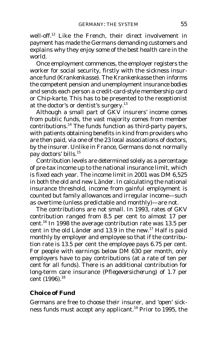well-off.<sup>12</sup> Like the French, their direct involvement in payment has made the Germans demanding customers and explains why they enjoy some of the best health care in the world.

Once employment commences, the employer registers the worker for social security, firstly with the sickness insurance fund (*Krankenkasse*). The *Krankenkasse* then informs the competent pension and unemployment insurance bodies and sends each person a credit-card-style membership card or *Chip-karte*. This has to be presented to the receptionist at the doctor's or dentist's surgery.13

Although a small part of GKV insurers' income comes from public funds, the vast majority comes from member contributions.14 The funds function as third-party payers, with patients obtaining benefits in kind from providers who are then paid, via one of the 23 local associations of doctors, by the insurer. Unlike in France, Germans do not normally pay doctors' bills.15

Contribution levels are determined solely as a percentage of pre-tax income up to the national insurance limit, which is fixed each year. The income limit in 2001 was DM 6,525 in both the old and new *Länder*. In calculating the national insurance threshold, income from gainful employment is counted but family allowances and irregular income—such as overtime (unless predictable and monthly)—are not.

The contributions are not small. In 1993, rates of *GKV* contribution ranged from 8.5 per cent to almost 17 per cent.16 In 1998 the average contribution rate was 13.5 per cent in the old *Länder* and 13.9 in the new.17 Half is paid monthly by employer and employee so that if the contribution rate is 13.5 per cent the employee pays 6.75 per cent. For people with earnings below DM 630 per month, only employers have to pay contributions (at a rate of ten per cent for all funds). There is an additional contribution for long-term care insurance (*Pflegeversicherung*) of 1.7 per cent (1996).18

#### *Choice of Fund*

Germans are free to choose their insurer, and 'open' sickness funds must accept any applicant.19 Prior to 1995, the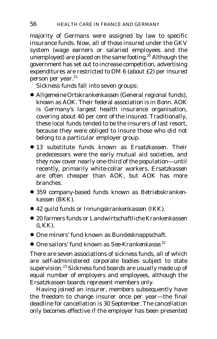majority of Germans were assigned by law to specific insurance funds. Now, all of those insured under the GKV system (wage earners or salaried employees and the unemployed) are placed on the same footing.<sup>20</sup> Although the government has set out to increase competition, advertising expenditures are restricted to DM 6 (about £2) per insured person per year.<sup>21</sup>

Sickness funds fall into seven groups:

- ! *Allgemeine Ortskrankenkassen* (General regional funds), known as AOK. Their federal association is in Bonn. AOK is Germany's largest health insurance organisation, covering about 40 per cent of the insured. Traditionally, these local funds tended to be the insurers of last resort, because they were obliged to insure those who did not belong to a particular employer group.
- ! 13 substitute funds known as *Ersatzkassen*. Their predecessors were the early mutual aid societies, and they now cover nearly one-third of the population—until recently, primarily white-collar workers. *Ersatzkassen* are often cheaper than AOK, but AOK has more branches.
- ! 359 company-based funds known as *Betriebskrankenkassen* (BKK).
- ! 42 guild funds or *Innungskrankenkassen* (IKK).
- ! 20 farmers funds or *Landwirtschaftliche Krankenkassen* (LKK).
- ! One miners' fund known as *Bundesknappschaft.*
- ! One sailors' fund known as *See-Krankenkasse.*<sup>22</sup>

There are seven associations of sickness funds, all of which are self-administered corporate bodies subject to state supervision.<sup>23</sup> Sickness fund boards are usually made up of equal number of employers and employees, although the *Ersatzkassen* boards represent members only.

Having joined an insurer, members subsequently have the freedom to change insurer once per year—the final deadline for cancellation is 30 September. The cancellation only becomes effective if the employer has been presented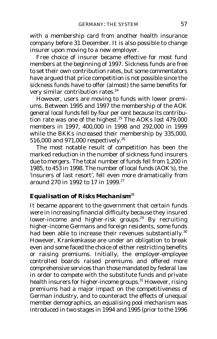with a membership card from another health insurance company before 31 December. It is also possible to change insurer upon moving to a new employer.

Free choice of insurer became effective for most fund members at the beginning of 1997. Sickness funds are free to set their own contribution rates, but some commentators have argued that price competition is not possible since the sickness funds have to offer (almost) the same benefits for very similar contribution rates.<sup>24</sup>

However, users are moving to funds with lower premiums. Between 1995 and 1997 the membership of the AOK general local funds fell by four per cent because its contribution rate was one of the highest.<sup>25</sup> The AOKs lost 479,000 members in 1997, 400,000 in 1998 and 292,000 in 1999 while the BKKs increased their membership by 335,000, 516,000 and 971,000 respectively.26

The most notable result of competition has been the marked reduction in the number of sickness fund insurers due to mergers. The total number of funds fell from 1,200 in 1985, to 453 in 1998. The number of local funds (AOK's), the 'insurers of last resort', fell even more dramatically from around 270 in 1992 to 17 in 1999.27

### *Equalisation of Risks Mechanism*<sup>28</sup>

It became apparent to the government that certain funds were in increasing financial difficulty because they insured lower-income and higher-risk groups.<sup>29</sup> By recruiting higher-income Germans and foreign residents, some funds had been able to increase their revenues substantially.<sup>30</sup> However, *Krankenkasse* are under an obligation to break even and some faced the choice of either restricting benefits or raising premiums. Initially, the employer-employee controlled boards raised premiums and offered more comprehensive services than those mandated by federal law in order to compete with the substitute funds and private health insurers for higher-income groups.<sup>31</sup> However, rising premiums had a major impact on the competitiveness of German industry, and to counteract the effects of unequal member demographics, an equalising pool mechanism was introduced in two stages in 1994 and 1995 (prior to the 1996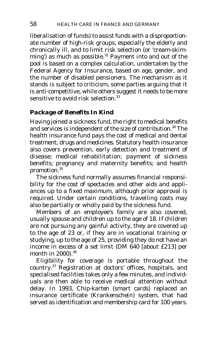liberalisation of funds) to assist funds with a disproportionate number of high-risk groups, especially the elderly and chronically ill, and to limit risk selection (or 'cream-skimming') as much as possible. $32$  Payment into and out of the pool is based on a complex calculation, undertaken by the Federal Agency for Insurance, based on age, gender, and the number of disabled pensioners. The mechanism as it stands is subject to criticism, some parties arguing that it is anti-competitive, while others suggest it needs to be more sensitive to avoid risk selection.<sup>33</sup>

## *Package of Benefits In Kind*

Having joined a sickness fund, the right to medical benefits and services is independent of the size of contribution.34 The health insurance fund pays the cost of medical and dental treatment, drugs and medicines. Statutory health insurance also covers prevention, early detection and treatment of disease; medical rehabilitation; payment of sickness benefits; pregnancy and maternity benefits; and health promotion.<sup>35</sup>

The sickness fund normally assumes financial responsibility for the cost of spectacles and other aids and appliances up to a fixed maximum, although prior approval is required. Under certain conditions, travelling costs may also be partially or wholly paid by the sickness fund.

Members of an employee's family are also covered, usually spouse and children up to the age of 18. If children are not pursuing any gainful activity, they are covered up to the age of 23 or, if they are in vocational training or studying, up to the age of 25, providing they do not have an income in excess of a set limit (DM 640 [about £213] per month in 2000).<sup>36</sup>

Eligibility for coverage is portable throughout the country.37 Registration at doctors' offices, hospitals, and specialised facilities takes only a few minutes, and individuals are then able to receive medical attention without delay. In 1993, *Chip-karten* (smart cards) replaced an insurance certificate (*Krankenschein*) system, that had served as identification and membership card for 100 years.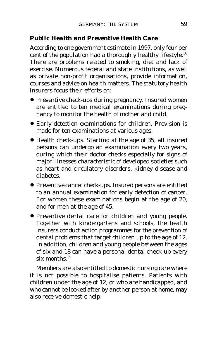### *Public Health and Preventive Health Care*

According to one government estimate in 1997, only four per cent of the population had a thoroughly healthy lifestyle.<sup>38</sup> There are problems related to smoking, diet and lack of exercise. Numerous federal and state institutions, as well as private non-profit organisations, provide information, courses and advice on health matters. The statutory health insurers focus their efforts on:

- ! *Preventive check-ups during pregnancy*. Insured women are entitled to ten medical examinations during pregnancy to monitor the health of mother and child.
- ! *Early detection examinations for children*. Provision is made for ten examinations at various ages.
- ! *Health check-ups*. Starting at the age of 35, all insured persons can undergo an examination every two years, during which their doctor checks especially for signs of major illnesses characteristic of developed societies such as heart and circulatory disorders, kidney disease and diabetes.
- ! *Preventive cancer check-ups*. Insured persons are entitled to an annual examination for early detection of cancer. For women these examinations begin at the age of 20, and for men at the age of 45.
- ! *Preventive dental care for children and young people*. Together with kindergartens and schools, the health insurers conduct action programmes for the prevention of dental problems that target children up to the age of 12. In addition, children and young people between the ages of six and 18 can have a personal dental check-up every six months. $39$

Members are also entitled to domestic nursing care where it is not possible to hospitalise patients. Patients with children under the age of 12, or who are handicapped, and who cannot be looked after by another person at home, may also receive domestic help.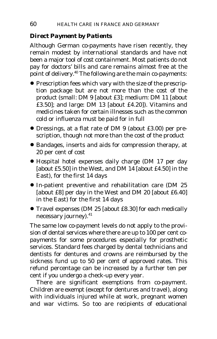## *Direct Payment by Patients*

Although German co-payments have risen recently, they remain modest by international standards and have not been a major tool of cost containment. Most patients do not pay for doctors' bills and care remains almost free at the point of delivery.40 The following are the main co-payments:

- ! Prescription fees which vary with the size of the prescription package but are not more than the cost of the product (small: DM 9 [about £3]; medium: DM 11 [about £3.50]; and large: DM 13 [about £4.20]). Vitamins and medicines taken for certain illnesses such as the common cold or influenza must be paid for in full
- ! Dressings, at a flat rate of DM 9 (about £3.00) per prescription, though not more than the cost of the product
- ! Bandages, inserts and aids for compression therapy, at 20 per cent of cost
- ! Hospital hotel expenses daily charge (DM 17 per day [about £5.50] in the West, and DM 14 [about £4.50] in the East), for the first 14 days
- ! In-patient preventive and rehabilitation care (DM 25 [about £8] per day in the West and DM 20 [about £6.40] in the East) for the first 14 days
- ! Travel expenses (DM 25 [about £8.30] for each medically necessary journey).<sup>41</sup>

The same low co-payment levels do not apply to the provision of dental services where there are up to 100 per cent copayments for some procedures especially for prosthetic services. Standard fees charged by dental technicians and dentists for dentures and crowns are reimbursed by the sickness fund up to 50 per cent of approved rates. This refund percentage can be increased by a further ten per cent if you undergo a check-up every year.

There are significant exemptions from co-payment. Children are exempt (except for dentures and travel), along with individuals injured while at work, pregnant women and war victims. So too are recipients of educational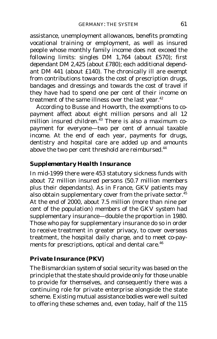assistance, unemployment allowances, benefits promoting vocational training or employment, as well as insured people whose monthly family income does not exceed the following limits: singles DM 1,764 (about £570); first dependant DM 2,425 (about £780); each additional dependant DM 441 (about £140). The chronically ill are exempt from contributions towards the cost of prescription drugs, bandages and dressings and towards the cost of travel if they have had to spend one per cent of their income on treatment of the same illness over the last year.<sup>42</sup>

According to Busse and Howorth, the exemptions to copayment affect about eight million persons and all 12 million insured children.<sup>43</sup> There is also a maximum copayment for everyone—two per cent of annual taxable income. At the end of each year, payments for drugs, dentistry and hospital care are added up and amounts above the two per cent threshold are reimbursed.<sup>44</sup>

### *Supplementary Health Insurance*

In mid-1999 there were 453 statutory sickness funds with about 72 million insured persons (50.7 million members plus their dependants). As in France, GKV patients may also obtain supplementary cover from the private sector. $45$ At the end of 2000, about 7.5 million (more than nine per cent of the population) members of the GKV system had supplementary insurance—double the proportion in 1980. Those who pay for supplementary insurance do so in order to receive treatment in greater privacy, to cover overseas treatment, the hospital daily charge, and to meet co-payments for prescriptions, optical and dental care.<sup>46</sup>

### *Private Insurance (PKV)*

The Bismarckian system of social security was based on the principle that the state should provide only for those unable to provide for themselves, and consequently there was a continuing role for private enterprise alongside the state scheme. Existing mutual assistance bodies were well suited to offering these schemes and, even today, half of the 115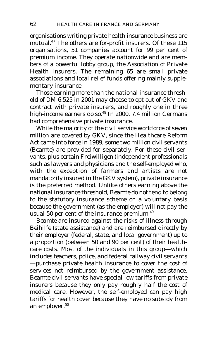organisations writing private health insurance business are mutual.<sup>47</sup> The others are for-profit insurers. Of these 115 organisations, 51 companies account for 99 per cent of premium income. They operate nationwide and are members of a powerful lobby group, the Association of Private Health Insurers. The remaining 65 are small private associations and local relief funds offering mainly supplementary insurance.

Those earning more than the national insurance threshold of DM 6,525 in 2001 may choose to opt out of GKV and contract with private insurers, and roughly one in three high-income earners do so.<sup>48</sup> In 2000, 7.4 million Germans had comprehensive private insurance.

While the majority of the civil service workforce of seven million are covered by GKV, since the Healthcare Reform Act came into force in 1989, some two million civil servants (*Beamte*) are provided for separately. For these civil servants, plus certain *Freiwilligen* (independent professionals such as lawyers and physicians and the self-employed who, with the exception of farmers and artists are not mandatorily insured in the GKV system), private insurance is the preferred method. Unlike others earning above the national insurance threshold, *Beamte* do not tend to belong to the statutory insurance scheme on a voluntary basis because the government (as the employer) will not pay the usual 50 per cent of the insurance premium.<sup>49</sup>

*Beamte* are insured against the risks of illness through *Beihilfe* (state assistance) and are reimbursed directly by their employer (federal, state, and local government) up to a proportion (between 50 and 90 per cent) of their healthcare costs. Most of the individuals in this group—which includes teachers, police, and federal railway civil servants —purchase private health insurance to cover the cost of services not reimbursed by the government assistance. *Beamte* civil servants have special low tariffs from private insurers because they only pay roughly half the cost of medical care. However, the self-employed can pay high tariffs for health cover because they have no subsidy from an employer.<sup>50</sup>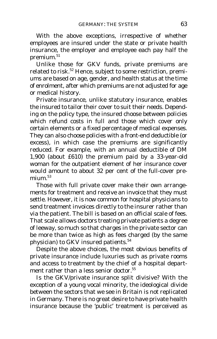With the above exceptions, irrespective of whether employees are insured under the state or private health insurance, the employer and employee each pay half the premium.<sup>51</sup>

Unlike those for GKV funds, private premiums are related to risk.<sup>52</sup> Hence, subject to some restriction, premiums are based on age, gender, and health status at the time of enrolment, after which premiums are not adjusted for age or medical history.

Private insurance, unlike statutory insurance, enables the insured to tailor their cover to suit their needs. Depending on the policy type, the insured choose between policies which refund costs in full and those which cover only certain elements or a fixed percentage of medical expenses. They can also choose policies with a front-end deductible (or excess), in which case the premiums are significantly reduced. For example, with an annual deductible of DM 1,900 (about £610) the premium paid by a 33-year-old woman for the outpatient element of her insurance cover would amount to about 32 per cent of the full-cover pre $mium.<sup>53</sup>$ 

Those with full private cover make their own arrangements for treatment and receive an invoice that they must settle. However, it is now common for hospital physicians to send treatment invoices directly to the insurer rather than via the patient. The bill is based on an official scale of fees. That scale allows doctors treating private patients a degree of leeway, so much so that charges in the private sector can be more than twice as high as fees charged (by the same physician) to GKV insured patients.<sup>54</sup>

Despite the above choices, the most obvious benefits of private insurance include luxuries such as private rooms and access to treatment by the chief of a hospital department rather than a less senior doctor.<sup>55</sup>

Is the GKV/private insurance split divisive? With the exception of a young vocal minority, the ideological divide between the sectors that we see in Britain is not replicated in Germany. There is no great desire to have private health insurance because the 'public' treatment is perceived as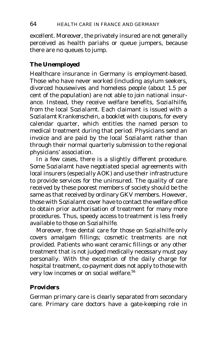excellent. Moreover, the privately insured are not generally perceived as health pariahs or queue jumpers, because there are no queues to jump.

# *The Unemployed*

Healthcare insurance in Germany is employment-based. Those who have never worked (including asylum seekers, divorced housewives and homeless people (about 1.5 per cent of the population) are not able to join national insurance. Instead, they receive welfare benefits, *Sozialhilfe*, from the local *Sozialamt*. Each claimant is issued with a *Sozialamt Krankenschein*, a booklet with coupons, for every calendar quarter, which entitles the named person to medical treatment during that period. Physicians send an invoice and are paid by the local *Sozialamt* rather than through their normal quarterly submission to the regional physicians' association.

In a few cases, there is a slightly different procedure. Some *Sozialamt* have negotiated special agreements with local insurers (especially AOK) and use their infrastructure to provide services for the uninsured. The quality of care received by these poorest members of society should be the same as that received by ordinary GKV members. However, those with *Sozialamt* cover have to contact the welfare office to obtain prior authorisation of treatment for many more procedures. Thus, speedy access to treatment is less freely available to those on *Sozialhilfe*.

Moreover, free dental care for those on *Sozialhilfe* only covers amalgam fillings; cosmetic treatments are not provided. Patients who want ceramic fillings or any other treatment that is not judged medically necessary must pay personally. With the exception of the daily charge for hospital treatment, co-payment does not apply to those with very low incomes or on social welfare.<sup>56</sup>

# *Providers*

German primary care is clearly separated from secondary care. Primary care doctors have a gate-keeping role in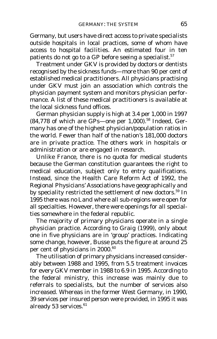Germany, but users have direct access to private specialists outside hospitals in local practices, some of whom have access to hospital facilities. An estimated four in ten patients do not go to a GP before seeing a specialist.<sup>57</sup>

Treatment under GKV is provided by doctors or dentists recognised by the sickness funds—more than 90 per cent of established medical practitioners. All physicians practising under GKV must join an association which controls the physician payment system and monitors physician performance. A list of these medical practitioners is available at the local sickness fund offices.

German physician supply is high at 3.4 per 1,000 in 1997 (84,778 of which are GPs—one per 1,000).58 Indeed, Germany has one of the highest physician/population ratios in the world. Fewer than half of the nation's 181,000 doctors are in private practice. The others work in hospitals or administration or are engaged in research.

Unlike France, there is no quota for medical students because the German constitution guarantees the right to medical education, subject only to entry qualifications. Instead, since the Health Care Reform Act of 1992, the Regional Physicians' Associations have geographically and by speciality restricted the settlement of new doctors.<sup>59</sup> In 1995 there was no *Land* where all sub-regions were open for all specialties. However, there were openings for all specialties somewhere in the federal republic.

The majority of primary physicians operate in a single physician practice. According to Graig (1999), only about one in five physicians are in 'group' practices. Indicating some change, however, Busse puts the figure at around 25 per cent of physicians in  $2000$ <sup>60</sup>

The utilisation of primary physicians increased considerably between 1988 and 1995, from 5.5 treatment invoices for every GKV member in 1988 to 6.9 in 1995. According to the federal ministry, this increase was mainly due to referrals to specialists, but the number of services also increased. Whereas in the former West Germany, in 1990, 39 services per insured person were provided, in 1995 it was already  $53$  services.<sup>61</sup>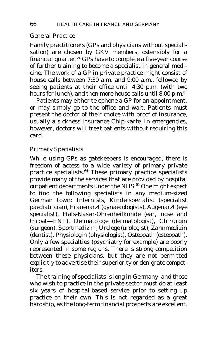# *General Practice*

Family practitioners (GPs and physicians without specialisation) are chosen by GKV members, ostensibly for a financial quarter.<sup>62</sup> GPs have to complete a five-year course of further training to become a specialist in general medicine. The work of a GP in private practice might consist of house calls between 7:30 a.m. and 9:00 a.m., followed by seeing patients at their office until 4:30 p.m. (with two hours for lunch), and then more house calls until  $8:00$  p.m.<sup>63</sup>

Patients may either telephone a GP for an appointment, or may simply go to the office and wait. Patients must present the doctor of their choice with proof of insurance, usually a sickness insurance *Chip-karte*. In emergencies, however, doctors will treat patients without requiring this card.

# *Primary Specialists*

While using GPs as gatekeepers is encouraged, there is freedom of access to a wide variety of primary private practice specialists. $^{64}$  These primary practice specialists provide many of the services that are provided by hospital outpatient departments under the NHS.<sup>65</sup> One might expect to find the following specialists in any medium-sized German town: *Internists*, *Kinderspezialist* (specialist paediatrician), *Frauenarzt* (gynaecologists), *Augenarzt* (eye specialist), *Hals-Nasen-Ohrenheilkunde* (ear, nose and throat—ENT), *Dermatologe* (dermatologist), *Chirurgin* (surgeon), *Sportmedizin* , *Urologe* (urologist), *Zahnmedizin* (dentist), *Physiologin* (physiologist), *Osteopath* (osteopath). Only a few specialties (psychiatry for example) are poorly represented in some regions. There is strong competition between these physicians, but they are not permitted explicitly to advertise their superiority or denigrate competitors.

The training of specialists is long in Germany, and those who wish to practice in the private sector must do at least six years of hospital-based service prior to setting up practice on their own. This is not regarded as a great hardship, as the long-term financial prospects are excellent.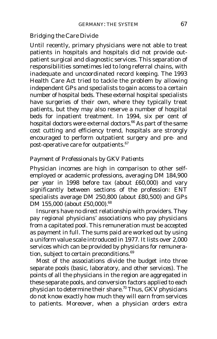# *Bridging the Care Divide*

Until recently, primary physicians were not able to treat patients in hospitals and hospitals did not provide outpatient surgical and diagnostic services. This separation of responsibilities sometimes led to long referral chains, with inadequate and uncoordinated record keeping. The 1993 Health Care Act tried to tackle the problem by allowing independent GPs and specialists to gain access to a certain number of hospital beds. These external hospital specialists have surgeries of their own, where they typically treat patients, but they may also reserve a number of hospital beds for inpatient treatment. In 1994, six per cent of hospital doctors were external doctors.<sup>66</sup> As part of the same cost cutting and efficiency trend, hospitals are strongly encouraged to perform outpatient surgery and pre- and post-operative care for outpatients.<sup>67</sup>

# *Payment of Professionals by GKV Patients*

Physician incomes are high in comparison to other selfemployed or academic professions, averaging DM 184,900 per year in 1998 before tax (about £60,000) and vary significantly between sections of the profession: ENT specialists average DM 250,800 (about £80,500) and GPs DM 155,000 (about £50,000).<sup>68</sup>

Insurers have no direct relationship with providers. They pay regional physicians' associations who pay physicians from a capitated pool. This remuneration must be accepted as payment in full. The sums paid are worked out by using a uniform value scale introduced in 1977. It lists over 2,000 services which can be provided by physicians for remuneration, subject to certain preconditions.<sup>69</sup>

Most of the associations divide the budget into three separate pools (basic, laboratory, and other services). The points of all the physicians in the region are aggregated in these separate pools, and conversion factors applied to each physician to determine their share.<sup>70</sup> Thus, GKV physicians do not know exactly how much they will earn from services to patients. Moreover, when a physician orders extra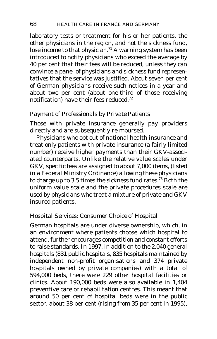laboratory tests or treatment for his or her patients, the other physicians in the region, and not the sickness fund, lose income to that physician.<sup>71</sup> A warning system has been introduced to notify physicians who exceed the average by 40 per cent that their fees will be reduced, unless they can convince a panel of physicians and sickness fund representatives that the service was justified. About seven per cent of German physicians receive such notices in a year and about two per cent (about one-third of those receiving notification) have their fees reduced.<sup>72</sup>

# *Payment of Professionals by Private Patients*

Those with private insurance generally pay providers directly and are subsequently reimbursed.

Physicians who opt out of national health insurance and treat only patients with private insurance (a fairly limited number) receive higher payments than their GKV-associated counterparts. Unlike the relative value scales under GKV, specific fees are assigned to about 7,000 items, (listed in a Federal Ministry Ordinance) allowing these physicians to charge up to 3.5 times the sickness fund rates.<sup>73</sup> Both the uniform value scale and the private procedures scale are used by physicians who treat a mixture of private and GKV insured patients.

### *Hospital Services: Consumer Choice of Hospital*

German hospitals are under diverse ownership, which, in an environment where patients choose which hospital to attend, further encourages competition and constant efforts to raise standards. In 1997, in addition to the 2,040 general hospitals (831 public hospitals, 835 hospitals maintained by independent non-profit organisations and 374 private hospitals owned by private companies) with a total of 594,000 beds, there were 229 other hospital facilities or clinics. About 190,000 beds were also available in 1,404 preventive care or rehabilitation centres. This meant that around 50 per cent of hospital beds were in the public sector, about 38 per cent (rising from 35 per cent in 1995),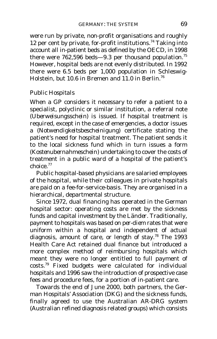were run by private, non-profit organisations and roughly 12 per cent by private, for-profit institutions.<sup>74</sup> Taking into account all in-patient beds as defined by the OECD, in 1998 there were  $762,596$  beds—9.3 per thousand population.<sup>75</sup> However, hospital beds are not evenly distributed. In 1992 there were 6.5 beds per 1,000 population in Schleswig-Holstein, but 10.6 in Bremen and 11.0 in Berlin. $^{76}$ 

# *Public Hospitals*

When a GP considers it necessary to refer a patient to a specialist, polyclinic or similar institution, a referral note (*Uberweisungsschein*) is issued. If hospital treatment is required, except in the case of emergencies, a doctor issues a (*Notwendigkeitsbescheinigung*) certificate stating the patient's need for hospital treatment. The patient sends it to the local sickness fund which in turn issues a form (*Kostenubernahmeschein*) undertaking to cover the costs of treatment in a public ward of a hospital of the patient's  $choice<sup>77</sup>$ 

Public hospital-based physicians are salaried employees of the hospital, while their colleagues in private hospitals are paid on a fee-for-service-basis. They are organised in a hierarchical, departmental structure.

Since 1972, dual financing has operated in the German hospital sector: operating costs are met by the sickness funds and capital investment by the *Länder*. Traditionally, payment to hospitals was based on *per-diem* rates that were uniform within a hospital and independent of actual diagnosis, amount of care, or length of stay.78 The 1993 Health Care Act retained dual finance but introduced a more complex method of reimbursing hospitals which meant they were no longer entitled to full payment of costs.79 Fixed budgets were calculated for individual hospitals and 1996 saw the introduction of prospective case fees and procedure fees, for a portion of in-patient care.

Towards the end of June 2000, both partners, the German Hospitals' Association (DKG) and the sickness funds, finally agreed to use the Australian AR-DRG system (Australian refined diagnosis related groups) which consists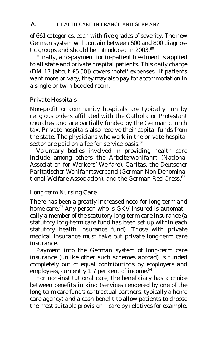of 661 categories, each with five grades of severity. The new German system will contain between 600 and 800 diagnostic groups and should be introduced in 2003.<sup>80</sup>

Finally, a co-payment for in-patient treatment is applied to all state and private hospital patients. This daily charge (DM 17 [about £5.50]) covers 'hotel' expenses. If patients want more privacy, they may also pay for accommodation in a single or twin-bedded room.

## *Private Hospitals*

Non-profit or community hospitals are typically run by religious orders affiliated with the Catholic or Protestant churches and are partially funded by the German church tax. Private hospitals also receive their capital funds from the state. The physicians who work in the private hospital sector are paid on a fee-for-service-basis.<sup>81</sup>

Voluntary bodies involved in providing health care include among others the *Arbeiterwohlfahrt* (National Association for Workers' Welfare), *Caritas*, the *Deutscher Paritatischer Wohlfahrtsverband* (German Non-Denominational Welfare Association), and the German Red Cross.<sup>82</sup>

# *Long-term Nursing Care*

There has been a greatly increased need for long-term and home care.<sup>83</sup> Any person who is GKV insured is automatically a member of the statutory long-term care insurance (a statutory long-term care fund has been set up within each statutory health insurance fund). Those with private medical insurance must take out private long-term care insurance.

Payment into the German system of long-term care insurance (unlike other such schemes abroad) is funded completely out of equal contributions by employers and employees, currently 1.7 per cent of income.<sup>84</sup>

For non-institutional care, the beneficiary has a choice between benefits in kind (services rendered by one of the long-term care fund's contractual partners, typically a home care agency) and a cash benefit to allow patients to choose the most suitable provision—care by relatives for example.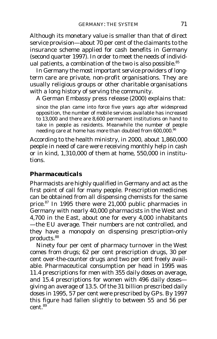Although its monetary value is smaller than that of direct service provision—about 70 per cent of the claimants to the insurance scheme applied for cash benefits in Germany (second quarter 1997). In order to meet the needs of individual patients, a combination of the two is also possible.<sup>85</sup>

In Germany the most important service providers of longterm care are private, non-profit organisations. They are usually religious groups or other charitable organisations with a long history of serving the community.

A German Embassy press release (2000) explains that:

since the plan came into force five years ago after widespread opposition, the number of mobile services available has increased to 13,000 and there are 8,600 permanent institutions on hand to take in people as residents. Meanwhile the number of people needing care at home has more than doubled from 600,000.<sup>86</sup>

According to the health ministry, in 2000, about 1,860,000 people in need of care were receiving monthly help in cash or in kind, 1,310,000 of them at home, 550,000 in institutions.

# *Pharmaceuticals*

Pharmacists are highly qualified in Germany and act as the first point of call for many people. Prescription medicines can be obtained from all dispensing chemists for the same price.<sup>87</sup> In 1995 there were 21,000 public pharmacies in Germany with nearly 40,000 pharmacists in the West and 4,700 in the East, about one for every 4,000 inhabitants —the EU average. Their numbers are not controlled, and they have a monopoly on dispensing prescription-only products.<sup>88</sup>

Ninety four per cent of pharmacy turnover in the West comes from drugs; 62 per cent prescription drugs, 30 per cent over-the-counter drugs and two per cent freely available. Pharmaceutical consumption per head in 1995 was 11.4 prescriptions for men with 355 daily doses on average, and 15.4 prescriptions for women with 496 daily doses giving an average of 13.5. Of the 31 billion prescribed daily doses in 1995, 57 per cent were prescribed by GPs. By 1997 this figure had fallen slightly to between 55 and 56 per cent.89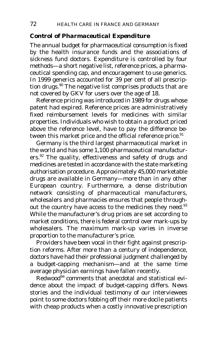# *Control of Pharmaceutical Expenditure*

The annual budget for pharmaceutical consumption is fixed by the health insurance funds and the associations of sickness fund doctors. Expenditure is controlled by four methods—a short negative list, reference prices, a pharmaceutical spending cap, and encouragement to use generics. In 1999 generics accounted for 39 per cent of all prescription drugs.<sup>90</sup> The negative list comprises products that are not covered by GKV for users over the age of 18.

Reference pricing was introduced in 1989 for drugs whose patent had expired. Reference prices are administratively fixed reimbursement levels for medicines with similar properties. Individuals who wish to obtain a product priced above the reference level, have to pay the difference between this market price and the official reference price.<sup>91</sup>

Germany is the third largest pharmaceutical market in the world and has some 1,100 pharmaceutical manufacturers.<sup>92</sup> The quality, effectiveness and safety of drugs and medicines are tested in accordance with the state marketing authorisation procedure. Approximately 45,000 marketable drugs are available in Germany—more than in any other European country. Furthermore, a dense distribution network consisting of pharmaceutical manufacturers, wholesalers and pharmacies ensures that people throughout the country have access to the medicines they need.<sup>93</sup> While the manufacturer's drug prices are set according to market conditions, there is federal control over mark-ups by wholesalers. The maximum mark-up varies in inverse proportion to the manufacturer's price.

Providers have been vocal in their fight against prescription reforms. After more than a century of independence, doctors have had their professional judgment challenged by a budget-capping mechanism—and at the same time average physician earnings have fallen recently.

Redwood<sup>94</sup> comments that anecdotal and statistical evidence about the impact of budget-capping differs. News stories and the individual testimony of our interviewees point to some doctors fobbing off their more docile patients with cheap products when a costly innovative prescription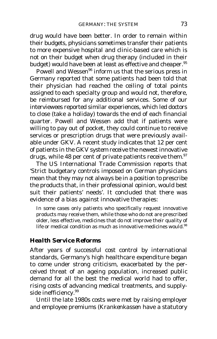drug would have been better. In order to remain within their budgets, physicians sometimes transfer their patients to more expensive hospital and clinic-based care which is not on their budget when drug therapy (included in their budget) would have been at least as effective and cheaper.<sup>95</sup>

Powell and Wessen<sup>96</sup> inform us that the serious press in Germany reported that some patients had been told that their physician had reached the ceiling of total points assigned to each specialty group and would not, therefore, be reimbursed for any additional services. Some of our interviewees reported similar experiences, which led doctors to close (take a holiday) towards the end of each financial quarter. Powell and Wessen add that if patients were willing to pay out of pocket, they could continue to receive services or prescription drugs that were previously available under GKV. A recent study indicates that 12 per cent of patients in the GKV system receive the newest innovative drugs, while 48 per cent of private patients receive them.<sup>97</sup>

The US International Trade Commission reports that 'Strict budgetary controls imposed on German physicians mean that they may not always be in a position to prescribe the products that, in their professional opinion, would best suit their patients' needs'. It concluded that there was evidence of a bias against innovative therapies:

In some cases only patients who specifically request innovative products may receive them, while those who do not are prescribed older, less effective, medicines that do not improve their quality of life or medical condition as much as innovative medicines would.<sup>98</sup>

# *Health Service Reforms*

After years of successful cost control by international standards, Germany's high healthcare expenditure began to come under strong criticism, exacerbated by the perceived threat of an ageing population, increased public demand for all the best the medical world had to offer, rising costs of advancing medical treatments, and supplyside inefficiency.<sup>99</sup>

Until the late 1980s costs were met by raising employer and employee premiums (*Krankenkassen* have a statutory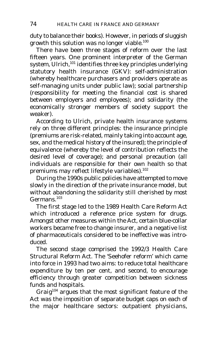duty to balance their books). However, in periods of sluggish growth this solution was no longer viable.<sup>100</sup>

There have been three stages of reform over the last fifteen years. One prominent interpreter of the German system, Ulrich,<sup>101</sup> identifies three key principles underlying statutory health insurance (GKV): self-administration (whereby healthcare purchasers and providers operate as self-managing units under public law); social partnership (responsibility for meeting the financial cost is shared between employers and employees); and solidarity (the economically stronger members of society support the weaker).

According to Ulrich, private health insurance systems rely on three different principles: the insurance principle (premiums are risk-related, mainly taking into account age, sex, and the medical history of the insured); the principle of equivalence (whereby the level of contribution reflects the desired level of coverage); and personal precaution (all individuals are responsible for their own health so that premiums may reflect lifestyle variables).<sup>102</sup>

During the 1990s public policies have attempted to move slowly in the direction of the private insurance model, but without abandoning the solidarity still cherished by most Germans.<sup>103</sup>

The first stage led to the 1989 Health Care Reform Act which introduced a reference price system for drugs. Amongst other measures within the Act, certain blue-collar workers became free to change insurer, and a negative list of pharmaceuticals considered to be ineffective was introduced.

The second stage comprised the 1992/3 Health Care Structural Reform Act. The 'Seehofer reform' which came into force in 1993 had two aims: to reduce total healthcare expenditure by ten per cent, and second, to encourage efficiency through greater competition between sickness funds and hospitals.

Graig<sup>104</sup> argues that the most significant feature of the Act was the imposition of separate budget caps on each of the major healthcare sectors: outpatient physicians,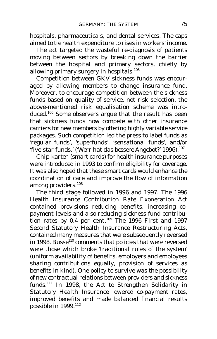hospitals, pharmaceuticals, and dental services. The caps aimed to tie health expenditure to rises in workers' income.

The act targeted the wasteful re-diagnosis of patients moving between sectors by breaking down the barrier between the hospital and primary sectors, chiefly by allowing primary surgery in hospitals.<sup>105</sup>

Competition between GKV sickness funds was encouraged by allowing members to change insurance fund. Moreover, to encourage competition between the sickness funds based on quality of service, not risk selection, the above-mentioned risk equalisation scheme was introduced.106 Some observers argue that the result has been that sickness funds now compete with other insurance carriers for new members by offering highly variable service packages. Such competition led the press to label funds as 'regular funds', 'superfunds', 'sensational funds', and/or 'five-star funds.' ('*Werr hat das bessere Angebot?* 1996).<sup>107</sup>

*Chip-karten* (smart cards) for health insurance purposes were introduced in 1993 to confirm eligibility for coverage. It was also hoped that these smart cards would enhance the coordination of care and improve the flow of information among providers.<sup>108</sup>

The third stage followed in 1996 and 1997. The 1996 Health Insurance Contribution Rate Exoneration Act contained provisions reducing benefits, increasing copayment levels and also reducing sickness fund contribution rates by 0.4 per cent.<sup>109</sup> The 1996 First and 1997 Second Statutory Health Insurance Restructuring Acts, contained many measures that were subsequently reversed in 1998. Busse<sup>110</sup> comments that policies that were reversed were those which broke 'traditional rules of the system' (uniform availability of benefits, employers and employees sharing contributions equally, provision of services as benefits in kind). One policy to survive was the possibility of new contractual relations between providers and sickness funds.<sup>111</sup> In 1998, the Act to Strengthen Solidarity in Statutory Health Insurance lowered co-payment rates, improved benefits and made balanced financial results possible in 1999.<sup>112</sup>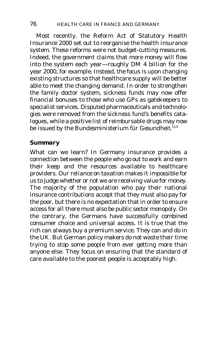Most recently, the Reform Act of Statutory Health Insurance 2000 set out to reorganise the health insurance system. These reforms were not budget-cutting measures. Indeed, the government claims that more money will flow into the system each year—roughly DM 4 billion for the year 2000, for example. Instead, the focus is upon changing existing structures so that healthcare supply will be better able to meet the changing demand. In order to strengthen the family doctor system, sickness funds may now offer financial bonuses to those who use GPs as gatekeepers to specialist services. Disputed pharmaceuticals and technologies were removed from the sickness fund's benefits catalogues, while a positive list of reimbursable drugs may now be issued by the *Bundesministerium für Gesundheit*. 113

## *Summary*

What can we learn? In Germany insurance provides a connection between the people who go out to work and earn their keep and the resources available to healthcare providers. Our reliance on taxation makes it impossible for us to judge whether or not we are receiving value for money. The majority of the population who pay their national insurance contributions accept that they must also pay for the poor, but there is no expectation that in order to ensure access for all there must also be public sector monopoly. On the contrary, the Germans have successfully combined consumer choice and universal access. It is true that the rich can always buy a premium service. They can and do in the UK. But German policy makers do not waste their time trying to stop some people from ever getting more than anyone else. They focus on ensuring that the standard of care available to the poorest people is acceptably high.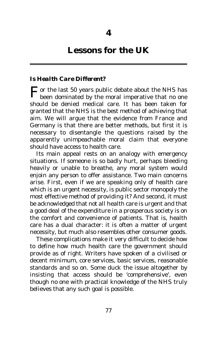# **Lessons for the UK**

#### *Is Health Care Different?*

 $\mathbf{F}$  or the last 50 years public debate about the NHS has been dominated by the moral imperative that no one should be denied medical care. It has been taken for granted that the NHS is the best method of achieving that aim. We will argue that the evidence from France and Germany is that there are better methods, but first it is necessary to disentangle the questions raised by the apparently unimpeachable moral claim that everyone should have access to health care.

Its main appeal rests on an analogy with emergency situations. If someone is so badly hurt, perhaps bleeding heavily or unable to breathe, any moral system would enjoin any person to offer assistance. Two main concerns arise. First, even if we are speaking only of health care which is an urgent necessity, is public sector monopoly the most effective method of providing it? And second, it must be acknowledged that not all health care is urgent and that a good deal of the expenditure in a prosperous society is on the comfort and convenience of patients. That is, health care has a dual character: it is often a matter of urgent necessity, but much also resembles other consumer goods.

These complications make it very difficult to decide how to define how much health care the government should provide as of right. Writers have spoken of a civilised or decent minimum, core services, basic services, reasonable standards and so on. Some duck the issue altogether by insisting that access should be 'comprehensive', even though no one with practical knowledge of the NHS truly believes that any such goal is possible.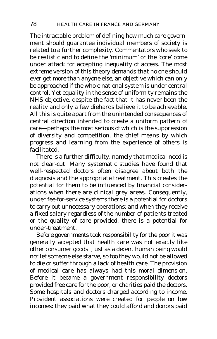The intractable problem of defining how much care government should guarantee individual members of society is related to a further complexity. Commentators who seek to be realistic and to define the 'minimum' or the 'core' come under attack for accepting inequality of access. The most extreme version of this theory demands that no one should ever get more than anyone else, an objective which can only be approached if the whole national system is under central control. Yet equality in the sense of uniformity remains the NHS objective, despite the fact that it has never been the reality and only a few diehards believe it to be achievable. All this is quite apart from the unintended consequences of central direction intended to create a uniform pattern of care—perhaps the most serious of which is the suppression of diversity and competition, the chief means by which progress and learning from the experience of others is facilitated.

There is a further difficulty, namely that medical need is not clear-cut. Many systematic studies have found that well-respected doctors often disagree about both the diagnosis and the appropriate treatment. This creates the potential for them to be influenced by financial considerations when there are clinical grey areas. Consequently, under fee-for-service systems there is a potential for doctors to carry out unnecessary operations; and when they receive a fixed salary regardless of the number of patients treated or the quality of care provided, there is a potential for under-treatment.

Before governments took responsibility for the poor it was generally accepted that health care was not exactly like other consumer goods. Just as a decent human being would not let someone else starve, so too they would not be allowed to die or suffer through a lack of health care. The provision of medical care has always had this moral dimension. Before it became a government responsibility doctors provided free care for the poor, or charities paid the doctors. Some hospitals and doctors charged according to income. Provident associations were created for people on low incomes: they paid what they could afford and donors paid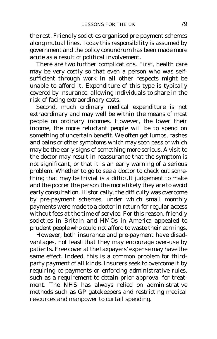the rest. Friendly societies organised pre-payment schemes along mutual lines. Today this responsibility is assumed by government and the policy conundrum has been made more acute as a result of political involvement.

There are two further complications. First, health care may be very costly so that even a person who was selfsufficient through work in all other respects might be unable to afford it. Expenditure of this type is typically covered by insurance, allowing individuals to share in the risk of facing extraordinary costs.

Second, much ordinary medical expenditure is not extraordinary and may well be within the means of most people on ordinary incomes. However, the lower their income, the more reluctant people will be to spend on something of uncertain benefit. We often get lumps, rashes and pains or other symptoms which may soon pass or which may be the early signs of something more serious. A visit to the doctor may result in reassurance that the symptom is not significant, or that it is an early warning of a serious problem. Whether to go to see a doctor to check out something that may be trivial is a difficult judgement to make and the poorer the person the more likely they are to avoid early consultation. Historically, the difficulty was overcome by pre-payment schemes, under which small monthly payments were made to a doctor in return for regular access without fees at the time of service. For this reason, friendly societies in Britain and HMOs in America appealed to prudent people who could not afford to waste their earnings.

However, both insurance and pre-payment have disadvantages, not least that they may encourage over-use by patients. Free cover at the taxpayers' expense may have the same effect. Indeed, this is a common problem for thirdparty payment of all kinds. Insurers seek to overcome it by requiring co-payments or enforcing administrative rules, such as a requirement to obtain prior approval for treatment. The NHS has always relied on administrative methods such as GP gatekeepers and restricting medical resources and manpower to curtail spending.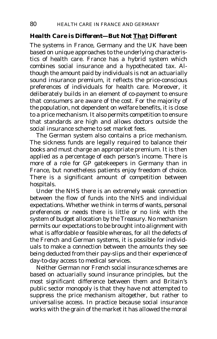# *Health Care is Different—But Not That Different*

The systems in France, Germany and the UK have been based on unique approaches to the underlying characteristics of health care. France has a hybrid system which combines social insurance and a hypothecated tax. Although the amount paid by individuals is not an actuarially sound insurance premium, it reflects the price-conscious preferences of individuals for health care. Moreover, it deliberately builds in an element of co-payment to ensure that consumers are aware of the cost. For the majority of the population, not dependent on welfare benefits, it is close to a price mechanism. It also permits competition to ensure that standards are high and allows doctors outside the social insurance scheme to set market fees.

The German system also contains a price mechanism. The sickness funds are legally required to balance their books and must charge an appropriate premium. It is then applied as a percentage of each person's income. There is more of a role for GP gatekeepers in Germany than in France, but nonetheless patients enjoy freedom of choice. There is a significant amount of competition between hospitals.

Under the NHS there is an extremely weak connection between the flow of funds into the NHS and individual expectations. Whether we think in terms of wants, personal preferences or needs there is little or no link with the system of budget allocation by the Treasury. No mechanism permits our expectations to be brought into alignment with what is affordable or feasible whereas, for all the defects of the French and German systems, it is possible for individuals to make a connection between the amounts they see being deducted from their pay-slips and their experience of day-to-day access to medical services.

Neither German nor French social insurance schemes are based on actuarially sound insurance principles, but the most significant difference between them and Britain's public sector monopoly is that they have not attempted to suppress the price mechanism altogether, but rather to universalise access. In practice because social insurance works with the grain of the market it has allowed the moral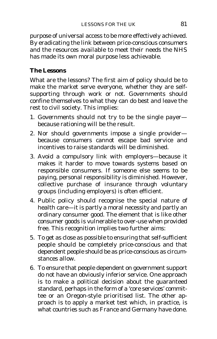purpose of universal access to be more effectively achieved. By eradicating the link between price-conscious consumers and the resources available to meet their needs the NHS has made its own moral purpose less achievable.

# *The Lessons*

What are the lessons? The first aim of policy should be to make the market serve everyone, whether they are selfsupporting through work or not. Governments should confine themselves to what they can do best and leave the rest to civil society. This implies:

- 1. Governments should not try to be the single payer because rationing will be the result.
- 2. Nor should governments impose a single provider because consumers cannot escape bad service and incentives to raise standards will be diminished.
- 3. Avoid a compulsory link with employers—because it makes it harder to move towards systems based on responsible consumers. If someone else seems to be paying, personal responsibility is diminished. However, collective purchase of insurance through *voluntary* groups (including employers) is often efficient.
- 4. Public policy should recognise the special nature of health care—it is partly a moral necessity and partly an ordinary consumer good. The element that is like other consumer goods is vulnerable to over-use when provided free. This recognition implies two further aims:
- 5. To get as close as possible to ensuring that self-sufficient people should be completely price-conscious and that dependent people should be as price-conscious as circumstances allow.
- 6. To ensure that people dependent on government support do not have an obviously inferior service. One approach is to make a political decision about the guaranteed standard, perhaps in the form of a 'core services' committee or an Oregon-style prioritised list. The other approach is to apply a market test which, in practice, is what countries such as France and Germany have done.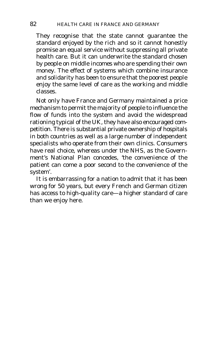They recognise that the state cannot guarantee the standard enjoyed by the rich and so it cannot honestly promise an equal service without suppressing all private health care. But it can underwrite the standard chosen by people on middle incomes who are spending their own money. The effect of systems which combine insurance and solidarity has been to ensure that the poorest people enjoy the same level of care as the working and middle classes.

Not only have France and Germany maintained a price mechanism to permit the majority of people to influence the flow of funds into the system and avoid the widespread rationing typical of the UK, they have also encouraged competition. There is substantial private ownership of hospitals in both countries as well as a large number of independent specialists who operate from their own clinics. Consumers have real choice, whereas under the NHS, as the Government's National Plan concedes, 'the convenience of the patient can come a poor second to the convenience of the system'.

It is embarrassing for a nation to admit that it has been wrong for 50 years, but every French and German citizen has access to high-quality care—a higher standard of care than we enjoy here.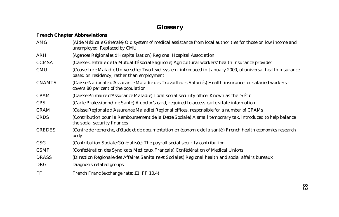# *Glossary*

### **French Chapter Abbreviations**

| AMG           | (Aide Médicale Générale) Old system of medical assistance from local authorities for those on low income and<br>unemployed. Replaced by CMU                |
|---------------|------------------------------------------------------------------------------------------------------------------------------------------------------------|
| ARH           | (Agences Régionales d'Hospitalisation) Regional Hospital Association                                                                                       |
| <b>CCMSA</b>  | (Caisse Centrale de la Mutualité sociale agricole) Agricultural workers' health insurance provider                                                         |
| <b>CMU</b>    | (Couverture Maladie Universelle) Two-level system, introduced in January 2000, of universal health insurance<br>based on residency, rather than employment |
| <b>CNAMTS</b> | (Caisse Nationale d'Assurance Maladie des Travailleurs Salariés) Health insurance for salaried workers -<br>covers 80 per cent of the population           |
| <b>CPAM</b>   | (Caisse Primaire d'Assurance Maladie) Local social security office. Known as the 'Sécu'                                                                    |
| <b>CPS</b>    | (Carte Professionnel de Santé) A doctor's card, required to access carte vitale information                                                                |
| <b>CRAM</b>   | (Caisse Régionale d'Assurance Maladie) Regional offices, responsible for a number of CPAMs                                                                 |
| <b>CRDS</b>   | (Contribution pour la Remboursement de la Dette Sociale) A small temporary tax, introduced to help balance<br>the social security finances                 |
| <b>CREDES</b> | (Centre de recherche, d'étude et de documentation en économie de la santé) French health economics research<br>body                                        |
| CSG           | <i>(Contribution Sociale Généralisée)</i> The payroll social security contribution                                                                         |
| <b>CSMF</b>   | (Confédération des Syndicats Médicaux Français) Confédération of Medical Unions                                                                            |
| <b>DRASS</b>  | (Direction Régionale des Affaires Sanitaire et Sociales) Regional health and social affairs bureaux                                                        |
| <b>DRG</b>    | Diagnosis related groups                                                                                                                                   |
| FF            | French Franc (exchange rate: £1: FF 10.4)                                                                                                                  |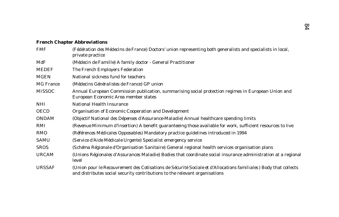### **French Chapter Abbreviations**

| <b>FMF</b>       | (Fédération des Médecins de France) Doctors' union representing both generalists and specialists in local,<br>private practice                                                                 |
|------------------|------------------------------------------------------------------------------------------------------------------------------------------------------------------------------------------------|
| MdF              | (Médecin de Famille) A family doctor - General Practitioner                                                                                                                                    |
| <b>MEDEF</b>     | The French Employers Federation                                                                                                                                                                |
| <b>MGEN</b>      | National sickness fund for teachers                                                                                                                                                            |
| <b>MG</b> France | (Médecins Généralistes de France) GP union                                                                                                                                                     |
| <b>MISSOC</b>    | Annual European Commission publication, summarising social protection regimes in European Union and<br>European Economic Area member states                                                    |
| <b>NHI</b>       | <b>National Health Insurance</b>                                                                                                                                                               |
| <b>OECD</b>      | Organisation of Economic Cooperation and Development                                                                                                                                           |
| <b>ONDAM</b>     | (Objectif National des Dépenses d'Assurance-Maladie) Annual healthcare spending limits                                                                                                         |
| RMI              | (Revenue Minimum d'Insertion) A benefit guaranteeing those available for work, sufficient resources to live                                                                                    |
| RMO              | (Références Médicales Opposables) Mandatory practice guidelines introduced in 1994                                                                                                             |
| <b>SAMU</b>      | (Service d'Aide Médicale Urgente) Specialist emergency service                                                                                                                                 |
| <b>SROS</b>      | (Schéma Régionale d'Organisation Sanitaire) General regional health services organisation plans                                                                                                |
| <b>URCAM</b>     | ( <i>Unions Régionales d'Assurances Maladie</i> ) Bodies that coordinate social insurance administration at a regional<br>level                                                                |
| <b>URSSAF</b>    | (Union pour le Recouvrement des Cotisations de Sécurité Sociale et d'Allocations familiales) Body that collects<br>and distributes social security contributions to the relevant organisations |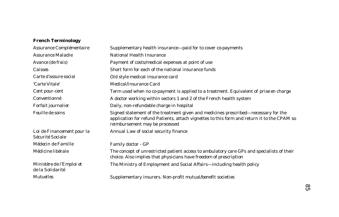### **French Terminology**

| Assurance Complémentaire                       | Supplementary health insurance—paid for to cover co-payments                                                                                                                                                        |  |
|------------------------------------------------|---------------------------------------------------------------------------------------------------------------------------------------------------------------------------------------------------------------------|--|
| <i><b>Assurance Maladie</b></i>                | <b>National Health Insurance</b>                                                                                                                                                                                    |  |
| Avance (de frais)                              | Payment of costs/medical expenses at point of use                                                                                                                                                                   |  |
| Caisses                                        | Short form for each of the national insurance funds                                                                                                                                                                 |  |
| Carte d'assure social                          | Old style medical insurance card                                                                                                                                                                                    |  |
| 'Carte Vitale'                                 | Medical/Insurance Card                                                                                                                                                                                              |  |
| Cent pour-cent                                 | Term used when no co-payment is applied to a treatment. Equivalent of <i>prise en charge</i>                                                                                                                        |  |
| Conventionné                                   | A doctor working within sectors 1 and 2 of the French health system                                                                                                                                                 |  |
| Forfait journalier                             | Daily, non-refundable charge in hospital                                                                                                                                                                            |  |
| <i>Feuille de soins</i>                        | Signed statement of the treatment given and medicines prescribed—necessary for the<br>application for refund Patients, attach vignettes to this form and return it to the CPAM so<br>reimbursement may be processed |  |
| Loi de Financement pour la<br>Sécurité Sociale | Annual Law of social security finance                                                                                                                                                                               |  |
| <i>Médecin de Famille</i>                      | Family doctor - GP                                                                                                                                                                                                  |  |
| Médicine libérale                              | The concept of unrestricted patient access to ambulatory care GPs and specialists of their<br>choice. Also implies that physicians have freedom of prescription                                                     |  |
| Ministère de l'Emploi et<br>de la Solidarité   | The Ministry of Employment and Social Affairs—including health policy                                                                                                                                               |  |
| <b>Mutuelles</b>                               | Supplementary insurers. Non-profit mutual/benefit societies                                                                                                                                                         |  |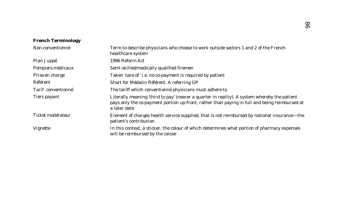### **French Terminology**

| <i>Non-conventionné</i>  | Term to describe physicians who choose to work outside sectors 1 and 2 of the French<br>healthcare system                                                                                                     |
|--------------------------|---------------------------------------------------------------------------------------------------------------------------------------------------------------------------------------------------------------|
| Plan Juppé               | 1996 Reform Act                                                                                                                                                                                               |
| <i>Pompiers-médicaux</i> | Semi-skilled/medically qualified firemen                                                                                                                                                                      |
| Prise en charge          | Taken 'care of' i.e. no co-payment is required by patient                                                                                                                                                     |
| Référent                 | Short for <i>Médecin Référent</i> . A referring GP                                                                                                                                                            |
| Tarif conventionné       | The tariff which <i>conventionné</i> physicians must adhere to                                                                                                                                                |
| Tiers payant             | Literally meaning 'third to pay' (nearer a quarter in reality). A system whereby the patient<br>pays only the co-payment portion up-front, rather than paying in full and being reimbursed at<br>a later date |
| Ticket modérateur        | Element of charges health service supplied, that is not reimbursed by national insurance—the<br>patient's contribution                                                                                        |
| Vignette                 | In this context, a sticker, the colour of which determines what portion of pharmacy expenses<br>will be reimbursed by the caisse                                                                              |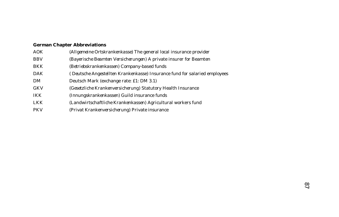### **German Chapter Abbreviations**

| <b>AOK</b> | (Allgemeine Ortskrankenkasse) The general local insurance provider         |
|------------|----------------------------------------------------------------------------|
| <b>BBV</b> | (Bayerische Beamten Versicherungen) A private insurer for Beamten          |
| <b>BKK</b> | (Betriebskrankenkassen) Company-based funds                                |
| <b>DAK</b> | (Deutsche Angestellten Krankenkasse) Insurance fund for salaried employees |
| DM         | Deutsch Mark (exchange rate: £1: DM 3.1)                                   |
| <b>GKV</b> | ( <i>Gesetzliche Krankenversicherung</i> ) Statutory Health Insurance      |
| <b>IKK</b> | (Innungskrankenkassen) Guild insurance funds                               |
| <b>LKK</b> | (Landwirtschaftliche Krankenkassen) Agricultural workers fund              |
| <b>PKV</b> | (Privat Krankenversicherung) Private insurance                             |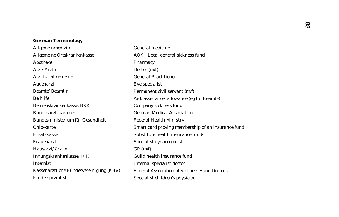#### **German Terminology**

*Allgemeinmedizin* General medicine *Allgemeine Ortskrankenkasse* AOK Local general sickness fund *Apotheke* Pharmacy *Arzt/Ärztin* Doctor (m/f) *Arzt für allgemeine* General Practitioner *Augenarzt* Eye specialist *Beamte/Beamtin* Permanent civil servant (m/f) *Beihilfe* Aid, assistance, allowance (eg for Beamte) *Betriebskrankenkasse, BKK* Company sickness fund *Bundesarztekammer* German Medical Association*Bundesministerium für Gesundheit* Federal Health Ministry *Chip-karte* Smart card proving membership of an insurance fund *Ersatzkasse* Substitute health insurance funds*Frauenarzt* Specialist gynaecologist *Hausarzt/ärztin* GP (m/f) *Innungskrankenkasse, IKK* Guild health insurance fund *Internist* Internal specialist doctor *Kassenarztliche Bundesvereinigung (KBV)* Federal Association of Sickness Fund Doctors *Kinderspezialist* Specialist children's physician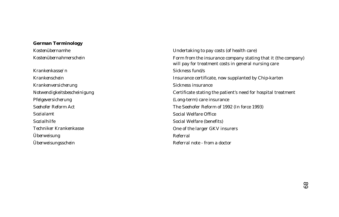### **German Terminology**

| Kostenübernamhe                  | Undertaking to pay costs (of health care)                                                                             |
|----------------------------------|-----------------------------------------------------------------------------------------------------------------------|
| Kostenübernahmerschein           | Form from the insurance company stating that it (the company)<br>will pay for treatment costs in general nursing care |
| Krankenkasse/n                   | Sickness fund/s                                                                                                       |
| Krankenschein                    | Insurance certificate, now supplanted by Chip-karten                                                                  |
| Krankenversicherung              | Sickness insurance                                                                                                    |
| Notwendigkeitsbescheinigung      | Certificate stating the patient's need for hospital treatment                                                         |
| Pfelgeversicherung               | (Long-term) care insurance                                                                                            |
| Seehofer Reform Act              | The Seehofer Reform of 1992 (In force 1993)                                                                           |
| Sozialamt                        | Social Welfare Office                                                                                                 |
| Sozialhilfe                      | Social Welfare (benefits)                                                                                             |
| Techniker Krankenkasse           | One of the larger GKV insurers                                                                                        |
| <i><u><b>Uberweisung</b></u></i> | Referral                                                                                                              |
| Uberweisungsschein               | Referral note - from a doctor                                                                                         |
|                                  |                                                                                                                       |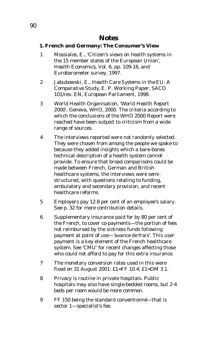# *Notes*

### **1. French and Germany: The Consumer's View**

- 1 Mossialos, E., 'Citizen's views on health systems in the 15 member states of the European Union', *Health Economics*, Vol. 6, pp. 109-16, and Eurobarometer survey. 1997.
- 2 Jabubowski, E., *Health Care Systems in the EU: A Comparative Study*, E. P. Working Paper, SACO 101/rev. EN, European Parliament, 1998.
- 3 World Health Organisation, *'World Health Report 2000'*, Geneva, WHO, 2000. The criteria according to which the conclusions of the WHO 2000 Report were reached have been subject to criticism from a wide range of sources.
- 4 The interviews reported were not randomly selected. They were chosen from among the people we spoke to because they added insights which a bare-bones technical description of a health system cannot provide. To ensure that broad comparisons could be made between French, German and British healthcare systems, the interviews were semistructured, with questions relating to funding, ambulatory and secondary provision, and recent healthcare reforms.
- 5 Employers pay 12.8 per cent of an employee's salary. See p. 32 for more contribution details.
- 6 Supplementary insurance paid for by 80 per cent of the French, to cover co-payments—the portion of fees not reimbursed by the sickness funds following payment at point of use—'*avance de frais'*. This user payment is a key element of the French healthcare system. See 'CMU' for recent changes affecting those who could not afford to pay for this extra insurance.
- 7 The monetary conversion rates used in this were fixed on 31 August 2001: £1=FF 10.4; £1=DM 3.1.
- 8 Privacy is routine in private hospitals. Public hospitals may also have single-bedded rooms, but 2-4 beds per room would be more common.
- 9 FF 150 being the standard *conventionné*—that is sector 1—specialist's fee.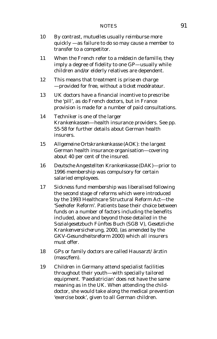#### NOTES 91

- 10 By contrast, *mutuelles* usually reimburse more quickly —as failure to do so may cause a member to transfer to a competitor.
- 11 When the French refer to a *médecin de famille*, they imply a degree of fidelity to one GP—usually while children and/or elderly relatives are dependent.
- 12 This means that treatment is *prise en charge* —provided for free, without a *ticket modérateur*.
- 13 UK doctors have a financial incentive to prescribe the 'pill', as do French doctors, but in France provision is made for a number of paid consultations.
- 14 *Techniker* is one of the larger *Krankenkassen—*health insurance providers. See pp. 55-58 for further details about German health insurers.
- 15 *Allgemeine Ortskrankenkasse* (AOK): the largest German health insurance organisation—covering about 40 per cent of the insured.
- 16 *Deutsche Angestellten Krankenkasse* (DAK)—prior to 1996 membership was compulsory for certain salaried employees.
- 17 Sickness fund membership was liberalised following the second stage of reforms which were introduced by the 1993 Healthcare Structural Reform Act—the 'Seehofer Reform'. Patients base their choice between funds on a number of factors including the benefits included, above and beyond those detailed in the *Sozialgesetzbuch Fünftes Buch* (SGB V), *Gesetzliche Krankenversicherung*, 2000, (as amended by the *GKV-Gesundheitsreform 2000*) which all insurers must offer.
- 18 GPs or family doctors are called *Hausarzt/ärztin* (masc/fem).
- 19 Children in Germany attend specialist facilities throughout their youth—with specially tailored equipment. 'Paediatrician' does not have the same meaning as in the UK. When attending the childdoctor, she would take along the medical prevention 'exercise book', given to all German children.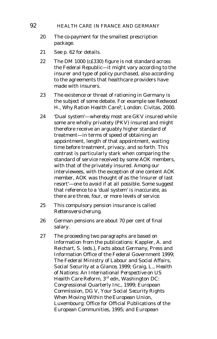#### 92 HEALTH CARE IN FRANCE AND GERMANY

- 20 The co-payment for the smallest prescription package.
- 21 See p. 62 for details.
- 22 The DM 1000 (c£330) figure is not standard across the Federal Republic—it might vary according to the insurer and type of policy purchased, also according to the agreements that healthcare providers have made with insurers.
- 23 The existence or threat of rationing in Germany is the subject of some debate. For example see Redwood H., *Why Ration Health Care?*, London: Civitas, 2000.
- 24 'Dual system'—whereby most are GKV insured while some are wholly privately (PKV) insured and might therefore receive an arguably higher standard of treatment—in terms of speed of obtaining an appointment, length of that appointment, waiting time before treatment, privacy, and so forth. This contrast is particularly stark when comparing the standard of service received by some AOK members, with that of the privately insured. Among our interviewees, with the exception of one content AOK member, AOK was thought of as the 'insurer of last resort'—one to avoid if at all possible. Some suggest that reference to a 'dual system' is inaccurate, as there are three, four, or more levels of service.
- 25 This compulsory pension insurance is called *Rettensversicherung*.
- 26 German pensions are about 70 per cent of final salary.
- 27 The proceeding two paragraphs are based on information from the publications: Kappler, A. and Reichart, S. (eds.), *Facts about Germany,* Press and Information Office of the Federal Government 1999; The Federal Ministry of Labour and Social Affairs, *Social Security at a Glance,* 1999; Graig, L., *Health of Nations: An International Perspective on US Health Care Reform,* 3rd edn, Washington DC: Congressional Quarterly Inc., 1999; European Commission, DG V, *Your Social Security Rights When Moving Within the European Union*, Luxembourg: Office for Official Publications of the European Communities, 1995; and European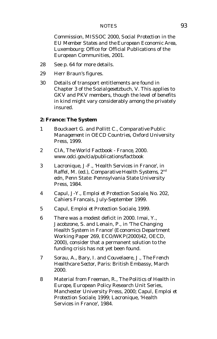#### NOTES 93

Commission, *MISSOC 2000, Social Protection in the EU Member States and the European Economic Area*, Luxembourg: Office for Official Publications of the European Communities, 2001.

- 28 See p. 64 for more details.
- 29 Herr Braun's figures.
- 30 Details of transport entitlements are found in Chapter 3 of the *Sozialgesetzbuch*, V. This applies to GKV and PKV members, though the level of benefits in kind might vary considerably among the privately insured.

#### **2: France: The System**

- 1 Bouckaert G. and Pollitt C., *Comparative Public Management in OECD Countries*, Oxford University Press, 1999.
- 2 CIA, *The World Factbook France*, 2000. www.odci.gov/cia/publications/factbook
- 3 Lacronique, J-F., 'Health Services in France', in Raffel, M. (ed.), *Comparative Health Systems*, 2nd edn, Penn State: Pennsylvania State University Press, 1984.
- 4 Capul, J-Y., *Emploi et Protection Sociale*, No. 202, Cahiers Francais, July-September 1999.
- 5 Capul, *Emploi et Protection Sociale*, 1999.
- 6 There was a modest deficit in 2000. Imai, Y., Jacobzone, S. and Lenain, P., in 'The Changing Health System in France' (Economics Department Working Paper 269, ECO/WKP(2000)42, OECD, 2000), consider that a permanent solution to the funding crisis has not yet been found.
- 7 Sorau, A., Bary, I. and Couvelaere, J., *The French Healthcare Sector*, Paris: British Embassy, March 2000.
- 8 Material from Freeman, R., *The Politics of Health in Europe*, European Policy Research Unit Series, Manchester University Press, 2000; Capul, *Emploi et Protection Sociale*, 1999; Lacronique, 'Health Services in France', 1984.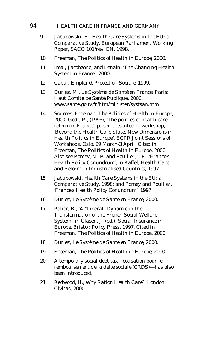#### 94 HEALTH CARE IN FRANCE AND GERMANY

- 9 Jabubowski, E., *Health Care Systems in the EU: a Comparative Study*, European Parliament Working Paper, SACO 101/rev. EN, 1998.
- 10 Freeman, *The Politics of Health in Europe*, 2000.
- 11 Imai, Jacobzone, and Lenain, 'The Changing Health System in France', 2000.
- 12 Capul, *Emploi et Protection Sociale*, 1999.
- 13 Duriez, M., *Le Système de Santé en France*, Paris: Haut Comite de Santé Publique, 2000. www.sante.gouv.fr/htm/minister/systsan.htm
- 14 Sources: Freeman, *The Politics of Health in Europ*e, 2000; Godt, P., (1996), 'The politics of health care reform in France', paper presented to workshop, 'Beyond the Health Care State. New Dimensions in Health Politics in Europe', ECPR Joint Sessions of Workshops, Oslo, 29 March-3 April. Cited in Freeman, *The Politics of Health in Europ*e, 2000. Also see Pomey, M.-P. and Poullier, J.P., 'France's Health Policy Conundrum', in Raffel, *Health Care and Reform in Industrialised Countries,* 1997.
- 15 Jabubowski, *Health Care Systems in the EU: a Comparative Study*, 1998; and Pomey and Poullier, 'France's Health Policy Conundrum', 1997.
- 16 Duriez, *Le Système de Santé en France*, 2000.
- 17 Palier, B., 'A "Liberal" Dynamic in the Transformation of the French Social Welfare System', in Clasen, J. (ed.), *Social Insurance in Europe*, Bristol: Policy Press, 1997. Cited in Freeman, *The Politics of Health in Europ*e, 2000.
- 18 Duriez, *Le Système de Santé en France*, 2000.
- 19 Freeman, *The Politics of Health in Europe*, 2000.
- 20 A temporary social debt tax—*cotisation pour le remboursement de la dette sociale* (CRDS)—has also been introduced.
- 21 Redwood, H., *Why Ration Health Care*?, London: Civitas, 2000.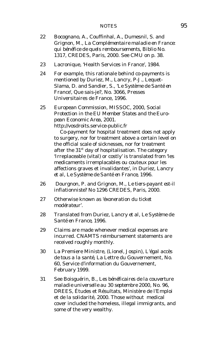#### NOTES 95

- 22 Bocognano, A., Couffinhal, A., Dumesnil, S. and Grignon, M., *La Complémentaire maladie en France: qui bénéfice de quels remboursements*, Biblio No. 1317, CREDES, Paris, 2000. See CMU on p. 38.
- 23 Lacronique, 'Health Services in France', 1984.
- 24 For example, this rationale behind co-payments is mentioned by Duriez, M., Lancry, P-J., Lequet-Slama, D. and Sandier, S., *'Le Système de Santé en France*', Que sais-je?, No. 3066, Presses Universitaires de France, 1996.
- 25 European Commission, *MISSOC, 2000, Social Protection in the EU Member States and the European Economic Area*, 2001. http://vosdroits.service-public.fr

Co-payment for hospital treatment does not apply to surgery, nor for treatment above a certain level on the official scale of sicknesses, nor for treatment after the  $31<sup>st</sup>$  day of hospitalisation. The category 'Irreplaceable (vital) or costly' is translated from 'les medicaments irremplacables ou couteux pour les affections graves et invalidantes', in Duriez, Lancry *et al*, *Le Système de Santé en France*, 1996.

- 26 Dourgnon, P. and Grignon, M., *Le tiers-payant est-il inflationniste*? No 1296 CREDES, Paris, 2000.
- 27 Otherwise known as '*éxoneration du ticket modérateur*'.
- 28 Translated from Duriez, Lancry *et al*, *Le Système de Santé en France*, 1996.
- 29 Claims are made whenever medical expenses are incurred. CNAMTS reimbursement statements are received roughly monthly.
- 30 La Premiere Ministre, (Lionel, Jospin), *L'égal accès de tous a la santé*, La Lettre du Gouvernement, No. 60, Service d'information du Gouvernement, February 1999.
- 31 See Boisguérin, B., *Les bénéficaires de la couverture maladie universelle au 30 septembre 2000*, No. 96, DREES, Études et Résultats, Ministère de l'Emploi et de la solidarité, 2000. Those without medical cover included the homeless, illegal immigrants, and some of the very wealthy.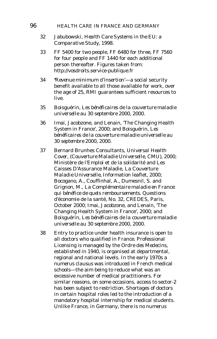#### 96 HEALTH CARE IN FRANCE AND GERMANY

- 32 Jabubowski, *Health Care Systems in the EU: a Comparative Study*, 1998.
- 33 FF 5400 for two people, FF 6480 for three, FF 7560 for four people and FF 1440 for each additional person thereafter. Figures taken from: http://vosdroits.service-publique.fr
- 34 **'***Revenue minimum d'insertion*'—a social security benefit available to all those available for work, over the age of 25, RMI guarantees sufficient resources to live.
- 35 Boisguérin, *Les bénéficaires de la couverture maladie universelle au 30 septembre 2000*, 2000.
- 36 Imai, Jacobzone, and Lenain, 'The Changing Health System in France', 2000; and Boisguérin, *Les bénéficaires de la couverture maladie universelle au 30 septembre 2000*, 2000.
- 37 Bernard Brunhes Consultants, *Universal Health Cover, (Couverture Maladie Universelle, CMU)*, 2000; Ministère de l'Emploi et de la solidarité and Les Caisses D'Assurance Maladie, *La Couverture Maladie Universelle,* Information leaflet, 2000; Bocogano, A., Couffinhal, A., Dumesnil, S. and Grignon, M., *La Complémentaire maladie en France: qui bénéfice de quels remboursements*. Questions d'économie de la santé, No. 32, CREDES, Paris, October 2000; Imai, Jacobzone, and Lenain, 'The Changing Health System in France', 2000; and Boisguérin, *Les bénéficaires de la couverture maladie universelle au 30 septembre 2000*, 2000.
- 38 Entry to practice under health insurance is open to all doctors who qualified in France. Professional Licensing is managed by the *Ordre des Medecins,* established in 1940, is organised at departmental, regional and national levels. In the early 1970s a *numerus clausus* was introduced in French medical schools—the aim being to reduce what was an excessive number of medical practitioners. For similar reasons, on some occasions, access to sector-2 has been subject to restriction. Shortages of doctors in certain hospital roles led to the introduction of a mandatory hospital internship for medical students. Unlike France, in Germany, there is no *numerus*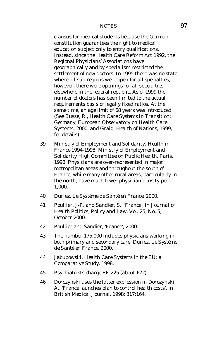#### NOTES 97

*clausus* for medical students because the German constitution guarantees the right to medical education subject only to entry qualifications. Instead, since the Health Care Reform Act 1992, the Regional Physicians' Associations have geographically and by specialism restricted the settlement of new doctors. In 1995 there was no state where all sub-regions were open for all specialties, however, there were openings for all specialties elsewhere in the federal republic. As of 1999 the number of doctors has been limited to the actual requirements basis of legally fixed ratios. At the same time, an age limit of 68 years was introduced. (See Busse, R., *Health Care Systems in Transition: Germany*, European Observatory on Health Care Systems, 2000; and Graig, *Health of Nations*, 1999, for details).

- 39 Ministry of Employment and Solidarity, *Health in France 1994-1998*, Ministry of Employment and Solidarity High Committee on Public Health, Paris, 1998. Physicians are over-represented in major metropolitan areas and throughout the south of France, while many other rural areas, particularly in the north, have much lower physician density per 1,000.
- 40 Duriez, *Le Système de Santé en France*, 2000.
- 41 Poullier, J-P. and Sandier, S., 'France', in *Journal of Health Politics, Policy and Law*, Vol. 25, No. 5, October 2000.
- 42 Poullier and Sandier, 'France', 2000.
- 43 The number 175,000 includes physicians working in both primary and secondary care. Duriez, *Le Système de Santé en France*, 2000.
- 44 Jabubowski, *Health Care Systems in the EU: a Comparative Study*, 1998.
- 45 Psychiatrists charge FF 225 (about £22).
- 46 Dorozynski uses the latter expression in Dorozynski, A., 'France launches plan to control health costs', in *British Medical Journal*, 1998; 317:164.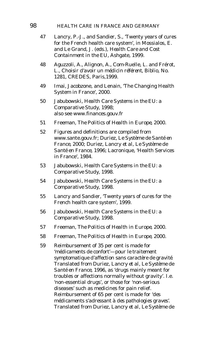#### 98 HEALTH CARE IN FRANCE AND GERMANY

- 47 Lancry, P.-J., and Sandier, S., 'Twenty years of cures for the French health care system', in Mossialos, E. and Le Grand, J. (eds.), *Health Care and Cost Containment in the EU*, Ashgate, 1999.
- 48 Aguzzoli, A., Alignon, A., Com-Ruelle, L. and Frérot, L., *Choisir d'avoir un médicin référent*, Biblio, No. 1281, CREDES, Paris,1999.
- 49 Imai, Jacobzone, and Lenain, 'The Changing Health System in France', 2000.
- 50 Jabubowski, *Health Care Systems in the EU: a Comparative Study*, 1998; also see www.finances.gouv.fr
- 51 Freeman, *The Politics of Health in Europe*, 2000.
- 52 Figures and definitions are compiled from www.sante.gouv.fr; Duriez, *Le Système de Santé en France*, 2000; Duriez, Lancry *et al*, *Le Système de Santé en France*, 1996; Lacronique, 'Health Services in France', 1984.
- 53 Jabubowski, *Health Care Systems in the EU: a Comparative Study*, 1998.
- 54 Jabubowski, *Health Care Systems in the EU: a Comparative Study*, 1998.
- 55 Lancry and Sandier, 'Twenty years of cures for the French health care system', 1999.
- 56 Jabubowski, *Health Care Systems in the EU: a Comparative Study*, 1998.
- 57 Freeman, *The Politics of Health in Europe*, 2000.
- 58 Freeman, *The Politics of Health in Europe*, 2000.
- 59 Reimbursement of 35 per cent is made for '*médicaments de confort'—pour le traitement symptomatique d'affection sans caractère de gravité*. Translated from Duriez, Lancry *et al*, *Le Système de Santé en France*, 1996, as 'drugs mainly meant for troubles or affections normally without gravity'. I.e. 'non-essential drugs', or those for 'non-serious diseases' such as medicines for pain relief. Reimbursement of 65 per cent is made for '*des médicaments s'adressant à des pathologies graves'*. Translated from Duriez, Lancry *et al*, *Le Système de*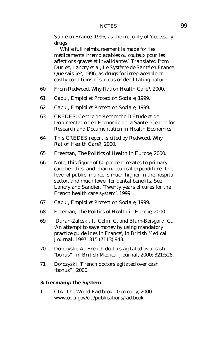#### NOTES 99

*Santé en France*, 1996, as the majority of 'necessary' drugs.

While full reimbursement is made for '*les médicaments irremplacables ou couteux pour les affections graves et invalidantes'*. Translated from Duriez, Lancry *et al, Le Système de Santé en France*, Que sais-je?, 1996, as drugs for irreplaceable or costly conditions of serious or debilitating nature.

- 60 From Redwood, *Why Ration Health Care?*, 2000.
- 61 Capul, *Emploi et Protection Sociale*, 1999.
- 62 Capul, *Emploi et Protection Sociale*, 1999.
- 63 CREDES: Centre de Recherche D'Étude et de Documentation en Économie de la Santé. 'Centre for Research and Documentation in Health Economics'.
- 64 This *CREDES* report is cited by Redwood, *Why Ration Health Care?*, 2000.
- 65 Freeman, *The Politics of Health in Europe*, 2000.
- 66 Note, this figure of 60 per cent relates to primary care benefits, and pharmaceutical expenditure. The level of public finance is much higher in the hospital sector, and much lower for dental benefits. See Lancry and Sandier, 'Twenty years of cures for the French health care system', 1999.
- 67 Capul, *Emploi et Protection Sociale*, 1999.
- 68 Freeman, *The Politics of Health in Europe*, 2000.
- 69 Duran-Zaleski, I., Colin, C. and Blum-Boisgard, C., 'An attempt to save money by using mandatory practice guidelines in France', in *British Medical Journal*, 1997; 315 (7113):943.
- 70 Dorozyski, A, 'French doctors agitated over cash "bonus"', in *British Medical Journal*, 2000; 321:528.
- 71 Dorozyski, 'French doctors agitated over cash "bonus"', 2000.

#### **3: Germany: the System**

1 CIA, *The World Factbook - Germany*, 2000. www.odci.gov/cia/publications/factbook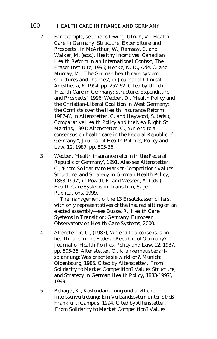#### 100 **HEALTH CARE IN FRANCE AND GERMANY**

2 For example, see the following: Ulrich, V., 'Health Care in Germany: Structure, Expenditure and Prospects', in McArthur, W., Ramsay, C. and Walker, M. (eds.), *Healthy Incentives: Canadian Health Reform in an International Context*, The Fraser Institute, 1996; Henke, K.-D., Ade, C. and Murray, M., 'The German health care system: structures and changes', in *Journal of Clinical Anesthesia,* 6, 1994, pp. 252-62. Cited by Ulrich, 'Health Care in Germany: Structure, Expenditure and Prospects', 1996; Webber, D., 'Health Policy and the Christian-Liberal Coalition in West Germany: the Conflicts over the Health Insurance Reform 1987-8', in Altenstetter, C. and Haywood, S. (eds.), *Comparative Health Policy and the New Right*, St Martins, 1991; Altenstetter, C., 'An end to a consensus on health care in the Federal Republic of Germany?', *Journal of Health Politics, Policy and Law*, 12, 1987, pp. 505-36.

3 Webber, 'Health insurance reform in the Federal Republic of Germany', 1991. Also see Altenstetter, C., 'From Solidarity to Market Competition? Values Structure, and Strategy in German Health Policy, 1883-1997', in Powell, F. and Wessen, A. (eds.), *Health Care Systems in Transition*, Sage Publications, 1999.

> The management of the 13 *Ersatzkassen* differs, with only representatives of the insured sitting on an elected assembly—see Busse, R., *Health Care Systems in Transition: Germany*, European Observatory on Health Care Systems, 2000.

- 4 Altenstetter, C., (1987), 'An end to a consensus on health care in the Federal Republic of Germany? *Journal of Health Politics, Policy and Law*, 12, 1987, pp. 505-36; Altenstetter, C., *Krankenhausbedarfsplannung: Was brachte sie wirklich?*, Munich: Oldenbourg, 1985. Cited by Altenstetter, 'From Solidarity to Market Competition? Values Structure, and Strategy in German Health Policy, 1883-1997', 1999.
- 5 Behagel, K., *Kostendämpfung und ärztliche Interssenvertretung: Ein Verbandssytem unter Streß*. Frankfurt: Campus, 1994. Cited by Altenstetter, 'From Solidarity to Market Competition? Values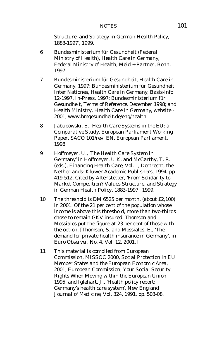Structure, and Strategy in German Health Policy, 1883-1997', 1999.

- 6 Bundesministerium für Gesundheit (Federal Ministry of Health)*, Health Care in Germany*, Federal Ministry of Health, Meid + Partner, Bonn, 1997.
- 7 Bundesministerium für Gesundheit, *Health Care in Germany*, 1997; Bundesministerium für Gesundheit, Inter Nationes, *Health Care in Germany*, Basis-info 12-1997, In-Press, 1997; Bundesministerium für Gesundheit, *Terms of Reference*, December 1998; and Health Ministry, *Health Care in Germany*, website - 2001, www.bmgesundheit.de/eng/health
- 8 Jabubowski, E., *Health Care Systems in the EU: a Comparative Study*, European Parliament Working Paper, SACO 101/rev. EN, European Parliament, 1998.
- 9 Hoffmeyer, U., 'The Health Care System in Germany' in Hoffmeyer, U.K. and McCarthy, T. R. (eds.), *Financing Health Care*, Vol. 1, Dortrecht, the Netherlands: Kluwer Academic Publishers, 1994, pp. 419-512. Cited by Altenstetter, 'From Solidarity to Market Competition? Values Structure, and Strategy in German Health Policy, 1883-1997', 1999.
- 10 The threshold is DM 6525 per month, (about £2,100) in 2001. Of the 21 per cent of the population whose income is above this threshold, more than two-thirds chose to remain GKV insured. Thomson and Mossialos put the figure at 23 per cent of those with the option. [Thomson, S. and Mossialos, E., 'The demand for private health insurance in Germany', in *Euro Observer*, No. 4, Vol. 12, 2001.]
- 11 This material is compiled from European Commission, *MISSOC 2000, Social Protection in EU Member States and the European Economic Area,* 2001; European Commission, *Your Social Security Rights When Moving within the European Union* 1995; and Iglehart, J., 'Health policy report: Germany's health care system', *New England Journal of Medicine*, Vol. 324, 1991, pp. 503-08.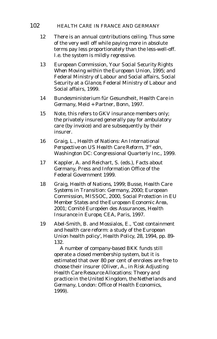- 12 There is an annual contributions ceiling. Thus some of the very well off while paying more in absolute terms pay less proportionately than the less-well-off. I.e. the system is mildly regressive.
- 13 European Commission, *Your Social Security Rights When Moving within the European Union,* 1995; and Federal Ministry of Labour and Social affairs, *Social Security at a Glance*, Federal Ministry of Labour and Social affairs, 1999.
- 14 Bundesministerium für Gesundheit*, Health Care in Germany*, Meid + Partner, Bonn, 1997.
- 15 Note, this refers to GKV insurance members only; the privately insured generally pay for ambulatory care (by invoice) and are subsequently by their insurer.
- 16 Graig, L., *Health of Nations: An International Perspective on US Health Care Reform*, 3rd edn, Washington DC: Congressional Quarterly Inc., 1999.
- 17 Kappler, A. and Reichart, S. (eds.), *Facts about Germany*, Press and Information Office of the Federal Government 1999.
- 18 Graig, *Health of Nations*, 1999; Busse, *Health Care Systems in Transition: Germany*, 2000; European Commission, *MISSOC, 2000, Social Protection in EU Member States and the European Economic Area,* 2001; Comité Européen des Assurances, *Health Insurance in Europe*, CEA, Paris, 1997.
- 19 Abel-Smith, B. and Mossialos, E., 'Cost containment and health care reform: a study of the European Union health policy', *Health Policy*, 28, 1994, pp. 89- 132.

A number of company-based BKK funds still operate a closed membership system, but it is estimated that over 80 per cent of enrolees are free to choose their insurer (Oliver, A., in *Risk Adjusting Health Care Resource Allocations: Theory and practice in the United Kingdom, the Netherlands and Germany*, London: Office of Health Economics, 1999).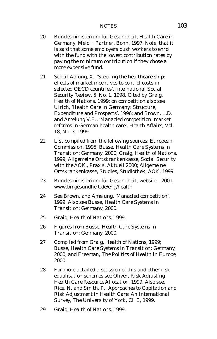- 20 Bundesministerium für Gesundheit, *Health Care in Germany*, Meid + Partner, Bonn, 1997. Note, that it is said that some employers push workers to enrol with the fund with the lowest contribution rates by paying the minimum contribution if they chose a more expensive fund.
- 21 Scheil-Adlung, X., 'Steering the healthcare ship: effects of market incentives to control costs in selected OECD countries', *International Social Security Review*, 5, No. 1, 1998. Cited by Graig, *Health of Nations*, 1999; on competition also see Ulrich, 'Health Care in Germany: Structure, Expenditure and Prospects', 1996; and Brown, L.D. and Amelung V.E., 'Manacled competition: market reforms in German health care', *Health Affairs*, Vol. 18, No. 3, 1999.
- 22 List compiled from the following sources: European Commission, 1995; Busse, *Health Care Systems in Transition: Germany*, 2000; Graig, *Health of Nations,* 1999; Allgemeine Ortskrankenkasse, *Social Security with the AOK,*, Praxis, Aktuell 2000; Allgemeine Ortskrankenkasse, Studies, Studiothek, AOK, 1999.
- 23 Bundesministerium für Gesundheit, website 2001, www.bmgesundheit.de/eng/health
- 24 See Brown, and Amelung, 'Manacled competition', 1999. Also see Busse, *Health Care Systems in Transition: Germany*, 2000.
- 25 Graig, *Health of Nations*, 1999.
- 26 Figures from Busse, *Health Care Systems in Transition: Germany*, 2000.
- 27 Compiled from Graig, *Health of Nations*, 1999; Busse, *Health Care Systems in Transition: Germany*, 2000; and Freeman, *The Politics of Health in Europe*, 2000.
- 28 For more detailed discussion of this and other risk equalisation schemes see Oliver, *Risk Adjusting Health Care Resource Allocation*, 1999. Also see, Rice, N. and Smith, P., *Approaches to Capitation and Risk Adjustment in Health Care: An International Survey*, The University of York, CHE, 1999.
- 29 Graig, *Health of Nations*, 1999.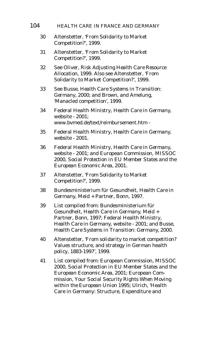- 30 Altenstetter, 'From Solidarity to Market Competition?', 1999.
- 31 Altenstetter, 'From Solidarity to Market Competition?', 1999.
- 32 See Oliver, *Risk Adjusting Health Care Resource Allocation*, 1999. Also see Altenstetter, 'From Solidarity to Market Competition?', 1999.
- 33 See Busse, *Health Care Systems in Transition: Germany*, 2000; and Brown, and Amelung, 'Manacled competition', 1999.
- 34 Federal Health Ministry, *Health Care in Germany*, website - 2001; www.bvmed.de/text/reimbursement.htm -
- 35 Federal Health Ministry, *Health Care in Germany*, website - 2001.
- 36 Federal Health Ministry, *Health Care in Germany*, website - 2001; and European Commission, *MISSOC 2000, Social Protection in EU Member States and the European Economic Area,* 2001.
- 37 Altenstetter, 'From Solidarity to Market Competition?', 1999.
- 38 Bundesministerium für Gesundheit, *Health Care in Germany*, Meid + Partner, Bonn, 1997.
- 39 List compiled from: Bundesministerium für Gesundheit, *Health Care in Germany*, Meid + Partner, Bonn, 1997; Federal Health Ministry, *Health Care in Germany*, website - 2001; and Busse, *Health Care Systems in Transition: Germany*, 2000.
- 40 Altenstetter, 'From solidarity to market competition? Values structure, and strategy in German health policy, 1883-1997', 1999.
- 41 List compiled from: European Commission, *MISSOC 2000, Social Protection in EU Member States and the European Economic Area,* 2001; European Commission, *Your Social Security Rights When Moving within the European Union* 1995; Ulrich, 'Health Care in Germany: Structure, Expenditure and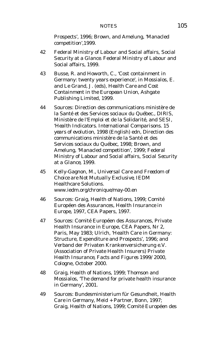Prospects', 1996; Brown, and Amelung, 'Manacled competition',1999.

- 42 Federal Ministry of Labour and Social affairs, *Social Security at a Glance*. Federal Ministry of Labour and Social affairs, 1999.
- 43 Busse, R. and Howorth, C., 'Cost containment in Germany: twenty years experience', in Mossialos, E. and Le Grand, J. (eds), *Health Care and Cost Containment in the European Union*, Ashgate Publishing Limited, 1999.
- 44 Sources: Direction des communications ministère de la Santé et des Services sociaux du Québec., DIRIS, Ministère de l'Emploi et de la Solidarité, and SESI, '*Health Indicators*. *International Comparisons. 15 years of evolution*, 1998 (English) edn, Direction des communications ministère de la Santé et des Services sociaux du Québec, 1998; Brown, and Amelung, 'Manacled competition', 1999; Federal Ministry of Labour and Social affairs, *Social Security at a Glance*, 1999.
- 45 Kelly-Gagnon, M., *Universal Care and Freedom of Choice are Not Mutually Exclusive*, IEDM Healthcare Solutions. www.iedm.org/chronique/may-00.en
- 46 Sources: Graig, *Health of Nations*, 1999; Comité Européen des Assurances, *Health Insurance in Europe, 1997*, CEA Papers, 1997.
- 47 Sources: Comité Européen des Assurances, Private Health Insurance in Europe, CEA Papers, Nr 2, Paris, May 1983; Ulrich, 'Health Care in Germany: Structure, Expenditure and Prospects', 1996; and Verband der Privaten Krankenversicherung e.V. (Association of Private Health Insurers) *Private Health Insurance, Facts and Figures 1999/2000*, Cologne, October 2000.
- 48 Graig, *Health of Nations*, 1999; Thomson and Mossialos, 'The demand for private health insurance in Germany', 2001.
- 49 Sources: Bundesministerium für Gesundheit, *Health Care in Germany*, Meid + Partner, Bonn, 1997; Graig, *Health of Nations*, 1999; Comité Européen des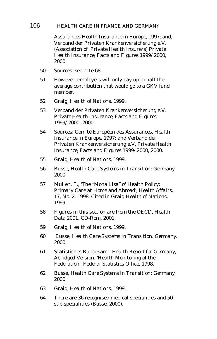Assurances *Health Insurance in Europe*, 1997; and, Verband der Privaten Krankenversicherung e.V. (Association of Private Health Insurers) *Private Health Insurance, Facts and Figures 1999/2000*, 2000.

- 50 Sources: see note 68.
- 51 However, employers will only pay up to half the average contribution that would go to a GKV fund member.
- 52 Graig, *Health of Nations*, 1999.
- 53 Verband der Privaten Krankenversicherung e.V. *Private Health Insurance, Facts and Figures 1999/2000*, 2000.
- 54 Sources: Comité Européen des Assurances, *Health Insurance in Europe*, 1997; and Verband der Privaten Krankenversicherung e.V, *Private Health Insurance, Facts and Figures 1999/2000*, 2000.
- 55 Graig, *Health of Nations*, 1999.
- 56 Busse, *Health Care Systems in Transition: Germany*, 2000.
- 57 Mullen, F., 'The "Mona Lisa" of Health Policy: Primary Care at Home and Abroad', *Health Affairs*, 17, No. 2, 1998. Cited in Graig *Health of Nations,* 1999.
- 58 Figures in this section are from the OECD, *Health Data 2001*, CD-Rom, 2001.
- 59 Graig, *Health of Nations*, 1999.
- 60 Busse, *Health Care Systems in Transition. Germany*, 2000.
- 61 Statistiches Bundesamt, *Health Report for Germany, Abridged Version*. 'Health Monitoring of the Federation', Federal Statistics Office, 1998.
- 62 Busse, *Health Care Systems in Transition: Germany*, 2000.
- 63 Graig, *Health of Nations*, 1999.
- 64 There are 36 recognised medical specialities and 50 sub-specialities (Busse, 2000).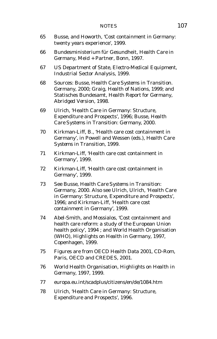- 65 Busse, and Howorth, 'Cost containment in Germany: twenty years experience', 1999.
- 66 Bundesministerium für Gesundheit, *Health Care in Germany*, Meid + Partner, Bonn, 1997.
- 67 US Department of State, *Electro-Medical Equipment,* Industrial Sector Analysis, 1999.
- 68 Sources: Busse, *Health Care Systems in Transition. Germany*, 2000; Graig, *Health of Nations,* 1999; and Statisches Bundesamt, *Health Report for Germany, Abridged Version*, 1998.
- 69 Ulrich, 'Health Care in Germany: Structure, Expenditure and Prospects', 1996; Busse, *Health Care Systems in Transition: Germany*, 2000.
- 70 Kirkman-Liff, B., 'Health care cost containment in Germany', in Powell and Wessen (eds.), *Health Care Systems in Transition*, 1999.
- 71 Kirkman-Liff, 'Health care cost containment in Germany', 1999.
- 72 Kirkman-Liff, 'Health care cost containment in Germany', 1999.
- 73 See Busse, *Health Care Systems in Transition: Germany*, 2000. Also see Ulrich, Ulrich, 'Health Care in Germany: Structure, Expenditure and Prospects', 1996; and Kirkman-Liff, 'Health care cost containment in Germany', 1999.
- 74 Abel-Smith, and Mossialos, 'Cost containment and health care reform: a study of the European Union health policy', 1994 ; and World Health Organisation (WHO), *Highlights on Health in Germany, 1997*, Copenhagen, 1999.
- 75 Figures are from OECD *Health Data 2001*, CD-Rom, Paris, OECD and CREDES, 2001.
- 76 World Health Organisation, *Highlights on Health in Germany, 1997*, 1999.
- 77 europa.eu.int/scadplus/citizens/en/de/1084.htm
- 78 Ulrich, 'Health Care in Germany: Structure, Expenditure and Prospects', 1996.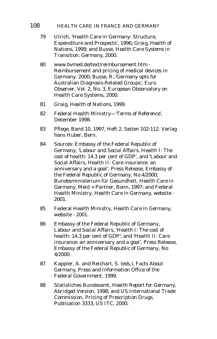- 79 Ulrich, 'Health Care in Germany: Structure, Expenditure and Prospects', 1996; Graig, *Health of Nations*, 1999; and Busse, *Health Care Systems in Transition: Germany*, 2000.
- 80 www.bvmed.de/text/reimbursement.htm Reimbursement and pricing of medical devices in Germany. 2000; Busse, R.,'Germany opts for Australian Diagnosis-Related Groups', *Euro Observer*, Vol. 2, No. 3, European Observatory on Health Care Systems, 2000.
- 81 Graig, *Health of Nations*, 1999.
- 82 Federal Health Ministry—'*Terms of Reference*', December 1998.
- 83 Pflege, Band 10, 1997, Heft 2, Seiten 102-112. Verlag hans Huber, Bern.
- 84 Sources: Embassy of the Federal Republic of Germany, 'Labour and Social Affairs, Health I: The cost of health: 14.3 per cent of GDP', and 'Labour and Social Affairs, Health II: Care insurance: an anniversary and a goal', Press Release, Embassy of the Federal Republic of Germany, No 4/2000; Bundesministerium für Gesundheit, *Health Care in Germany*, Meid + Partner, Bonn, 1997; and Federal Health Ministry, *Health Care in Germany*, website - 2001.
- 85 Federal Health Ministry, *Health Care in Germany*, website - 2001.
- 86 Embassy of the Federal Republic of Germany, Labour and Social Affairs, 'Health I: The cost of health: 14.3 per cent of GDP'; and 'Health II: Care insurance: an anniversary and a goal', Press Release, Embassy of the Federal Republic of Germany, No 4/2000.
- 87 Kappler, A. and Reichart, S. (eds.), *Facts About Germany*, Press and Information Office of the Federal Government, 1999.
- 88 Statistiches Bundesamt, *Health Report for Germany, Abridged Version*, 1998; and US International Trade Commission, *Pricing of Prescription Drugs*, Publication 3333, US ITC, 2000.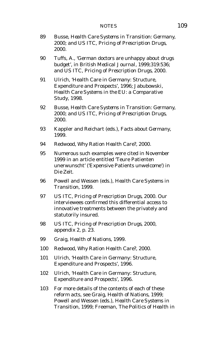#### NOTES 109

- 89 Busse, *Health Care Systems in Transition: Germany*, 2000; and US ITC, *Pricing of Prescription Drugs*, 2000.
- 90 Tuffs, A., 'German doctors are unhappy about drugs budget', in *British Medical Journal,* 1999;319:536; and US ITC, *Pricing of Prescription Drugs*, 2000.
- 91 Ulrich, 'Health Care in Germany: Structure, Expenditure and Prospects', 1996; Jabubowski, *Health Care Systems in the EU: a Comparative Study*, 1998.
- 92 Busse, *Health Care Systems in Transition: Germany*, 2000; and US ITC, *Pricing of Prescription Drugs*, 2000.
- 93 Kappler and Reichart (eds.), *Facts about Germany*, 1999.
- 94 Redwood, *Why Ration Health Care?*, 2000.
- 95 Numerous such examples were cited in November 1999 in an article entitled 'Teure Patienten unerwunscht' ('Expensive Patients unwelcome') in *Die Zeit*.
- 96 Powell and Wessen (eds.), *Health Care Systems in Transition*, 1999.
- 97 US ITC, *Pricing of Prescription Drugs*, 2000. Our interviewees confirmed this differential access to innovative treatments between the privately and statutorily insured.
- 98 US ITC, *Pricing of Prescription Drugs*, 2000, appendix 2, p. 23.
- 99 Graig, *Health of Nations*, 1999.
- 100 Redwood, *Why Ration Health Care?*, 2000.
- 101 Ulrich, 'Health Care in Germany: Structure, Expenditure and Prospects', 1996.
- 102 Ulrich, 'Health Care in Germany: Structure, Expenditure and Prospects', 1996.
- 103 For more details of the contents of each of these reform acts, see Graig, *Health of Nations*, 1999; Powell and Wessen (eds.), *Health Care Systems in Transition*, 1999; Freeman, *The Politics of Health in*